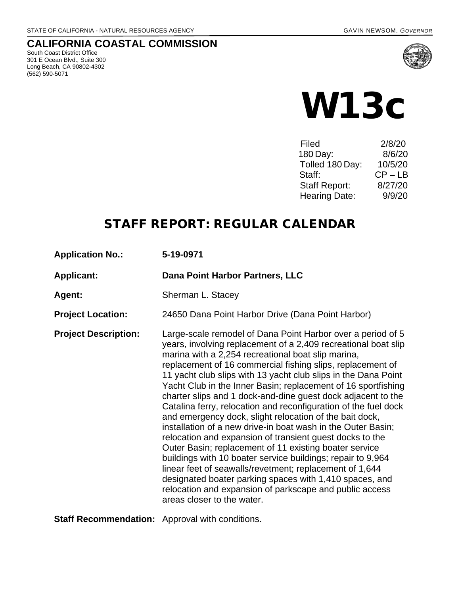### **CALIFORNIA COASTAL COMMISSION**

South Coast District Office 301 E Ocean Blvd., Suite 300 Long Beach, CA 90802-4302 (562) 590-5071



# W13c

| Filed                | 2/8/20    |
|----------------------|-----------|
| 180 Day:             | 8/6/20    |
| Tolled 180 Day:      | 10/5/20   |
| Staff:               | $CP - LB$ |
| <b>Staff Report:</b> | 8/27/20   |
| <b>Hearing Date:</b> | 9/9/20    |

## STAFF REPORT: REGULAR CALENDAR

| <b>Application No.:</b>                                | 5-19-0971                                                                                                                                                                                                                                                                                                                                                                                                                                                                                                                                                                                                                                                                                                                                                                                                                                                                                                                                                                                                                                              |
|--------------------------------------------------------|--------------------------------------------------------------------------------------------------------------------------------------------------------------------------------------------------------------------------------------------------------------------------------------------------------------------------------------------------------------------------------------------------------------------------------------------------------------------------------------------------------------------------------------------------------------------------------------------------------------------------------------------------------------------------------------------------------------------------------------------------------------------------------------------------------------------------------------------------------------------------------------------------------------------------------------------------------------------------------------------------------------------------------------------------------|
| <b>Applicant:</b>                                      | Dana Point Harbor Partners, LLC                                                                                                                                                                                                                                                                                                                                                                                                                                                                                                                                                                                                                                                                                                                                                                                                                                                                                                                                                                                                                        |
| Agent:                                                 | Sherman L. Stacey                                                                                                                                                                                                                                                                                                                                                                                                                                                                                                                                                                                                                                                                                                                                                                                                                                                                                                                                                                                                                                      |
| <b>Project Location:</b>                               | 24650 Dana Point Harbor Drive (Dana Point Harbor)                                                                                                                                                                                                                                                                                                                                                                                                                                                                                                                                                                                                                                                                                                                                                                                                                                                                                                                                                                                                      |
| <b>Project Description:</b>                            | Large-scale remodel of Dana Point Harbor over a period of 5<br>years, involving replacement of a 2,409 recreational boat slip<br>marina with a 2,254 recreational boat slip marina,<br>replacement of 16 commercial fishing slips, replacement of<br>11 yacht club slips with 13 yacht club slips in the Dana Point<br>Yacht Club in the Inner Basin; replacement of 16 sportfishing<br>charter slips and 1 dock-and-dine guest dock adjacent to the<br>Catalina ferry, relocation and reconfiguration of the fuel dock<br>and emergency dock, slight relocation of the bait dock,<br>installation of a new drive-in boat wash in the Outer Basin;<br>relocation and expansion of transient guest docks to the<br>Outer Basin; replacement of 11 existing boater service<br>buildings with 10 boater service buildings; repair to 9,964<br>linear feet of seawalls/revetment; replacement of 1,644<br>designated boater parking spaces with 1,410 spaces, and<br>relocation and expansion of parkscape and public access<br>areas closer to the water. |
| <b>Staff Recommendation:</b> Approval with conditions. |                                                                                                                                                                                                                                                                                                                                                                                                                                                                                                                                                                                                                                                                                                                                                                                                                                                                                                                                                                                                                                                        |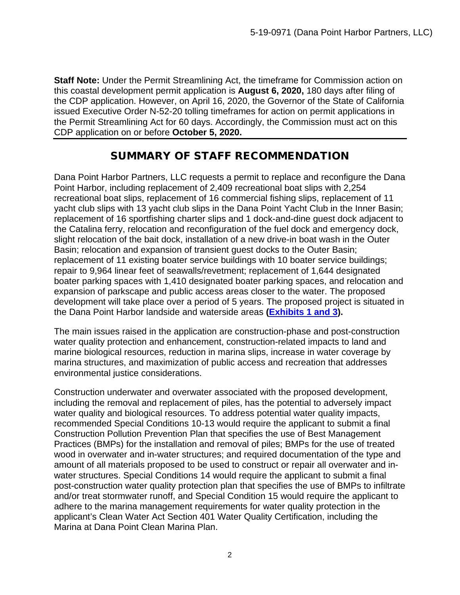**Staff Note:** Under the Permit Streamlining Act, the timeframe for Commission action on this coastal development permit application is **August 6, 2020,** 180 days after filing of the CDP application. However, on April 16, 2020, the Governor of the State of California issued Executive Order N-52-20 tolling timeframes for action on permit applications in the Permit Streamlining Act for 60 days. Accordingly, the Commission must act on this CDP application on or before **October 5, 2020.**

## SUMMARY OF STAFF RECOMMENDATION

Dana Point Harbor Partners, LLC requests a permit to replace and reconfigure the Dana Point Harbor, including replacement of 2,409 recreational boat slips with 2,254 recreational boat slips, replacement of 16 commercial fishing slips, replacement of 11 yacht club slips with 13 yacht club slips in the Dana Point Yacht Club in the Inner Basin; replacement of 16 sportfishing charter slips and 1 dock-and-dine guest dock adjacent to the Catalina ferry, relocation and reconfiguration of the fuel dock and emergency dock, slight relocation of the bait dock, installation of a new drive-in boat wash in the Outer Basin; relocation and expansion of transient guest docks to the Outer Basin; replacement of 11 existing boater service buildings with 10 boater service buildings; repair to 9,964 linear feet of seawalls/revetment; replacement of 1,644 designated boater parking spaces with 1,410 designated boater parking spaces, and relocation and expansion of parkscape and public access areas closer to the water. The proposed development will take place over a period of 5 years. The proposed project is situated in the Dana Point Harbor landside and waterside areas **[\(Exhibits 1 and 3\)](https://documents.coastal.ca.gov/reports/2020/9/W13c/W13c-9-2020-exhibits.pdf).** 

The main issues raised in the application are construction-phase and post-construction water quality protection and enhancement, construction-related impacts to land and marine biological resources, reduction in marina slips, increase in water coverage by marina structures, and maximization of public access and recreation that addresses environmental justice considerations.

Construction underwater and overwater associated with the proposed development, including the removal and replacement of piles, has the potential to adversely impact water quality and biological resources. To address potential water quality impacts, recommended Special Conditions 10-13 would require the applicant to submit a final Construction Pollution Prevention Plan that specifies the use of Best Management Practices (BMPs) for the installation and removal of piles; BMPs for the use of treated wood in overwater and in-water structures; and required documentation of the type and amount of all materials proposed to be used to construct or repair all overwater and inwater structures. Special Conditions 14 would require the applicant to submit a final post-construction water quality protection plan that specifies the use of BMPs to infiltrate and/or treat stormwater runoff, and Special Condition 15 would require the applicant to adhere to the marina management requirements for water quality protection in the applicant's Clean Water Act Section 401 Water Quality Certification, including the Marina at Dana Point Clean Marina Plan.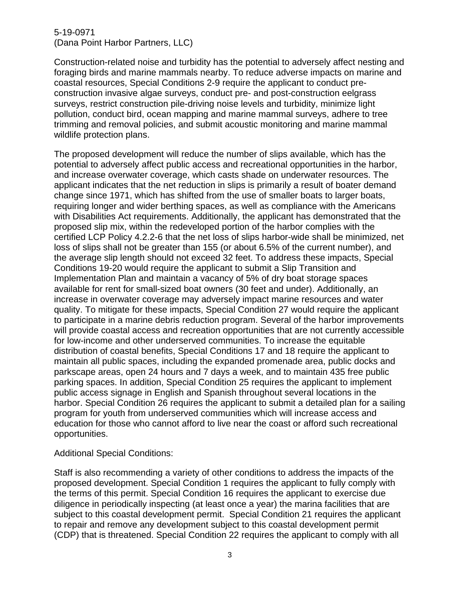Construction-related noise and turbidity has the potential to adversely affect nesting and foraging birds and marine mammals nearby. To reduce adverse impacts on marine and coastal resources, Special Conditions 2-9 require the applicant to conduct preconstruction invasive algae surveys, conduct pre- and post-construction eelgrass surveys, restrict construction pile-driving noise levels and turbidity, minimize light pollution, conduct bird, ocean mapping and marine mammal surveys, adhere to tree trimming and removal policies, and submit acoustic monitoring and marine mammal wildlife protection plans.

The proposed development will reduce the number of slips available, which has the potential to adversely affect public access and recreational opportunities in the harbor, and increase overwater coverage, which casts shade on underwater resources. The applicant indicates that the net reduction in slips is primarily a result of boater demand change since 1971, which has shifted from the use of smaller boats to larger boats, requiring longer and wider berthing spaces, as well as compliance with the Americans with Disabilities Act requirements. Additionally, the applicant has demonstrated that the proposed slip mix, within the redeveloped portion of the harbor complies with the certified LCP Policy 4.2.2-6 that the net loss of slips harbor-wide shall be minimized, net loss of slips shall not be greater than 155 (or about 6.5% of the current number), and the average slip length should not exceed 32 feet. To address these impacts, Special Conditions 19-20 would require the applicant to submit a Slip Transition and Implementation Plan and maintain a vacancy of 5% of dry boat storage spaces available for rent for small-sized boat owners (30 feet and under). Additionally, an increase in overwater coverage may adversely impact marine resources and water quality. To mitigate for these impacts, Special Condition 27 would require the applicant to participate in a marine debris reduction program. Several of the harbor improvements will provide coastal access and recreation opportunities that are not currently accessible for low-income and other underserved communities. To increase the equitable distribution of coastal benefits, Special Conditions 17 and 18 require the applicant to maintain all public spaces, including the expanded promenade area, public docks and parkscape areas, open 24 hours and 7 days a week, and to maintain 435 free public parking spaces. In addition, Special Condition 25 requires the applicant to implement public access signage in English and Spanish throughout several locations in the harbor. Special Condition 26 requires the applicant to submit a detailed plan for a sailing program for youth from underserved communities which will increase access and education for those who cannot afford to live near the coast or afford such recreational opportunities.

#### Additional Special Conditions:

Staff is also recommending a variety of other conditions to address the impacts of the proposed development. Special Condition 1 requires the applicant to fully comply with the terms of this permit. Special Condition 16 requires the applicant to exercise due diligence in periodically inspecting (at least once a year) the marina facilities that are subject to this coastal development permit. Special Condition 21 requires the applicant to repair and remove any development subject to this coastal development permit (CDP) that is threatened. Special Condition 22 requires the applicant to comply with all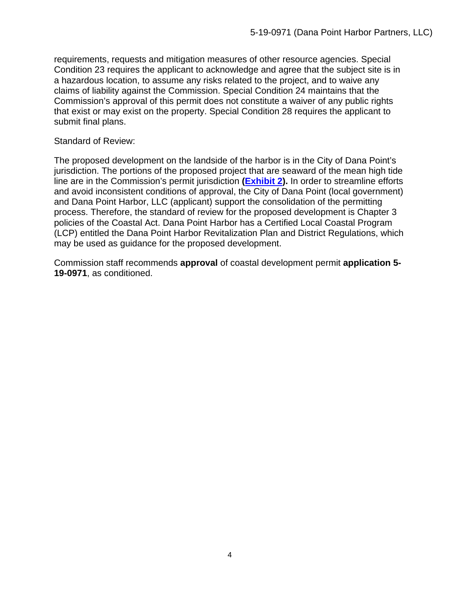requirements, requests and mitigation measures of other resource agencies. Special Condition 23 requires the applicant to acknowledge and agree that the subject site is in a hazardous location, to assume any risks related to the project, and to waive any claims of liability against the Commission. Special Condition 24 maintains that the Commission's approval of this permit does not constitute a waiver of any public rights that exist or may exist on the property. Special Condition 28 requires the applicant to submit final plans.

#### Standard of Review:

The proposed development on the landside of the harbor is in the City of Dana Point's jurisdiction. The portions of the proposed project that are seaward of the mean high tide line are in the Commission's permit jurisdiction **[\(Exhibit 2\)](https://documents.coastal.ca.gov/reports/2020/9/W13c/W13c-9-2020-exhibits.pdf).** In order to streamline efforts and avoid inconsistent conditions of approval, the City of Dana Point (local government) and Dana Point Harbor, LLC (applicant) support the consolidation of the permitting process. Therefore, the standard of review for the proposed development is Chapter 3 policies of the Coastal Act. Dana Point Harbor has a Certified Local Coastal Program (LCP) entitled the Dana Point Harbor Revitalization Plan and District Regulations, which may be used as guidance for the proposed development.

Commission staff recommends **approval** of coastal development permit **application 5- 19-0971**, as conditioned.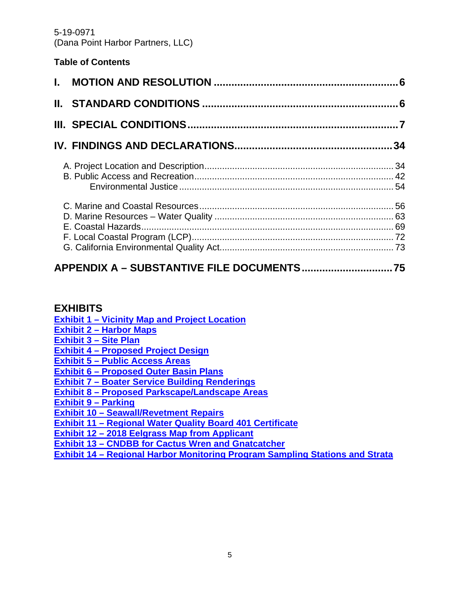#### **Table of Contents**

## **[APPENDIX A – SUBSTANTIVE FILE DOCUMENTS...............................75](#page-74-0)**

#### **EXHIBITS**

**[Exhibit 1 – Vicinity Map and Project Location](https://documents.coastal.ca.gov/reports/2020/9/W13c/W13c-9-2020-exhibits.pdf)**

- **[Exhibit 2 Harbor Maps](https://documents.coastal.ca.gov/reports/2020/9/W13c/W13c-9-2020-exhibits.pdf)**
- **[Exhibit 3 Site Plan](https://documents.coastal.ca.gov/reports/2020/9/W13c/W13c-9-2020-exhibits.pdf)**

**[Exhibit 4 – Proposed Project Design](https://documents.coastal.ca.gov/reports/2020/9/W13c/W13c-9-2020-exhibits.pdf)** 

**[Exhibit 5 – Public Access Areas](https://documents.coastal.ca.gov/reports/2020/9/W13c/W13c-9-2020-exhibits.pdf)** 

**[Exhibit 6 – Proposed Outer Basin Plans](https://documents.coastal.ca.gov/reports/2020/9/W13c/W13c-9-2020-exhibits.pdf)**

**[Exhibit 7 – Boater Service Building Renderings](https://documents.coastal.ca.gov/reports/2020/9/W13c/W13c-9-2020-exhibits.pdf)** 

**[Exhibit 8 – Proposed Parkscape/Landscape Areas](https://documents.coastal.ca.gov/reports/2020/9/W13c/W13c-9-2020-exhibits.pdf)** 

**[Exhibit 9 – Parking](https://documents.coastal.ca.gov/reports/2020/9/W13c/W13c-9-2020-exhibits.pdf)**

**[Exhibit 10 – Seawall/Revetment Repairs](https://documents.coastal.ca.gov/reports/2020/9/W13c/W13c-9-2020-exhibits.pdf)**

**[Exhibit 11 – Regional Water Quality Board 401 Certificate](https://documents.coastal.ca.gov/reports/2020/9/W13c/W13c-9-2020-exhibits.pdf)** 

**[Exhibit 12 – 2018 Eelgrass Map from Applicant](https://documents.coastal.ca.gov/reports/2020/9/W13c/W13c-9-2020-exhibits.pdf)** 

**[Exhibit 13 – CNDBB for Cactus Wren and Gnatcatcher](https://documents.coastal.ca.gov/reports/2020/9/W13c/W13c-9-2020-exhibits.pdf)** 

**[Exhibit 14 – Regional Harbor Monitoring Program Sampling Stations and Strata](https://documents.coastal.ca.gov/reports/2020/9/W13c/W13c-9-2020-exhibits.pdf)**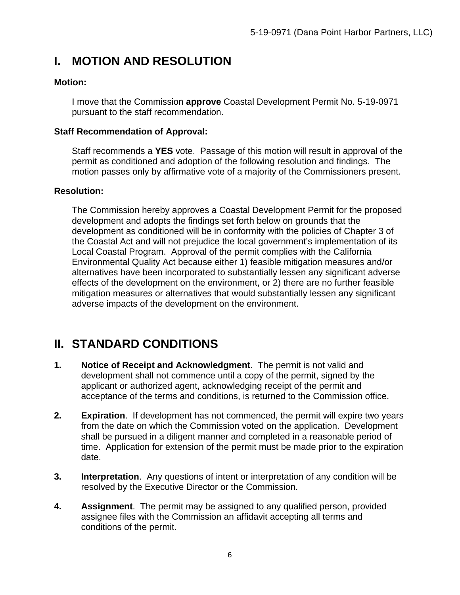# <span id="page-5-0"></span>**I. MOTION AND RESOLUTION**

#### **Motion:**

I move that the Commission **approve** Coastal Development Permit No. 5-19-0971 pursuant to the staff recommendation.

#### **Staff Recommendation of Approval:**

Staff recommends a **YES** vote. Passage of this motion will result in approval of the permit as conditioned and adoption of the following resolution and findings. The motion passes only by affirmative vote of a majority of the Commissioners present.

#### **Resolution:**

The Commission hereby approves a Coastal Development Permit for the proposed development and adopts the findings set forth below on grounds that the development as conditioned will be in conformity with the policies of Chapter 3 of the Coastal Act and will not prejudice the local government's implementation of its Local Coastal Program. Approval of the permit complies with the California Environmental Quality Act because either 1) feasible mitigation measures and/or alternatives have been incorporated to substantially lessen any significant adverse effects of the development on the environment, or 2) there are no further feasible mitigation measures or alternatives that would substantially lessen any significant adverse impacts of the development on the environment.

# <span id="page-5-1"></span>**II. STANDARD CONDITIONS**

- **1. Notice of Receipt and Acknowledgment**. The permit is not valid and development shall not commence until a copy of the permit, signed by the applicant or authorized agent, acknowledging receipt of the permit and acceptance of the terms and conditions, is returned to the Commission office.
- **2. Expiration**. If development has not commenced, the permit will expire two years from the date on which the Commission voted on the application. Development shall be pursued in a diligent manner and completed in a reasonable period of time. Application for extension of the permit must be made prior to the expiration date.
- **3. Interpretation**. Any questions of intent or interpretation of any condition will be resolved by the Executive Director or the Commission.
- **4. Assignment**. The permit may be assigned to any qualified person, provided assignee files with the Commission an affidavit accepting all terms and conditions of the permit.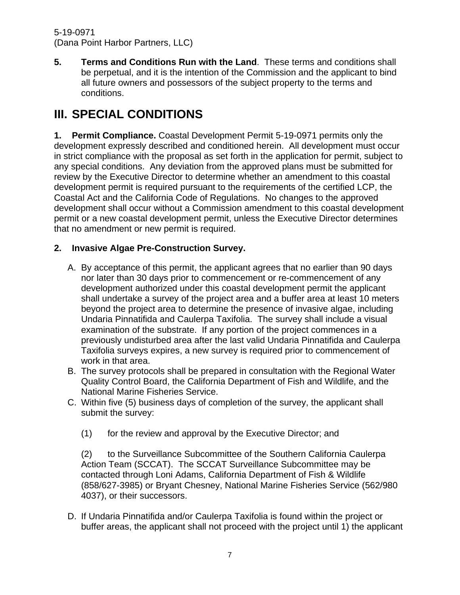**5. Terms and Conditions Run with the Land**. These terms and conditions shall be perpetual, and it is the intention of the Commission and the applicant to bind all future owners and possessors of the subject property to the terms and conditions.

# <span id="page-6-0"></span>**III. SPECIAL CONDITIONS**

**1. Permit Compliance.** Coastal Development Permit 5-19-0971 permits only the development expressly described and conditioned herein. All development must occur in strict compliance with the proposal as set forth in the application for permit, subject to any special conditions. Any deviation from the approved plans must be submitted for review by the Executive Director to determine whether an amendment to this coastal development permit is required pursuant to the requirements of the certified LCP, the Coastal Act and the California Code of Regulations. No changes to the approved development shall occur without a Commission amendment to this coastal development permit or a new coastal development permit, unless the Executive Director determines that no amendment or new permit is required.

#### **2. Invasive Algae Pre-Construction Survey.**

- A. By acceptance of this permit, the applicant agrees that no earlier than 90 days nor later than 30 days prior to commencement or re-commencement of any development authorized under this coastal development permit the applicant shall undertake a survey of the project area and a buffer area at least 10 meters beyond the project area to determine the presence of invasive algae, including Undaria Pinnatifida and Caulerpa Taxifolia. The survey shall include a visual examination of the substrate. If any portion of the project commences in a previously undisturbed area after the last valid Undaria Pinnatifida and Caulerpa Taxifolia surveys expires, a new survey is required prior to commencement of work in that area.
- B. The survey protocols shall be prepared in consultation with the Regional Water Quality Control Board, the California Department of Fish and Wildlife, and the National Marine Fisheries Service.
- C. Within five (5) business days of completion of the survey, the applicant shall submit the survey:
	- (1) for the review and approval by the Executive Director; and

(2) to the Surveillance Subcommittee of the Southern California Caulerpa Action Team (SCCAT). The SCCAT Surveillance Subcommittee may be contacted through Loni Adams, California Department of Fish & Wildlife (858/627-3985) or Bryant Chesney, National Marine Fisheries Service (562/980 4037), or their successors.

D. If Undaria Pinnatifida and/or Caulerpa Taxifolia is found within the project or buffer areas, the applicant shall not proceed with the project until 1) the applicant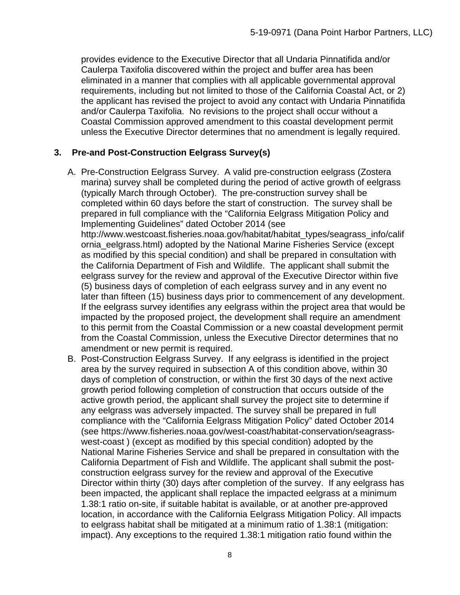provides evidence to the Executive Director that all Undaria Pinnatifida and/or Caulerpa Taxifolia discovered within the project and buffer area has been eliminated in a manner that complies with all applicable governmental approval requirements, including but not limited to those of the California Coastal Act, or 2) the applicant has revised the project to avoid any contact with Undaria Pinnatifida and/or Caulerpa Taxifolia. No revisions to the project shall occur without a Coastal Commission approved amendment to this coastal development permit unless the Executive Director determines that no amendment is legally required.

#### **3. Pre-and Post-Construction Eelgrass Survey(s)**

- A. Pre-Construction Eelgrass Survey. A valid pre-construction eelgrass (Zostera marina) survey shall be completed during the period of active growth of eelgrass (typically March through October). The pre-construction survey shall be completed within 60 days before the start of construction. The survey shall be prepared in full compliance with the "California Eelgrass Mitigation Policy and Implementing Guidelines" dated October 2014 (see http://www.westcoast.fisheries.noaa.gov/habitat/habitat\_types/seagrass\_info/calif ornia\_eelgrass.html) adopted by the National Marine Fisheries Service (except as modified by this special condition) and shall be prepared in consultation with the California Department of Fish and Wildlife. The applicant shall submit the eelgrass survey for the review and approval of the Executive Director within five (5) business days of completion of each eelgrass survey and in any event no later than fifteen (15) business days prior to commencement of any development. If the eelgrass survey identifies any eelgrass within the project area that would be impacted by the proposed project, the development shall require an amendment to this permit from the Coastal Commission or a new coastal development permit from the Coastal Commission, unless the Executive Director determines that no amendment or new permit is required.
- B. Post-Construction Eelgrass Survey. If any eelgrass is identified in the project area by the survey required in subsection A of this condition above, within 30 days of completion of construction, or within the first 30 days of the next active growth period following completion of construction that occurs outside of the active growth period, the applicant shall survey the project site to determine if any eelgrass was adversely impacted. The survey shall be prepared in full compliance with the "California Eelgrass Mitigation Policy" dated October 2014 (see https://www.fisheries.noaa.gov/west-coast/habitat-conservation/seagrasswest-coast ) (except as modified by this special condition) adopted by the National Marine Fisheries Service and shall be prepared in consultation with the California Department of Fish and Wildlife. The applicant shall submit the postconstruction eelgrass survey for the review and approval of the Executive Director within thirty (30) days after completion of the survey. If any eelgrass has been impacted, the applicant shall replace the impacted eelgrass at a minimum 1.38:1 ratio on-site, if suitable habitat is available, or at another pre-approved location, in accordance with the California Eelgrass Mitigation Policy. All impacts to eelgrass habitat shall be mitigated at a minimum ratio of 1.38:1 (mitigation: impact). Any exceptions to the required 1.38:1 mitigation ratio found within the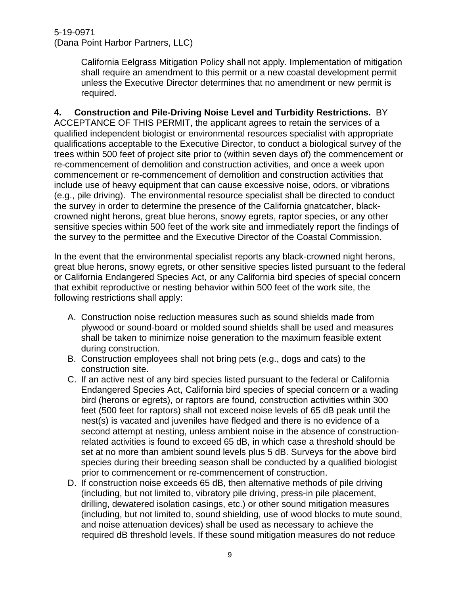> California Eelgrass Mitigation Policy shall not apply. Implementation of mitigation shall require an amendment to this permit or a new coastal development permit unless the Executive Director determines that no amendment or new permit is required.

#### **4. Construction and Pile-Driving Noise Level and Turbidity Restrictions.** BY

ACCEPTANCE OF THIS PERMIT, the applicant agrees to retain the services of a qualified independent biologist or environmental resources specialist with appropriate qualifications acceptable to the Executive Director, to conduct a biological survey of the trees within 500 feet of project site prior to (within seven days of) the commencement or re-commencement of demolition and construction activities, and once a week upon commencement or re-commencement of demolition and construction activities that include use of heavy equipment that can cause excessive noise, odors, or vibrations (e.g., pile driving). The environmental resource specialist shall be directed to conduct the survey in order to determine the presence of the California gnatcatcher, blackcrowned night herons, great blue herons, snowy egrets, raptor species, or any other sensitive species within 500 feet of the work site and immediately report the findings of the survey to the permittee and the Executive Director of the Coastal Commission.

In the event that the environmental specialist reports any black-crowned night herons, great blue herons, snowy egrets, or other sensitive species listed pursuant to the federal or California Endangered Species Act, or any California bird species of special concern that exhibit reproductive or nesting behavior within 500 feet of the work site, the following restrictions shall apply:

- A. Construction noise reduction measures such as sound shields made from plywood or sound-board or molded sound shields shall be used and measures shall be taken to minimize noise generation to the maximum feasible extent during construction.
- B. Construction employees shall not bring pets (e.g., dogs and cats) to the construction site.
- C. If an active nest of any bird species listed pursuant to the federal or California Endangered Species Act, California bird species of special concern or a wading bird (herons or egrets), or raptors are found, construction activities within 300 feet (500 feet for raptors) shall not exceed noise levels of 65 dB peak until the nest(s) is vacated and juveniles have fledged and there is no evidence of a second attempt at nesting, unless ambient noise in the absence of constructionrelated activities is found to exceed 65 dB, in which case a threshold should be set at no more than ambient sound levels plus 5 dB. Surveys for the above bird species during their breeding season shall be conducted by a qualified biologist prior to commencement or re-commencement of construction.
- D. If construction noise exceeds 65 dB, then alternative methods of pile driving (including, but not limited to, vibratory pile driving, press-in pile placement, drilling, dewatered isolation casings, etc.) or other sound mitigation measures (including, but not limited to, sound shielding, use of wood blocks to mute sound, and noise attenuation devices) shall be used as necessary to achieve the required dB threshold levels. If these sound mitigation measures do not reduce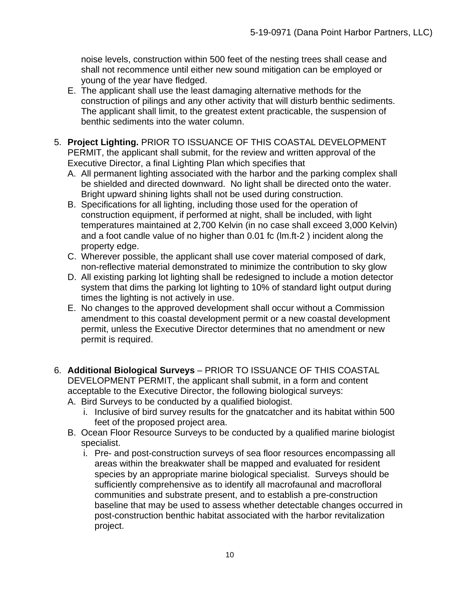noise levels, construction within 500 feet of the nesting trees shall cease and shall not recommence until either new sound mitigation can be employed or young of the year have fledged.

- E. The applicant shall use the least damaging alternative methods for the construction of pilings and any other activity that will disturb benthic sediments. The applicant shall limit, to the greatest extent practicable, the suspension of benthic sediments into the water column.
- 5. **Project Lighting.** PRIOR TO ISSUANCE OF THIS COASTAL DEVELOPMENT PERMIT, the applicant shall submit, for the review and written approval of the Executive Director, a final Lighting Plan which specifies that
	- A. All permanent lighting associated with the harbor and the parking complex shall be shielded and directed downward. No light shall be directed onto the water. Bright upward shining lights shall not be used during construction.
	- B. Specifications for all lighting, including those used for the operation of construction equipment, if performed at night, shall be included, with light temperatures maintained at 2,700 Kelvin (in no case shall exceed 3,000 Kelvin) and a foot candle value of no higher than 0.01 fc (lm.ft-2 ) incident along the property edge.
	- C. Wherever possible, the applicant shall use cover material composed of dark, non-reflective material demonstrated to minimize the contribution to sky glow
	- D. All existing parking lot lighting shall be redesigned to include a motion detector system that dims the parking lot lighting to 10% of standard light output during times the lighting is not actively in use.
	- E. No changes to the approved development shall occur without a Commission amendment to this coastal development permit or a new coastal development permit, unless the Executive Director determines that no amendment or new permit is required.
- 6. **Additional Biological Surveys** PRIOR TO ISSUANCE OF THIS COASTAL DEVELOPMENT PERMIT, the applicant shall submit, in a form and content acceptable to the Executive Director, the following biological surveys:
	- A. Bird Surveys to be conducted by a qualified biologist.
		- i. Inclusive of bird survey results for the gnatcatcher and its habitat within 500 feet of the proposed project area.
	- B. Ocean Floor Resource Surveys to be conducted by a qualified marine biologist specialist.
		- i. Pre- and post-construction surveys of sea floor resources encompassing all areas within the breakwater shall be mapped and evaluated for resident species by an appropriate marine biological specialist. Surveys should be sufficiently comprehensive as to identify all macrofaunal and macrofloral communities and substrate present, and to establish a pre-construction baseline that may be used to assess whether detectable changes occurred in post-construction benthic habitat associated with the harbor revitalization project.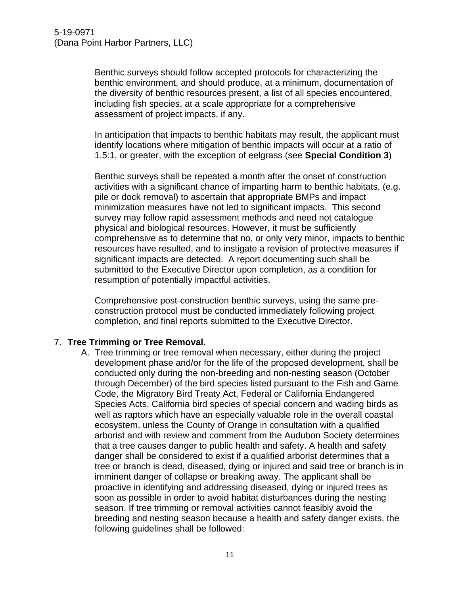Benthic surveys should follow accepted protocols for characterizing the benthic environment, and should produce, at a minimum, documentation of the diversity of benthic resources present, a list of all species encountered, including fish species, at a scale appropriate for a comprehensive assessment of project impacts, if any.

In anticipation that impacts to benthic habitats may result, the applicant must identify locations where mitigation of benthic impacts will occur at a ratio of 1.5:1, or greater, with the exception of eelgrass (see **Special Condition 3**)

Benthic surveys shall be repeated a month after the onset of construction activities with a significant chance of imparting harm to benthic habitats, (e.g. pile or dock removal) to ascertain that appropriate BMPs and impact minimization measures have not led to significant impacts. This second survey may follow rapid assessment methods and need not catalogue physical and biological resources. However, it must be sufficiently comprehensive as to determine that no, or only very minor, impacts to benthic resources have resulted, and to instigate a revision of protective measures if significant impacts are detected. A report documenting such shall be submitted to the Executive Director upon completion, as a condition for resumption of potentially impactful activities.

Comprehensive post-construction benthic surveys, using the same preconstruction protocol must be conducted immediately following project completion, and final reports submitted to the Executive Director.

#### 7. **Tree Trimming or Tree Removal.**

A. Tree trimming or tree removal when necessary, either during the project development phase and/or for the life of the proposed development, shall be conducted only during the non-breeding and non-nesting season (October through December) of the bird species listed pursuant to the Fish and Game Code, the Migratory Bird Treaty Act, Federal or California Endangered Species Acts, California bird species of special concern and wading birds as well as raptors which have an especially valuable role in the overall coastal ecosystem, unless the County of Orange in consultation with a qualified arborist and with review and comment from the Audubon Society determines that a tree causes danger to public health and safety. A health and safety danger shall be considered to exist if a qualified arborist determines that a tree or branch is dead, diseased, dying or injured and said tree or branch is in imminent danger of collapse or breaking away. The applicant shall be proactive in identifying and addressing diseased, dying or injured trees as soon as possible in order to avoid habitat disturbances during the nesting season. If tree trimming or removal activities cannot feasibly avoid the breeding and nesting season because a health and safety danger exists, the following guidelines shall be followed: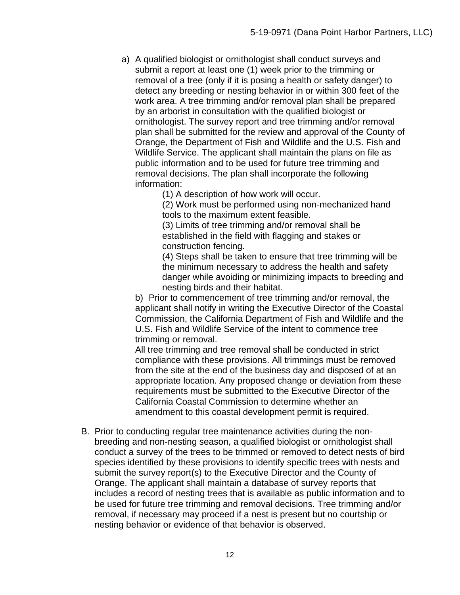a) A qualified biologist or ornithologist shall conduct surveys and submit a report at least one (1) week prior to the trimming or removal of a tree (only if it is posing a health or safety danger) to detect any breeding or nesting behavior in or within 300 feet of the work area. A tree trimming and/or removal plan shall be prepared by an arborist in consultation with the qualified biologist or ornithologist. The survey report and tree trimming and/or removal plan shall be submitted for the review and approval of the County of Orange, the Department of Fish and Wildlife and the U.S. Fish and Wildlife Service. The applicant shall maintain the plans on file as public information and to be used for future tree trimming and removal decisions. The plan shall incorporate the following information:

(1) A description of how work will occur.

(2) Work must be performed using non-mechanized hand tools to the maximum extent feasible.

(3) Limits of tree trimming and/or removal shall be established in the field with flagging and stakes or construction fencing.

(4) Steps shall be taken to ensure that tree trimming will be the minimum necessary to address the health and safety danger while avoiding or minimizing impacts to breeding and nesting birds and their habitat.

b) Prior to commencement of tree trimming and/or removal, the applicant shall notify in writing the Executive Director of the Coastal Commission, the California Department of Fish and Wildlife and the U.S. Fish and Wildlife Service of the intent to commence tree trimming or removal.

All tree trimming and tree removal shall be conducted in strict compliance with these provisions. All trimmings must be removed from the site at the end of the business day and disposed of at an appropriate location. Any proposed change or deviation from these requirements must be submitted to the Executive Director of the California Coastal Commission to determine whether an amendment to this coastal development permit is required.

B. Prior to conducting regular tree maintenance activities during the nonbreeding and non-nesting season, a qualified biologist or ornithologist shall conduct a survey of the trees to be trimmed or removed to detect nests of bird species identified by these provisions to identify specific trees with nests and submit the survey report(s) to the Executive Director and the County of Orange. The applicant shall maintain a database of survey reports that includes a record of nesting trees that is available as public information and to be used for future tree trimming and removal decisions. Tree trimming and/or removal, if necessary may proceed if a nest is present but no courtship or nesting behavior or evidence of that behavior is observed.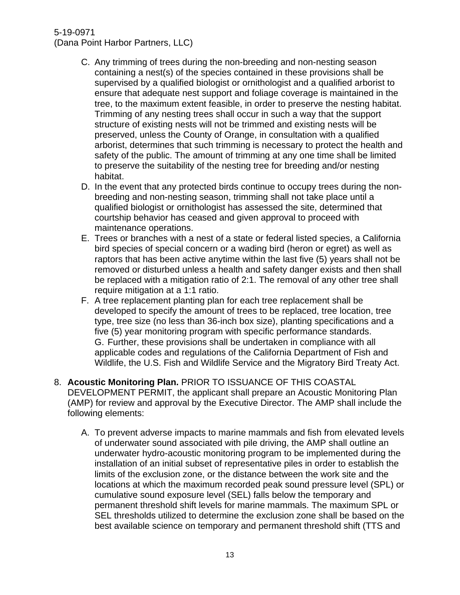#### 5-19-0971

(Dana Point Harbor Partners, LLC)

- C. Any trimming of trees during the non-breeding and non-nesting season containing a nest(s) of the species contained in these provisions shall be supervised by a qualified biologist or ornithologist and a qualified arborist to ensure that adequate nest support and foliage coverage is maintained in the tree, to the maximum extent feasible, in order to preserve the nesting habitat. Trimming of any nesting trees shall occur in such a way that the support structure of existing nests will not be trimmed and existing nests will be preserved, unless the County of Orange, in consultation with a qualified arborist, determines that such trimming is necessary to protect the health and safety of the public. The amount of trimming at any one time shall be limited to preserve the suitability of the nesting tree for breeding and/or nesting habitat.
- D. In the event that any protected birds continue to occupy trees during the nonbreeding and non-nesting season, trimming shall not take place until a qualified biologist or ornithologist has assessed the site, determined that courtship behavior has ceased and given approval to proceed with maintenance operations.
- E. Trees or branches with a nest of a state or federal listed species, a California bird species of special concern or a wading bird (heron or egret) as well as raptors that has been active anytime within the last five (5) years shall not be removed or disturbed unless a health and safety danger exists and then shall be replaced with a mitigation ratio of 2:1. The removal of any other tree shall require mitigation at a 1:1 ratio.
- F. A tree replacement planting plan for each tree replacement shall be developed to specify the amount of trees to be replaced, tree location, tree type, tree size (no less than 36-inch box size), planting specifications and a five (5) year monitoring program with specific performance standards. G. Further, these provisions shall be undertaken in compliance with all applicable codes and regulations of the California Department of Fish and Wildlife, the U.S. Fish and Wildlife Service and the Migratory Bird Treaty Act.
- 8. **Acoustic Monitoring Plan.** PRIOR TO ISSUANCE OF THIS COASTAL DEVELOPMENT PERMIT, the applicant shall prepare an Acoustic Monitoring Plan (AMP) for review and approval by the Executive Director. The AMP shall include the following elements:
	- A. To prevent adverse impacts to marine mammals and fish from elevated levels of underwater sound associated with pile driving, the AMP shall outline an underwater hydro-acoustic monitoring program to be implemented during the installation of an initial subset of representative piles in order to establish the limits of the exclusion zone, or the distance between the work site and the locations at which the maximum recorded peak sound pressure level (SPL) or cumulative sound exposure level (SEL) falls below the temporary and permanent threshold shift levels for marine mammals. The maximum SPL or SEL thresholds utilized to determine the exclusion zone shall be based on the best available science on temporary and permanent threshold shift (TTS and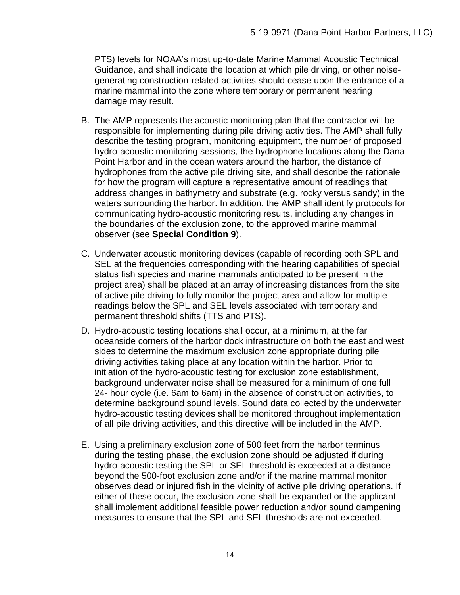PTS) levels for NOAA's most up-to-date Marine Mammal Acoustic Technical Guidance, and shall indicate the location at which pile driving, or other noisegenerating construction-related activities should cease upon the entrance of a marine mammal into the zone where temporary or permanent hearing damage may result.

- B. The AMP represents the acoustic monitoring plan that the contractor will be responsible for implementing during pile driving activities. The AMP shall fully describe the testing program, monitoring equipment, the number of proposed hydro-acoustic monitoring sessions, the hydrophone locations along the Dana Point Harbor and in the ocean waters around the harbor, the distance of hydrophones from the active pile driving site, and shall describe the rationale for how the program will capture a representative amount of readings that address changes in bathymetry and substrate (e.g. rocky versus sandy) in the waters surrounding the harbor. In addition, the AMP shall identify protocols for communicating hydro-acoustic monitoring results, including any changes in the boundaries of the exclusion zone, to the approved marine mammal observer (see **Special Condition 9**).
- C. Underwater acoustic monitoring devices (capable of recording both SPL and SEL at the frequencies corresponding with the hearing capabilities of special status fish species and marine mammals anticipated to be present in the project area) shall be placed at an array of increasing distances from the site of active pile driving to fully monitor the project area and allow for multiple readings below the SPL and SEL levels associated with temporary and permanent threshold shifts (TTS and PTS).
- D. Hydro-acoustic testing locations shall occur, at a minimum, at the far oceanside corners of the harbor dock infrastructure on both the east and west sides to determine the maximum exclusion zone appropriate during pile driving activities taking place at any location within the harbor. Prior to initiation of the hydro-acoustic testing for exclusion zone establishment, background underwater noise shall be measured for a minimum of one full 24- hour cycle (i.e. 6am to 6am) in the absence of construction activities, to determine background sound levels. Sound data collected by the underwater hydro-acoustic testing devices shall be monitored throughout implementation of all pile driving activities, and this directive will be included in the AMP.
- E. Using a preliminary exclusion zone of 500 feet from the harbor terminus during the testing phase, the exclusion zone should be adjusted if during hydro-acoustic testing the SPL or SEL threshold is exceeded at a distance beyond the 500-foot exclusion zone and/or if the marine mammal monitor observes dead or injured fish in the vicinity of active pile driving operations. If either of these occur, the exclusion zone shall be expanded or the applicant shall implement additional feasible power reduction and/or sound dampening measures to ensure that the SPL and SEL thresholds are not exceeded.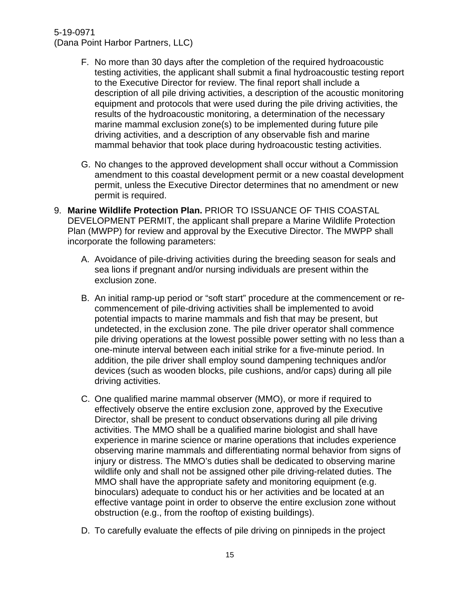#### 5-19-0971

(Dana Point Harbor Partners, LLC)

- F. No more than 30 days after the completion of the required hydroacoustic testing activities, the applicant shall submit a final hydroacoustic testing report to the Executive Director for review. The final report shall include a description of all pile driving activities, a description of the acoustic monitoring equipment and protocols that were used during the pile driving activities, the results of the hydroacoustic monitoring, a determination of the necessary marine mammal exclusion zone(s) to be implemented during future pile driving activities, and a description of any observable fish and marine mammal behavior that took place during hydroacoustic testing activities.
- G. No changes to the approved development shall occur without a Commission amendment to this coastal development permit or a new coastal development permit, unless the Executive Director determines that no amendment or new permit is required.
- 9. **Marine Wildlife Protection Plan.** PRIOR TO ISSUANCE OF THIS COASTAL DEVELOPMENT PERMIT, the applicant shall prepare a Marine Wildlife Protection Plan (MWPP) for review and approval by the Executive Director. The MWPP shall incorporate the following parameters:
	- A. Avoidance of pile-driving activities during the breeding season for seals and sea lions if pregnant and/or nursing individuals are present within the exclusion zone.
	- B. An initial ramp-up period or "soft start" procedure at the commencement or recommencement of pile-driving activities shall be implemented to avoid potential impacts to marine mammals and fish that may be present, but undetected, in the exclusion zone. The pile driver operator shall commence pile driving operations at the lowest possible power setting with no less than a one-minute interval between each initial strike for a five-minute period. In addition, the pile driver shall employ sound dampening techniques and/or devices (such as wooden blocks, pile cushions, and/or caps) during all pile driving activities.
	- C. One qualified marine mammal observer (MMO), or more if required to effectively observe the entire exclusion zone, approved by the Executive Director, shall be present to conduct observations during all pile driving activities. The MMO shall be a qualified marine biologist and shall have experience in marine science or marine operations that includes experience observing marine mammals and differentiating normal behavior from signs of injury or distress. The MMO's duties shall be dedicated to observing marine wildlife only and shall not be assigned other pile driving-related duties. The MMO shall have the appropriate safety and monitoring equipment (e.g. binoculars) adequate to conduct his or her activities and be located at an effective vantage point in order to observe the entire exclusion zone without obstruction (e.g., from the rooftop of existing buildings).
	- D. To carefully evaluate the effects of pile driving on pinnipeds in the project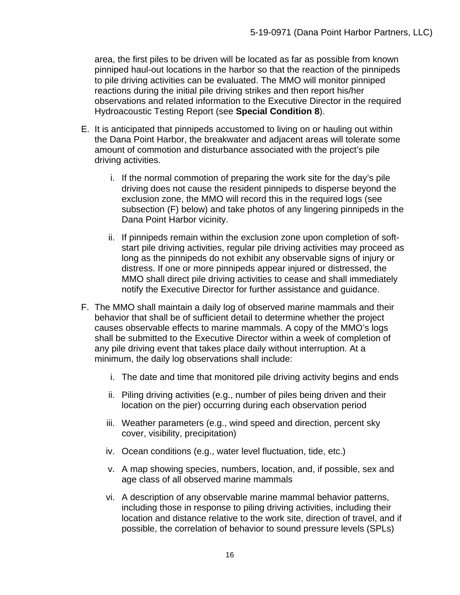area, the first piles to be driven will be located as far as possible from known pinniped haul-out locations in the harbor so that the reaction of the pinnipeds to pile driving activities can be evaluated. The MMO will monitor pinniped reactions during the initial pile driving strikes and then report his/her observations and related information to the Executive Director in the required Hydroacoustic Testing Report (see **Special Condition 8**).

- E. It is anticipated that pinnipeds accustomed to living on or hauling out within the Dana Point Harbor, the breakwater and adjacent areas will tolerate some amount of commotion and disturbance associated with the project's pile driving activities.
	- i. If the normal commotion of preparing the work site for the day's pile driving does not cause the resident pinnipeds to disperse beyond the exclusion zone, the MMO will record this in the required logs (see subsection (F) below) and take photos of any lingering pinnipeds in the Dana Point Harbor vicinity.
	- ii. If pinnipeds remain within the exclusion zone upon completion of softstart pile driving activities, regular pile driving activities may proceed as long as the pinnipeds do not exhibit any observable signs of injury or distress. If one or more pinnipeds appear injured or distressed, the MMO shall direct pile driving activities to cease and shall immediately notify the Executive Director for further assistance and guidance.
- F. The MMO shall maintain a daily log of observed marine mammals and their behavior that shall be of sufficient detail to determine whether the project causes observable effects to marine mammals. A copy of the MMO's logs shall be submitted to the Executive Director within a week of completion of any pile driving event that takes place daily without interruption. At a minimum, the daily log observations shall include:
	- i. The date and time that monitored pile driving activity begins and ends
	- ii. Piling driving activities (e.g., number of piles being driven and their location on the pier) occurring during each observation period
	- iii. Weather parameters (e.g., wind speed and direction, percent sky cover, visibility, precipitation)
	- iv. Ocean conditions (e.g., water level fluctuation, tide, etc.)
	- v. A map showing species, numbers, location, and, if possible, sex and age class of all observed marine mammals
	- vi. A description of any observable marine mammal behavior patterns, including those in response to piling driving activities, including their location and distance relative to the work site, direction of travel, and if possible, the correlation of behavior to sound pressure levels (SPLs)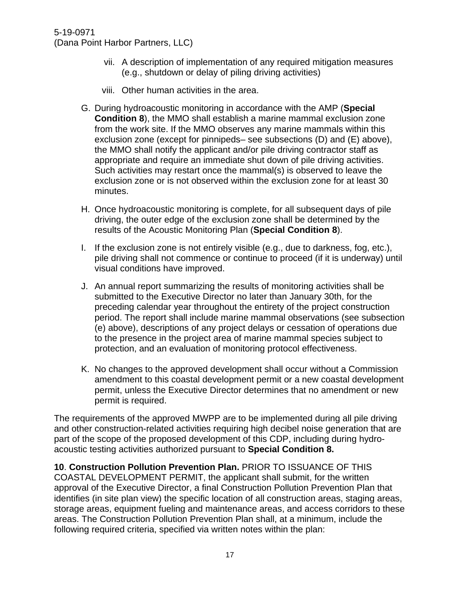- vii. A description of implementation of any required mitigation measures (e.g., shutdown or delay of piling driving activities)
- viii. Other human activities in the area.
- G. During hydroacoustic monitoring in accordance with the AMP (**Special Condition 8**), the MMO shall establish a marine mammal exclusion zone from the work site. If the MMO observes any marine mammals within this exclusion zone (except for pinnipeds– see subsections (D) and (E) above), the MMO shall notify the applicant and/or pile driving contractor staff as appropriate and require an immediate shut down of pile driving activities. Such activities may restart once the mammal(s) is observed to leave the exclusion zone or is not observed within the exclusion zone for at least 30 minutes.
- H. Once hydroacoustic monitoring is complete, for all subsequent days of pile driving, the outer edge of the exclusion zone shall be determined by the results of the Acoustic Monitoring Plan (**Special Condition 8**).
- I. If the exclusion zone is not entirely visible (e.g., due to darkness, fog, etc.), pile driving shall not commence or continue to proceed (if it is underway) until visual conditions have improved.
- J. An annual report summarizing the results of monitoring activities shall be submitted to the Executive Director no later than January 30th, for the preceding calendar year throughout the entirety of the project construction period. The report shall include marine mammal observations (see subsection (e) above), descriptions of any project delays or cessation of operations due to the presence in the project area of marine mammal species subject to protection, and an evaluation of monitoring protocol effectiveness.
- K. No changes to the approved development shall occur without a Commission amendment to this coastal development permit or a new coastal development permit, unless the Executive Director determines that no amendment or new permit is required.

The requirements of the approved MWPP are to be implemented during all pile driving and other construction-related activities requiring high decibel noise generation that are part of the scope of the proposed development of this CDP, including during hydroacoustic testing activities authorized pursuant to **Special Condition 8.**

**10**. **Construction Pollution Prevention Plan.** PRIOR TO ISSUANCE OF THIS COASTAL DEVELOPMENT PERMIT, the applicant shall submit, for the written approval of the Executive Director, a final Construction Pollution Prevention Plan that identifies (in site plan view) the specific location of all construction areas, staging areas, storage areas, equipment fueling and maintenance areas, and access corridors to these areas. The Construction Pollution Prevention Plan shall, at a minimum, include the following required criteria, specified via written notes within the plan: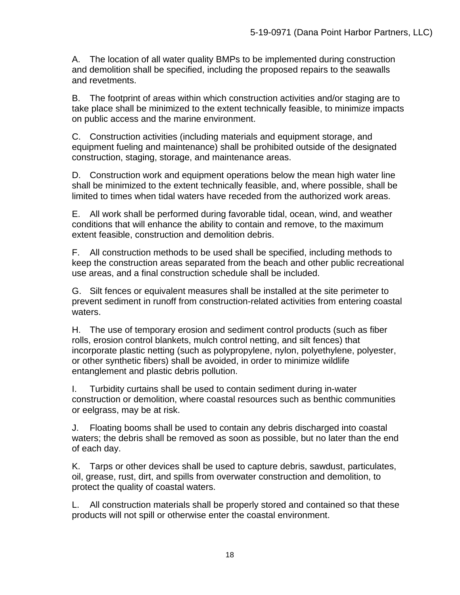A. The location of all water quality BMPs to be implemented during construction and demolition shall be specified, including the proposed repairs to the seawalls and revetments.

B. The footprint of areas within which construction activities and/or staging are to take place shall be minimized to the extent technically feasible, to minimize impacts on public access and the marine environment.

C. Construction activities (including materials and equipment storage, and equipment fueling and maintenance) shall be prohibited outside of the designated construction, staging, storage, and maintenance areas.

D. Construction work and equipment operations below the mean high water line shall be minimized to the extent technically feasible, and, where possible, shall be limited to times when tidal waters have receded from the authorized work areas.

E. All work shall be performed during favorable tidal, ocean, wind, and weather conditions that will enhance the ability to contain and remove, to the maximum extent feasible, construction and demolition debris.

F. All construction methods to be used shall be specified, including methods to keep the construction areas separated from the beach and other public recreational use areas, and a final construction schedule shall be included.

G. Silt fences or equivalent measures shall be installed at the site perimeter to prevent sediment in runoff from construction-related activities from entering coastal waters.

H. The use of temporary erosion and sediment control products (such as fiber rolls, erosion control blankets, mulch control netting, and silt fences) that incorporate plastic netting (such as polypropylene, nylon, polyethylene, polyester, or other synthetic fibers) shall be avoided, in order to minimize wildlife entanglement and plastic debris pollution.

I. Turbidity curtains shall be used to contain sediment during in-water construction or demolition, where coastal resources such as benthic communities or eelgrass, may be at risk.

J. Floating booms shall be used to contain any debris discharged into coastal waters; the debris shall be removed as soon as possible, but no later than the end of each day.

K. Tarps or other devices shall be used to capture debris, sawdust, particulates, oil, grease, rust, dirt, and spills from overwater construction and demolition, to protect the quality of coastal waters.

L. All construction materials shall be properly stored and contained so that these products will not spill or otherwise enter the coastal environment.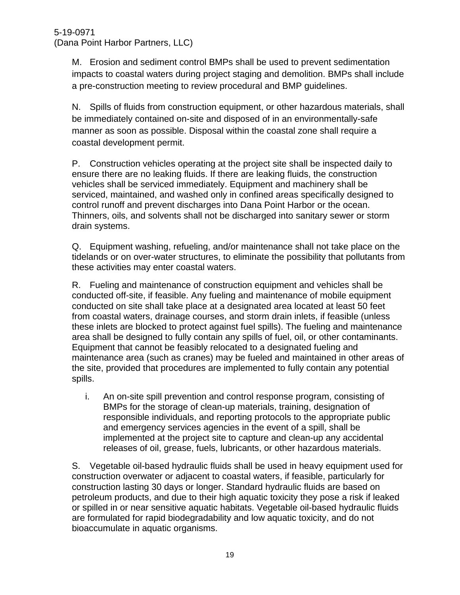M. Erosion and sediment control BMPs shall be used to prevent sedimentation impacts to coastal waters during project staging and demolition. BMPs shall include a pre-construction meeting to review procedural and BMP guidelines.

N. Spills of fluids from construction equipment, or other hazardous materials, shall be immediately contained on-site and disposed of in an environmentally-safe manner as soon as possible. Disposal within the coastal zone shall require a coastal development permit.

P. Construction vehicles operating at the project site shall be inspected daily to ensure there are no leaking fluids. If there are leaking fluids, the construction vehicles shall be serviced immediately. Equipment and machinery shall be serviced, maintained, and washed only in confined areas specifically designed to control runoff and prevent discharges into Dana Point Harbor or the ocean. Thinners, oils, and solvents shall not be discharged into sanitary sewer or storm drain systems.

Q. Equipment washing, refueling, and/or maintenance shall not take place on the tidelands or on over-water structures, to eliminate the possibility that pollutants from these activities may enter coastal waters.

R. Fueling and maintenance of construction equipment and vehicles shall be conducted off-site, if feasible. Any fueling and maintenance of mobile equipment conducted on site shall take place at a designated area located at least 50 feet from coastal waters, drainage courses, and storm drain inlets, if feasible (unless these inlets are blocked to protect against fuel spills). The fueling and maintenance area shall be designed to fully contain any spills of fuel, oil, or other contaminants. Equipment that cannot be feasibly relocated to a designated fueling and maintenance area (such as cranes) may be fueled and maintained in other areas of the site, provided that procedures are implemented to fully contain any potential spills.

i. An on-site spill prevention and control response program, consisting of BMPs for the storage of clean-up materials, training, designation of responsible individuals, and reporting protocols to the appropriate public and emergency services agencies in the event of a spill, shall be implemented at the project site to capture and clean-up any accidental releases of oil, grease, fuels, lubricants, or other hazardous materials.

S. Vegetable oil-based hydraulic fluids shall be used in heavy equipment used for construction overwater or adjacent to coastal waters, if feasible, particularly for construction lasting 30 days or longer. Standard hydraulic fluids are based on petroleum products, and due to their high aquatic toxicity they pose a risk if leaked or spilled in or near sensitive aquatic habitats. Vegetable oil-based hydraulic fluids are formulated for rapid biodegradability and low aquatic toxicity, and do not bioaccumulate in aquatic organisms.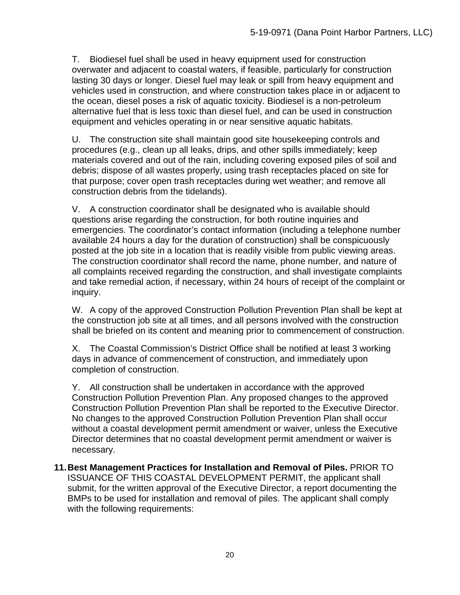T. Biodiesel fuel shall be used in heavy equipment used for construction overwater and adjacent to coastal waters, if feasible, particularly for construction lasting 30 days or longer. Diesel fuel may leak or spill from heavy equipment and vehicles used in construction, and where construction takes place in or adjacent to the ocean, diesel poses a risk of aquatic toxicity. Biodiesel is a non-petroleum alternative fuel that is less toxic than diesel fuel, and can be used in construction equipment and vehicles operating in or near sensitive aquatic habitats.

U. The construction site shall maintain good site housekeeping controls and procedures (e.g., clean up all leaks, drips, and other spills immediately; keep materials covered and out of the rain, including covering exposed piles of soil and debris; dispose of all wastes properly, using trash receptacles placed on site for that purpose; cover open trash receptacles during wet weather; and remove all construction debris from the tidelands).

V. A construction coordinator shall be designated who is available should questions arise regarding the construction, for both routine inquiries and emergencies. The coordinator's contact information (including a telephone number available 24 hours a day for the duration of construction) shall be conspicuously posted at the job site in a location that is readily visible from public viewing areas. The construction coordinator shall record the name, phone number, and nature of all complaints received regarding the construction, and shall investigate complaints and take remedial action, if necessary, within 24 hours of receipt of the complaint or inquiry.

W. A copy of the approved Construction Pollution Prevention Plan shall be kept at the construction job site at all times, and all persons involved with the construction shall be briefed on its content and meaning prior to commencement of construction.

X. The Coastal Commission's District Office shall be notified at least 3 working days in advance of commencement of construction, and immediately upon completion of construction.

Y. All construction shall be undertaken in accordance with the approved Construction Pollution Prevention Plan. Any proposed changes to the approved Construction Pollution Prevention Plan shall be reported to the Executive Director. No changes to the approved Construction Pollution Prevention Plan shall occur without a coastal development permit amendment or waiver, unless the Executive Director determines that no coastal development permit amendment or waiver is necessary.

**11.Best Management Practices for Installation and Removal of Piles.** PRIOR TO ISSUANCE OF THIS COASTAL DEVELOPMENT PERMIT, the applicant shall submit, for the written approval of the Executive Director, a report documenting the BMPs to be used for installation and removal of piles. The applicant shall comply with the following requirements: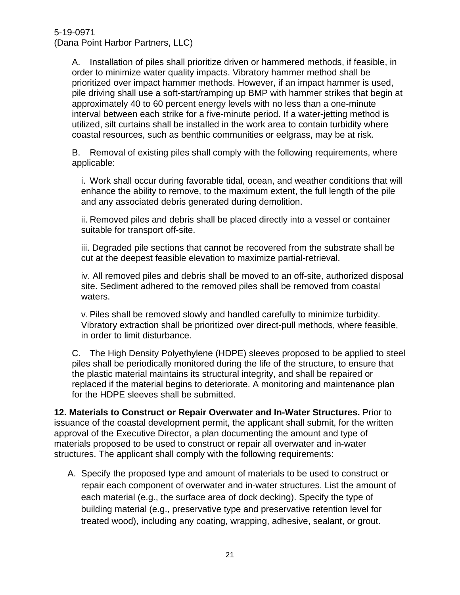> A. Installation of piles shall prioritize driven or hammered methods, if feasible, in order to minimize water quality impacts. Vibratory hammer method shall be prioritized over impact hammer methods. However, if an impact hammer is used, pile driving shall use a soft-start/ramping up BMP with hammer strikes that begin at approximately 40 to 60 percent energy levels with no less than a one-minute interval between each strike for a five-minute period. If a water-jetting method is utilized, silt curtains shall be installed in the work area to contain turbidity where coastal resources, such as benthic communities or eelgrass, may be at risk.

B. Removal of existing piles shall comply with the following requirements, where applicable:

i. Work shall occur during favorable tidal, ocean, and weather conditions that will enhance the ability to remove, to the maximum extent, the full length of the pile and any associated debris generated during demolition.

ii. Removed piles and debris shall be placed directly into a vessel or container suitable for transport off-site.

iii. Degraded pile sections that cannot be recovered from the substrate shall be cut at the deepest feasible elevation to maximize partial-retrieval.

iv. All removed piles and debris shall be moved to an off-site, authorized disposal site. Sediment adhered to the removed piles shall be removed from coastal waters.

v. Piles shall be removed slowly and handled carefully to minimize turbidity. Vibratory extraction shall be prioritized over direct-pull methods, where feasible, in order to limit disturbance.

C. The High Density Polyethylene (HDPE) sleeves proposed to be applied to steel piles shall be periodically monitored during the life of the structure, to ensure that the plastic material maintains its structural integrity, and shall be repaired or replaced if the material begins to deteriorate. A monitoring and maintenance plan for the HDPE sleeves shall be submitted.

**12. Materials to Construct or Repair Overwater and In-Water Structures.** Prior to issuance of the coastal development permit, the applicant shall submit, for the written approval of the Executive Director, a plan documenting the amount and type of materials proposed to be used to construct or repair all overwater and in-water structures. The applicant shall comply with the following requirements:

A. Specify the proposed type and amount of materials to be used to construct or repair each component of overwater and in-water structures. List the amount of each material (e.g., the surface area of dock decking). Specify the type of building material (e.g., preservative type and preservative retention level for treated wood), including any coating, wrapping, adhesive, sealant, or grout.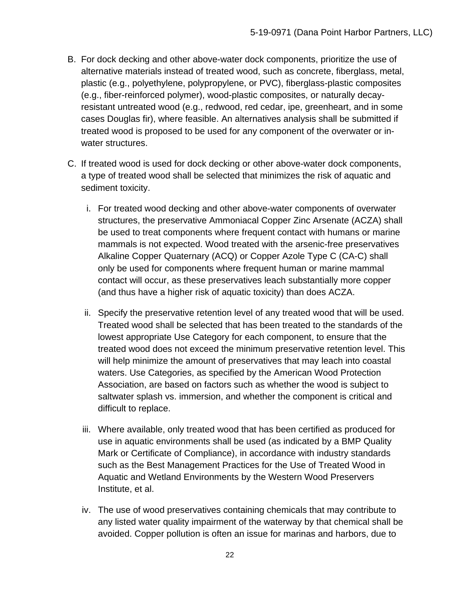- B. For dock decking and other above-water dock components, prioritize the use of alternative materials instead of treated wood, such as concrete, fiberglass, metal, plastic (e.g., polyethylene, polypropylene, or PVC), fiberglass-plastic composites (e.g., fiber-reinforced polymer), wood-plastic composites, or naturally decayresistant untreated wood (e.g., redwood, red cedar, ipe, greenheart, and in some cases Douglas fir), where feasible. An alternatives analysis shall be submitted if treated wood is proposed to be used for any component of the overwater or inwater structures.
- C. If treated wood is used for dock decking or other above-water dock components, a type of treated wood shall be selected that minimizes the risk of aquatic and sediment toxicity.
	- i. For treated wood decking and other above-water components of overwater structures, the preservative Ammoniacal Copper Zinc Arsenate (ACZA) shall be used to treat components where frequent contact with humans or marine mammals is not expected. Wood treated with the arsenic-free preservatives Alkaline Copper Quaternary (ACQ) or Copper Azole Type C (CA-C) shall only be used for components where frequent human or marine mammal contact will occur, as these preservatives leach substantially more copper (and thus have a higher risk of aquatic toxicity) than does ACZA.
	- ii. Specify the preservative retention level of any treated wood that will be used. Treated wood shall be selected that has been treated to the standards of the lowest appropriate Use Category for each component, to ensure that the treated wood does not exceed the minimum preservative retention level. This will help minimize the amount of preservatives that may leach into coastal waters. Use Categories, as specified by the American Wood Protection Association, are based on factors such as whether the wood is subject to saltwater splash vs. immersion, and whether the component is critical and difficult to replace.
	- iii. Where available, only treated wood that has been certified as produced for use in aquatic environments shall be used (as indicated by a BMP Quality Mark or Certificate of Compliance), in accordance with industry standards such as the Best Management Practices for the Use of Treated Wood in Aquatic and Wetland Environments by the Western Wood Preservers Institute, et al.
	- iv. The use of wood preservatives containing chemicals that may contribute to any listed water quality impairment of the waterway by that chemical shall be avoided. Copper pollution is often an issue for marinas and harbors, due to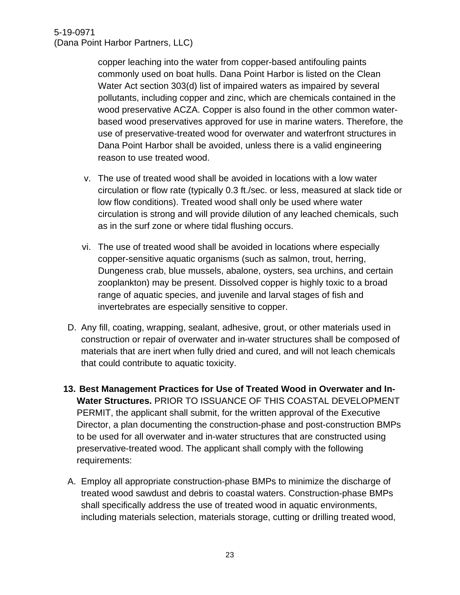copper leaching into the water from copper-based antifouling paints commonly used on boat hulls. Dana Point Harbor is listed on the Clean Water Act section 303(d) list of impaired waters as impaired by several pollutants, including copper and zinc, which are chemicals contained in the wood preservative ACZA. Copper is also found in the other common waterbased wood preservatives approved for use in marine waters. Therefore, the use of preservative-treated wood for overwater and waterfront structures in Dana Point Harbor shall be avoided, unless there is a valid engineering reason to use treated wood.

- v. The use of treated wood shall be avoided in locations with a low water circulation or flow rate (typically 0.3 ft./sec. or less, measured at slack tide or low flow conditions). Treated wood shall only be used where water circulation is strong and will provide dilution of any leached chemicals, such as in the surf zone or where tidal flushing occurs.
- vi. The use of treated wood shall be avoided in locations where especially copper-sensitive aquatic organisms (such as salmon, trout, herring, Dungeness crab, blue mussels, abalone, oysters, sea urchins, and certain zooplankton) may be present. Dissolved copper is highly toxic to a broad range of aquatic species, and juvenile and larval stages of fish and invertebrates are especially sensitive to copper.
- D. Any fill, coating, wrapping, sealant, adhesive, grout, or other materials used in construction or repair of overwater and in-water structures shall be composed of materials that are inert when fully dried and cured, and will not leach chemicals that could contribute to aquatic toxicity.
- **13. Best Management Practices for Use of Treated Wood in Overwater and In-Water Structures.** PRIOR TO ISSUANCE OF THIS COASTAL DEVELOPMENT PERMIT, the applicant shall submit, for the written approval of the Executive Director, a plan documenting the construction-phase and post-construction BMPs to be used for all overwater and in-water structures that are constructed using preservative-treated wood. The applicant shall comply with the following requirements:
- A. Employ all appropriate construction-phase BMPs to minimize the discharge of treated wood sawdust and debris to coastal waters. Construction-phase BMPs shall specifically address the use of treated wood in aquatic environments, including materials selection, materials storage, cutting or drilling treated wood,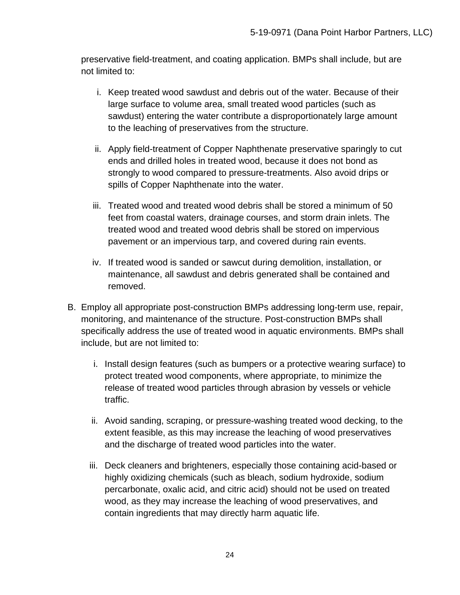preservative field-treatment, and coating application. BMPs shall include, but are not limited to:

- i. Keep treated wood sawdust and debris out of the water. Because of their large surface to volume area, small treated wood particles (such as sawdust) entering the water contribute a disproportionately large amount to the leaching of preservatives from the structure.
- ii. Apply field-treatment of Copper Naphthenate preservative sparingly to cut ends and drilled holes in treated wood, because it does not bond as strongly to wood compared to pressure-treatments. Also avoid drips or spills of Copper Naphthenate into the water.
- iii. Treated wood and treated wood debris shall be stored a minimum of 50 feet from coastal waters, drainage courses, and storm drain inlets. The treated wood and treated wood debris shall be stored on impervious pavement or an impervious tarp, and covered during rain events.
- iv. If treated wood is sanded or sawcut during demolition, installation, or maintenance, all sawdust and debris generated shall be contained and removed.
- B. Employ all appropriate post-construction BMPs addressing long-term use, repair, monitoring, and maintenance of the structure. Post-construction BMPs shall specifically address the use of treated wood in aquatic environments. BMPs shall include, but are not limited to:
	- i. Install design features (such as bumpers or a protective wearing surface) to protect treated wood components, where appropriate, to minimize the release of treated wood particles through abrasion by vessels or vehicle traffic.
	- ii. Avoid sanding, scraping, or pressure-washing treated wood decking, to the extent feasible, as this may increase the leaching of wood preservatives and the discharge of treated wood particles into the water.
	- iii. Deck cleaners and brighteners, especially those containing acid-based or highly oxidizing chemicals (such as bleach, sodium hydroxide, sodium percarbonate, oxalic acid, and citric acid) should not be used on treated wood, as they may increase the leaching of wood preservatives, and contain ingredients that may directly harm aquatic life.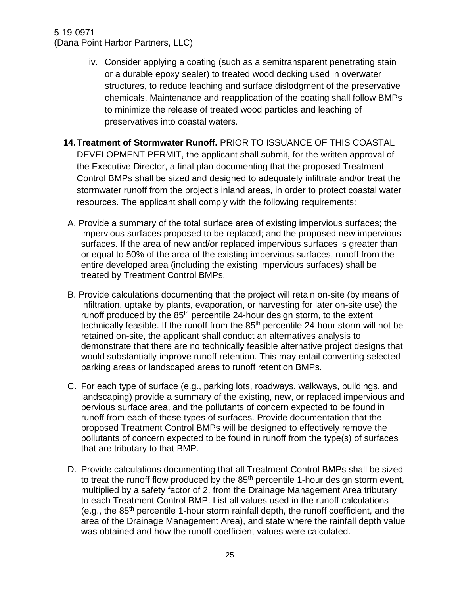- iv. Consider applying a coating (such as a semitransparent penetrating stain or a durable epoxy sealer) to treated wood decking used in overwater structures, to reduce leaching and surface dislodgment of the preservative chemicals. Maintenance and reapplication of the coating shall follow BMPs to minimize the release of treated wood particles and leaching of preservatives into coastal waters.
- **14.Treatment of Stormwater Runoff.** PRIOR TO ISSUANCE OF THIS COASTAL DEVELOPMENT PERMIT, the applicant shall submit, for the written approval of the Executive Director, a final plan documenting that the proposed Treatment Control BMPs shall be sized and designed to adequately infiltrate and/or treat the stormwater runoff from the project's inland areas, in order to protect coastal water resources. The applicant shall comply with the following requirements:
	- A. Provide a summary of the total surface area of existing impervious surfaces; the impervious surfaces proposed to be replaced; and the proposed new impervious surfaces. If the area of new and/or replaced impervious surfaces is greater than or equal to 50% of the area of the existing impervious surfaces, runoff from the entire developed area (including the existing impervious surfaces) shall be treated by Treatment Control BMPs.
	- B. Provide calculations documenting that the project will retain on-site (by means of infiltration, uptake by plants, evaporation, or harvesting for later on-site use) the runoff produced by the 85<sup>th</sup> percentile 24-hour design storm, to the extent technically feasible. If the runoff from the  $85<sup>th</sup>$  percentile 24-hour storm will not be retained on-site, the applicant shall conduct an alternatives analysis to demonstrate that there are no technically feasible alternative project designs that would substantially improve runoff retention. This may entail converting selected parking areas or landscaped areas to runoff retention BMPs.
	- C. For each type of surface (e.g., parking lots, roadways, walkways, buildings, and landscaping) provide a summary of the existing, new, or replaced impervious and pervious surface area, and the pollutants of concern expected to be found in runoff from each of these types of surfaces. Provide documentation that the proposed Treatment Control BMPs will be designed to effectively remove the pollutants of concern expected to be found in runoff from the type(s) of surfaces that are tributary to that BMP.
	- D. Provide calculations documenting that all Treatment Control BMPs shall be sized to treat the runoff flow produced by the  $85<sup>th</sup>$  percentile 1-hour design storm event, multiplied by a safety factor of 2, from the Drainage Management Area tributary to each Treatment Control BMP. List all values used in the runoff calculations (e.g., the  $85<sup>th</sup>$  percentile 1-hour storm rainfall depth, the runoff coefficient, and the area of the Drainage Management Area), and state where the rainfall depth value was obtained and how the runoff coefficient values were calculated.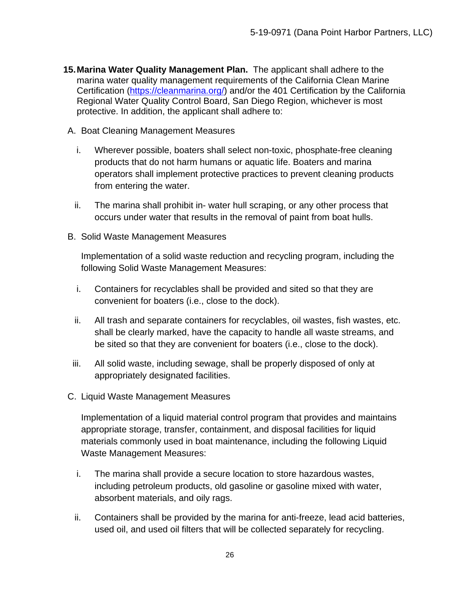- **15.Marina Water Quality Management Plan.** The applicant shall adhere to the marina water quality management requirements of the California Clean Marine Certification [\(https://cleanmarina.org/\)](https://cleanmarina.org/) and/or the 401 Certification by the California Regional Water Quality Control Board, San Diego Region, whichever is most protective. In addition, the applicant shall adhere to:
- A. Boat Cleaning Management Measures
	- i. Wherever possible, boaters shall select non-toxic, phosphate-free cleaning products that do not harm humans or aquatic life. Boaters and marina operators shall implement protective practices to prevent cleaning products from entering the water.
	- ii. The marina shall prohibit in- water hull scraping, or any other process that occurs under water that results in the removal of paint from boat hulls.
- B. Solid Waste Management Measures

Implementation of a solid waste reduction and recycling program, including the following Solid Waste Management Measures:

- i. Containers for recyclables shall be provided and sited so that they are convenient for boaters (i.e., close to the dock).
- ii. All trash and separate containers for recyclables, oil wastes, fish wastes, etc. shall be clearly marked, have the capacity to handle all waste streams, and be sited so that they are convenient for boaters (i.e., close to the dock).
- iii. All solid waste, including sewage, shall be properly disposed of only at appropriately designated facilities.
- C. Liquid Waste Management Measures

Implementation of a liquid material control program that provides and maintains appropriate storage, transfer, containment, and disposal facilities for liquid materials commonly used in boat maintenance, including the following Liquid Waste Management Measures:

- i. The marina shall provide a secure location to store hazardous wastes, including petroleum products, old gasoline or gasoline mixed with water, absorbent materials, and oily rags.
- ii. Containers shall be provided by the marina for anti-freeze, lead acid batteries, used oil, and used oil filters that will be collected separately for recycling.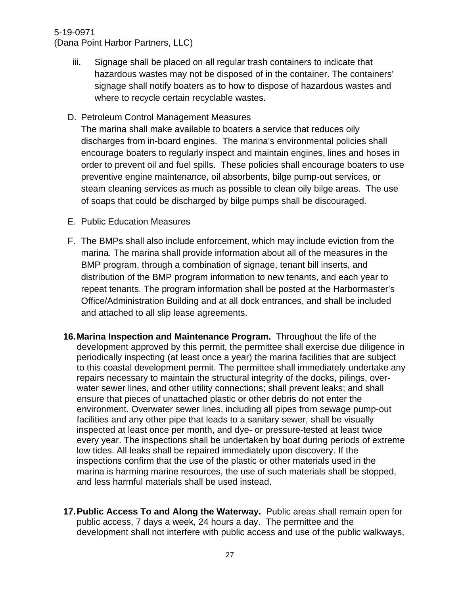#### 5-19-0971

(Dana Point Harbor Partners, LLC)

iii. Signage shall be placed on all regular trash containers to indicate that hazardous wastes may not be disposed of in the container. The containers' signage shall notify boaters as to how to dispose of hazardous wastes and where to recycle certain recyclable wastes.

#### D. Petroleum Control Management Measures

The marina shall make available to boaters a service that reduces oily discharges from in-board engines. The marina's environmental policies shall encourage boaters to regularly inspect and maintain engines, lines and hoses in order to prevent oil and fuel spills. These policies shall encourage boaters to use preventive engine maintenance, oil absorbents, bilge pump-out services, or steam cleaning services as much as possible to clean oily bilge areas. The use of soaps that could be discharged by bilge pumps shall be discouraged.

- E. Public Education Measures
- F. The BMPs shall also include enforcement, which may include eviction from the marina. The marina shall provide information about all of the measures in the BMP program, through a combination of signage, tenant bill inserts, and distribution of the BMP program information to new tenants, and each year to repeat tenants. The program information shall be posted at the Harbormaster's Office/Administration Building and at all dock entrances, and shall be included and attached to all slip lease agreements.
- **16.Marina Inspection and Maintenance Program.** Throughout the life of the development approved by this permit, the permittee shall exercise due diligence in periodically inspecting (at least once a year) the marina facilities that are subject to this coastal development permit. The permittee shall immediately undertake any repairs necessary to maintain the structural integrity of the docks, pilings, overwater sewer lines, and other utility connections; shall prevent leaks; and shall ensure that pieces of unattached plastic or other debris do not enter the environment. Overwater sewer lines, including all pipes from sewage pump-out facilities and any other pipe that leads to a sanitary sewer, shall be visually inspected at least once per month, and dye- or pressure-tested at least twice every year. The inspections shall be undertaken by boat during periods of extreme low tides. All leaks shall be repaired immediately upon discovery. If the inspections confirm that the use of the plastic or other materials used in the marina is harming marine resources, the use of such materials shall be stopped, and less harmful materials shall be used instead.
- **17.Public Access To and Along the Waterway.** Public areas shall remain open for public access, 7 days a week, 24 hours a day. The permittee and the development shall not interfere with public access and use of the public walkways,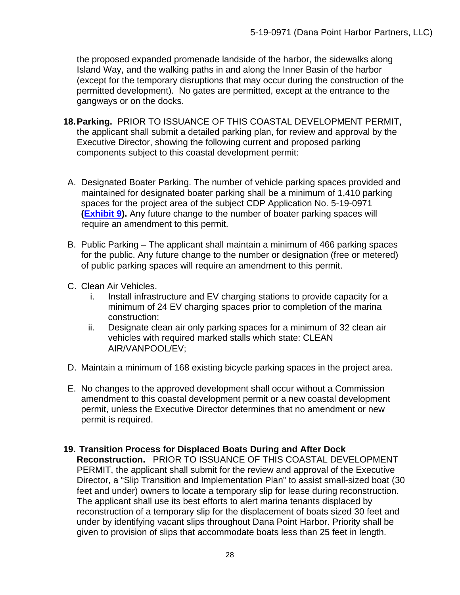the proposed expanded promenade landside of the harbor, the sidewalks along Island Way, and the walking paths in and along the Inner Basin of the harbor (except for the temporary disruptions that may occur during the construction of the permitted development). No gates are permitted, except at the entrance to the gangways or on the docks.

- **18.Parking.** PRIOR TO ISSUANCE OF THIS COASTAL DEVELOPMENT PERMIT, the applicant shall submit a detailed parking plan, for review and approval by the Executive Director, showing the following current and proposed parking components subject to this coastal development permit:
- A. Designated Boater Parking. The number of vehicle parking spaces provided and maintained for designated boater parking shall be a minimum of 1,410 parking spaces for the project area of the subject CDP Application No. 5-19-0971 **[\(Exhibit 9\)](https://documents.coastal.ca.gov/reports/2020/9/W13c/W13c-9-2020-exhibits.pdf).** Any future change to the number of boater parking spaces will require an amendment to this permit.
- B. Public Parking The applicant shall maintain a minimum of 466 parking spaces for the public. Any future change to the number or designation (free or metered) of public parking spaces will require an amendment to this permit.
- C. Clean Air Vehicles.
	- i. Install infrastructure and EV charging stations to provide capacity for a minimum of 24 EV charging spaces prior to completion of the marina construction;
	- ii. Designate clean air only parking spaces for a minimum of 32 clean air vehicles with required marked stalls which state: CLEAN AIR/VANPOOL/EV;
- D. Maintain a minimum of 168 existing bicycle parking spaces in the project area.
- E. No changes to the approved development shall occur without a Commission amendment to this coastal development permit or a new coastal development permit, unless the Executive Director determines that no amendment or new permit is required.

#### **19. Transition Process for Displaced Boats During and After Dock**

**Reconstruction.** PRIOR TO ISSUANCE OF THIS COASTAL DEVELOPMENT PERMIT, the applicant shall submit for the review and approval of the Executive Director, a "Slip Transition and Implementation Plan" to assist small-sized boat (30 feet and under) owners to locate a temporary slip for lease during reconstruction. The applicant shall use its best efforts to alert marina tenants displaced by reconstruction of a temporary slip for the displacement of boats sized 30 feet and under by identifying vacant slips throughout Dana Point Harbor. Priority shall be given to provision of slips that accommodate boats less than 25 feet in length.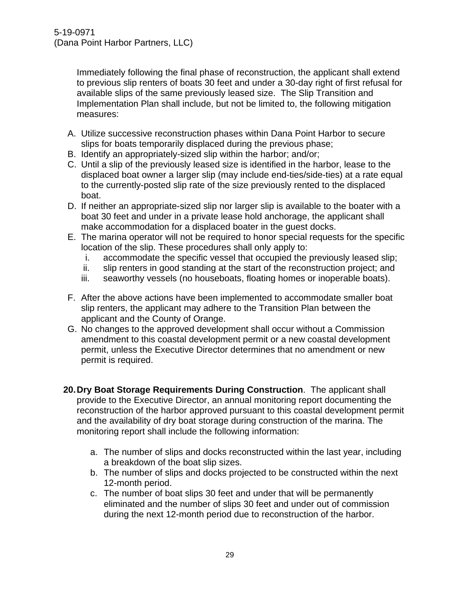Immediately following the final phase of reconstruction, the applicant shall extend to previous slip renters of boats 30 feet and under a 30-day right of first refusal for available slips of the same previously leased size. The Slip Transition and Implementation Plan shall include, but not be limited to, the following mitigation measures:

- A. Utilize successive reconstruction phases within Dana Point Harbor to secure slips for boats temporarily displaced during the previous phase;
- B. Identify an appropriately-sized slip within the harbor; and/or;
- C. Until a slip of the previously leased size is identified in the harbor, lease to the displaced boat owner a larger slip (may include end-ties/side-ties) at a rate equal to the currently-posted slip rate of the size previously rented to the displaced boat.
- D. If neither an appropriate-sized slip nor larger slip is available to the boater with a boat 30 feet and under in a private lease hold anchorage, the applicant shall make accommodation for a displaced boater in the guest docks.
- E. The marina operator will not be required to honor special requests for the specific location of the slip. These procedures shall only apply to:
	- i. accommodate the specific vessel that occupied the previously leased slip;
	- ii. slip renters in good standing at the start of the reconstruction project; and
	- iii. seaworthy vessels (no houseboats, floating homes or inoperable boats).
- F. After the above actions have been implemented to accommodate smaller boat slip renters, the applicant may adhere to the Transition Plan between the applicant and the County of Orange.
- G. No changes to the approved development shall occur without a Commission amendment to this coastal development permit or a new coastal development permit, unless the Executive Director determines that no amendment or new permit is required.
- **20.Dry Boat Storage Requirements During Construction**. The applicant shall provide to the Executive Director, an annual monitoring report documenting the reconstruction of the harbor approved pursuant to this coastal development permit and the availability of dry boat storage during construction of the marina. The monitoring report shall include the following information:
	- a. The number of slips and docks reconstructed within the last year, including a breakdown of the boat slip sizes.
	- b. The number of slips and docks projected to be constructed within the next 12-month period.
	- c. The number of boat slips 30 feet and under that will be permanently eliminated and the number of slips 30 feet and under out of commission during the next 12-month period due to reconstruction of the harbor.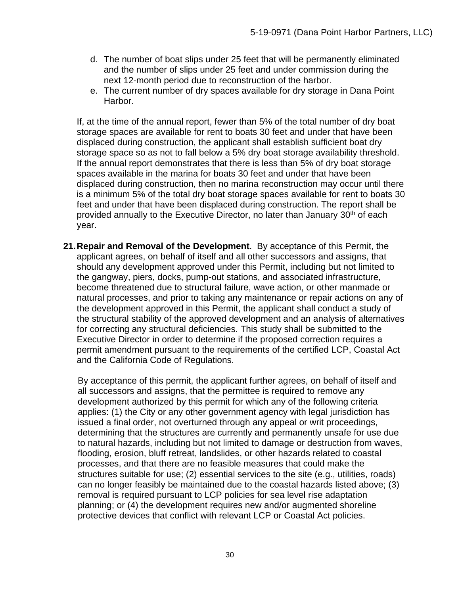- d. The number of boat slips under 25 feet that will be permanently eliminated and the number of slips under 25 feet and under commission during the next 12-month period due to reconstruction of the harbor.
- e. The current number of dry spaces available for dry storage in Dana Point Harbor.

If, at the time of the annual report, fewer than 5% of the total number of dry boat storage spaces are available for rent to boats 30 feet and under that have been displaced during construction, the applicant shall establish sufficient boat dry storage space so as not to fall below a 5% dry boat storage availability threshold. If the annual report demonstrates that there is less than 5% of dry boat storage spaces available in the marina for boats 30 feet and under that have been displaced during construction, then no marina reconstruction may occur until there is a minimum 5% of the total dry boat storage spaces available for rent to boats 30 feet and under that have been displaced during construction. The report shall be provided annually to the Executive Director, no later than January 30<sup>th</sup> of each year.

**21.Repair and Removal of the Development**. By acceptance of this Permit, the applicant agrees, on behalf of itself and all other successors and assigns, that should any development approved under this Permit, including but not limited to the gangway, piers, docks, pump-out stations, and associated infrastructure, become threatened due to structural failure, wave action, or other manmade or natural processes, and prior to taking any maintenance or repair actions on any of the development approved in this Permit, the applicant shall conduct a study of the structural stability of the approved development and an analysis of alternatives for correcting any structural deficiencies. This study shall be submitted to the Executive Director in order to determine if the proposed correction requires a permit amendment pursuant to the requirements of the certified LCP, Coastal Act and the California Code of Regulations.

By acceptance of this permit, the applicant further agrees, on behalf of itself and all successors and assigns, that the permittee is required to remove any development authorized by this permit for which any of the following criteria applies: (1) the City or any other government agency with legal jurisdiction has issued a final order, not overturned through any appeal or writ proceedings, determining that the structures are currently and permanently unsafe for use due to natural hazards, including but not limited to damage or destruction from waves, flooding, erosion, bluff retreat, landslides, or other hazards related to coastal processes, and that there are no feasible measures that could make the structures suitable for use; (2) essential services to the site (e.g., utilities, roads) can no longer feasibly be maintained due to the coastal hazards listed above; (3) removal is required pursuant to LCP policies for sea level rise adaptation planning; or (4) the development requires new and/or augmented shoreline protective devices that conflict with relevant LCP or Coastal Act policies.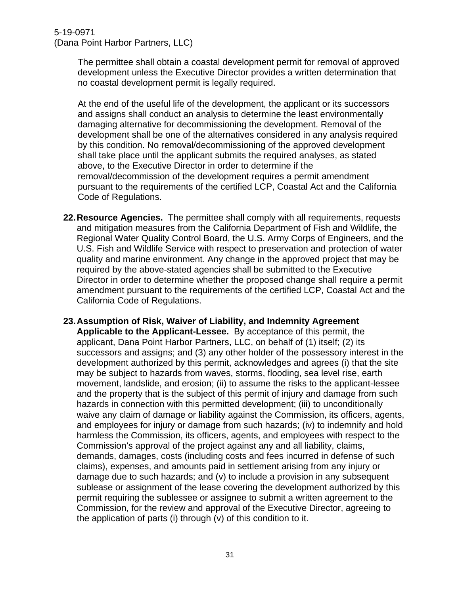The permittee shall obtain a coastal development permit for removal of approved development unless the Executive Director provides a written determination that no coastal development permit is legally required.

At the end of the useful life of the development, the applicant or its successors and assigns shall conduct an analysis to determine the least environmentally damaging alternative for decommissioning the development. Removal of the development shall be one of the alternatives considered in any analysis required by this condition. No removal/decommissioning of the approved development shall take place until the applicant submits the required analyses, as stated above, to the Executive Director in order to determine if the removal/decommission of the development requires a permit amendment pursuant to the requirements of the certified LCP, Coastal Act and the California Code of Regulations.

- **22.Resource Agencies.** The permittee shall comply with all requirements, requests and mitigation measures from the California Department of Fish and Wildlife, the Regional Water Quality Control Board, the U.S. Army Corps of Engineers, and the U.S. Fish and Wildlife Service with respect to preservation and protection of water quality and marine environment. Any change in the approved project that may be required by the above-stated agencies shall be submitted to the Executive Director in order to determine whether the proposed change shall require a permit amendment pursuant to the requirements of the certified LCP, Coastal Act and the California Code of Regulations.
- **23.Assumption of Risk, Waiver of Liability, and Indemnity Agreement Applicable to the Applicant-Lessee.** By acceptance of this permit, the applicant, Dana Point Harbor Partners, LLC, on behalf of (1) itself; (2) its successors and assigns; and (3) any other holder of the possessory interest in the development authorized by this permit, acknowledges and agrees (i) that the site may be subject to hazards from waves, storms, flooding, sea level rise, earth movement, landslide, and erosion; (ii) to assume the risks to the applicant-lessee and the property that is the subject of this permit of injury and damage from such hazards in connection with this permitted development; (iii) to unconditionally waive any claim of damage or liability against the Commission, its officers, agents, and employees for injury or damage from such hazards; (iv) to indemnify and hold harmless the Commission, its officers, agents, and employees with respect to the Commission's approval of the project against any and all liability, claims, demands, damages, costs (including costs and fees incurred in defense of such claims), expenses, and amounts paid in settlement arising from any injury or damage due to such hazards; and (v) to include a provision in any subsequent sublease or assignment of the lease covering the development authorized by this permit requiring the sublessee or assignee to submit a written agreement to the Commission, for the review and approval of the Executive Director, agreeing to the application of parts (i) through (v) of this condition to it.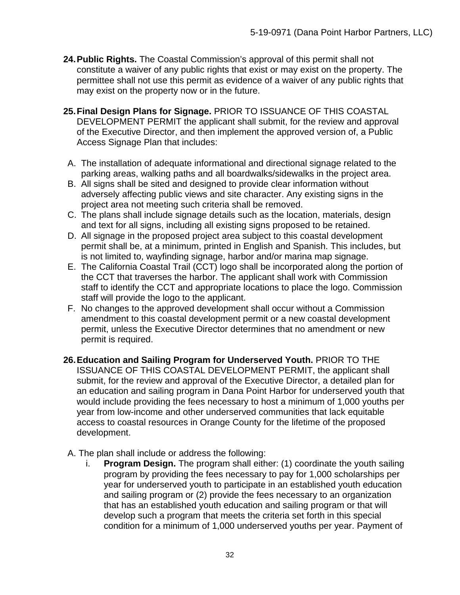- **24.Public Rights.** The Coastal Commission's approval of this permit shall not constitute a waiver of any public rights that exist or may exist on the property. The permittee shall not use this permit as evidence of a waiver of any public rights that may exist on the property now or in the future.
- **25.Final Design Plans for Signage.** PRIOR TO ISSUANCE OF THIS COASTAL DEVELOPMENT PERMIT the applicant shall submit, for the review and approval of the Executive Director, and then implement the approved version of, a Public Access Signage Plan that includes:
	- A. The installation of adequate informational and directional signage related to the parking areas, walking paths and all boardwalks/sidewalks in the project area.
	- B. All signs shall be sited and designed to provide clear information without adversely affecting public views and site character. Any existing signs in the project area not meeting such criteria shall be removed.
- C. The plans shall include signage details such as the location, materials, design and text for all signs, including all existing signs proposed to be retained.
- D. All signage in the proposed project area subject to this coastal development permit shall be, at a minimum, printed in English and Spanish. This includes, but is not limited to, wayfinding signage, harbor and/or marina map signage.
- E. The California Coastal Trail (CCT) logo shall be incorporated along the portion of the CCT that traverses the harbor. The applicant shall work with Commission staff to identify the CCT and appropriate locations to place the logo. Commission staff will provide the logo to the applicant.
- F. No changes to the approved development shall occur without a Commission amendment to this coastal development permit or a new coastal development permit, unless the Executive Director determines that no amendment or new permit is required.
- **26.Education and Sailing Program for Underserved Youth.** PRIOR TO THE ISSUANCE OF THIS COASTAL DEVELOPMENT PERMIT, the applicant shall submit, for the review and approval of the Executive Director, a detailed plan for an education and sailing program in Dana Point Harbor for underserved youth that would include providing the fees necessary to host a minimum of 1,000 youths per year from low-income and other underserved communities that lack equitable access to coastal resources in Orange County for the lifetime of the proposed development.
	- A. The plan shall include or address the following:
		- i. **Program Design.** The program shall either: (1) coordinate the youth sailing program by providing the fees necessary to pay for 1,000 scholarships per year for underserved youth to participate in an established youth education and sailing program or (2) provide the fees necessary to an organization that has an established youth education and sailing program or that will develop such a program that meets the criteria set forth in this special condition for a minimum of 1,000 underserved youths per year. Payment of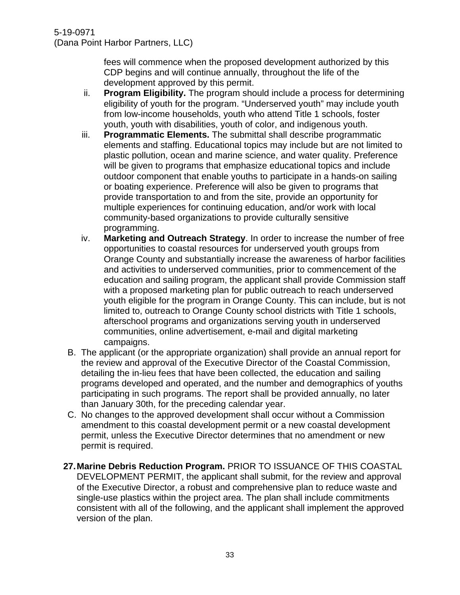fees will commence when the proposed development authorized by this CDP begins and will continue annually, throughout the life of the development approved by this permit.

- ii. **Program Eligibility.** The program should include a process for determining eligibility of youth for the program. "Underserved youth" may include youth from low-income households, youth who attend Title 1 schools, foster youth, youth with disabilities, youth of color, and indigenous youth.
- iii. **Programmatic Elements.** The submittal shall describe programmatic elements and staffing. Educational topics may include but are not limited to plastic pollution, ocean and marine science, and water quality. Preference will be given to programs that emphasize educational topics and include outdoor component that enable youths to participate in a hands-on sailing or boating experience. Preference will also be given to programs that provide transportation to and from the site, provide an opportunity for multiple experiences for continuing education, and/or work with local community-based organizations to provide culturally sensitive programming.
- iv. **Marketing and Outreach Strategy**. In order to increase the number of free opportunities to coastal resources for underserved youth groups from Orange County and substantially increase the awareness of harbor facilities and activities to underserved communities, prior to commencement of the education and sailing program, the applicant shall provide Commission staff with a proposed marketing plan for public outreach to reach underserved youth eligible for the program in Orange County. This can include, but is not limited to, outreach to Orange County school districts with Title 1 schools, afterschool programs and organizations serving youth in underserved communities, online advertisement, e-mail and digital marketing campaigns.
- B. The applicant (or the appropriate organization) shall provide an annual report for the review and approval of the Executive Director of the Coastal Commission, detailing the in-lieu fees that have been collected, the education and sailing programs developed and operated, and the number and demographics of youths participating in such programs. The report shall be provided annually, no later than January 30th, for the preceding calendar year.
- C. No changes to the approved development shall occur without a Commission amendment to this coastal development permit or a new coastal development permit, unless the Executive Director determines that no amendment or new permit is required.
- **27.Marine Debris Reduction Program.** PRIOR TO ISSUANCE OF THIS COASTAL DEVELOPMENT PERMIT, the applicant shall submit, for the review and approval of the Executive Director, a robust and comprehensive plan to reduce waste and single-use plastics within the project area. The plan shall include commitments consistent with all of the following, and the applicant shall implement the approved version of the plan.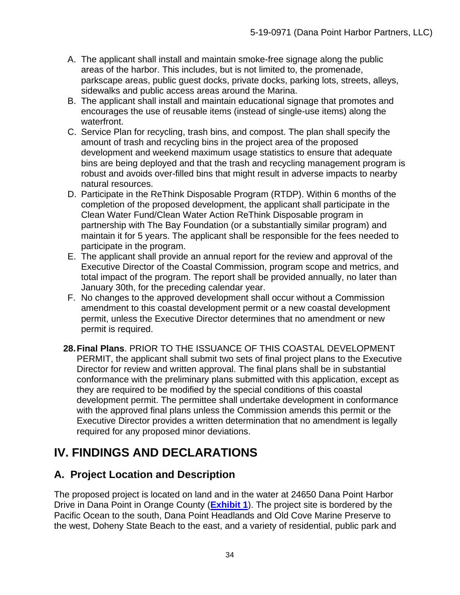- A. The applicant shall install and maintain smoke-free signage along the public areas of the harbor. This includes, but is not limited to, the promenade, parkscape areas, public guest docks, private docks, parking lots, streets, alleys, sidewalks and public access areas around the Marina.
- B. The applicant shall install and maintain educational signage that promotes and encourages the use of reusable items (instead of single-use items) along the waterfront.
- C. Service Plan for recycling, trash bins, and compost. The plan shall specify the amount of trash and recycling bins in the project area of the proposed development and weekend maximum usage statistics to ensure that adequate bins are being deployed and that the trash and recycling management program is robust and avoids over-filled bins that might result in adverse impacts to nearby natural resources.
- D. Participate in the ReThink Disposable Program (RTDP). Within 6 months of the completion of the proposed development, the applicant shall participate in the Clean Water Fund/Clean Water Action ReThink Disposable program in partnership with The Bay Foundation (or a substantially similar program) and maintain it for 5 years. The applicant shall be responsible for the fees needed to participate in the program.
- E. The applicant shall provide an annual report for the review and approval of the Executive Director of the Coastal Commission, program scope and metrics, and total impact of the program. The report shall be provided annually, no later than January 30th, for the preceding calendar year.
- F. No changes to the approved development shall occur without a Commission amendment to this coastal development permit or a new coastal development permit, unless the Executive Director determines that no amendment or new permit is required.
- **28.Final Plans**. PRIOR TO THE ISSUANCE OF THIS COASTAL DEVELOPMENT PERMIT, the applicant shall submit two sets of final project plans to the Executive Director for review and written approval. The final plans shall be in substantial conformance with the preliminary plans submitted with this application, except as they are required to be modified by the special conditions of this coastal development permit. The permittee shall undertake development in conformance with the approved final plans unless the Commission amends this permit or the Executive Director provides a written determination that no amendment is legally required for any proposed minor deviations.

# <span id="page-33-0"></span>**IV. FINDINGS AND DECLARATIONS**

## <span id="page-33-1"></span>**A. Project Location and Description**

The proposed project is located on land and in the water at 24650 Dana Point Harbor Drive in Dana Point in Orange County (**[Exhibit 1](https://documents.coastal.ca.gov/reports/2020/9/W13c/W13c-9-2020-exhibits.pdf)**). The project site is bordered by the Pacific Ocean to the south, Dana Point Headlands and Old Cove Marine Preserve to the west, Doheny State Beach to the east, and a variety of residential, public park and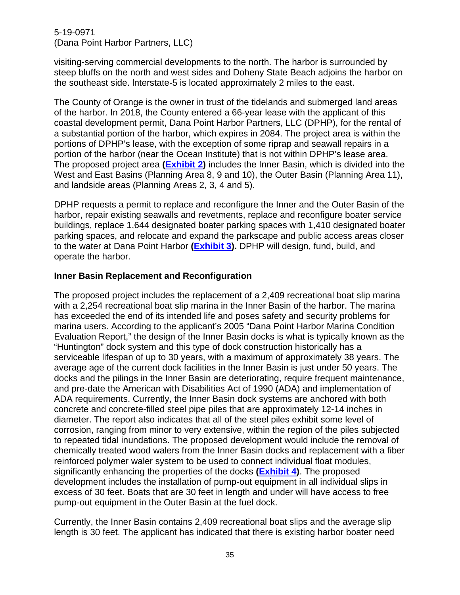visiting-serving commercial developments to the north. The harbor is surrounded by steep bluffs on the north and west sides and Doheny State Beach adjoins the harbor on the southeast side. lnterstate-5 is located approximately 2 miles to the east.

The County of Orange is the owner in trust of the tidelands and submerged land areas of the harbor. In 2018, the County entered a 66-year lease with the applicant of this coastal development permit, Dana Point Harbor Partners, LLC (DPHP), for the rental of a substantial portion of the harbor, which expires in 2084. The project area is within the portions of DPHP's lease, with the exception of some riprap and seawall repairs in a portion of the harbor (near the Ocean Institute) that is not within DPHP's lease area. The proposed project area **[\(Exhibit 2\)](https://documents.coastal.ca.gov/reports/2020/9/W13c/W13c-9-2020-exhibits.pdf)** includes the Inner Basin, which is divided into the West and East Basins (Planning Area 8, 9 and 10), the Outer Basin (Planning Area 11), and landside areas (Planning Areas 2, 3, 4 and 5).

DPHP requests a permit to replace and reconfigure the Inner and the Outer Basin of the harbor, repair existing seawalls and revetments, replace and reconfigure boater service buildings, replace 1,644 designated boater parking spaces with 1,410 designated boater parking spaces, and relocate and expand the parkscape and public access areas closer to the water at Dana Point Harbor **[\(Exhibit 3\)](https://documents.coastal.ca.gov/reports/2020/9/W13c/W13c-9-2020-exhibits.pdf).** DPHP will design, fund, build, and operate the harbor.

#### **Inner Basin Replacement and Reconfiguration**

The proposed project includes the replacement of a 2,409 recreational boat slip marina with a 2,254 recreational boat slip marina in the Inner Basin of the harbor. The marina has exceeded the end of its intended life and poses safety and security problems for marina users. According to the applicant's 2005 "Dana Point Harbor Marina Condition Evaluation Report," the design of the Inner Basin docks is what is typically known as the "Huntington" dock system and this type of dock construction historically has a serviceable lifespan of up to 30 years, with a maximum of approximately 38 years. The average age of the current dock facilities in the Inner Basin is just under 50 years. The docks and the pilings in the Inner Basin are deteriorating, require frequent maintenance, and pre-date the American with Disabilities Act of 1990 (ADA) and implementation of ADA requirements. Currently, the Inner Basin dock systems are anchored with both concrete and concrete-filled steel pipe piles that are approximately 12-14 inches in diameter. The report also indicates that all of the steel piles exhibit some level of corrosion, ranging from minor to very extensive, within the region of the piles subjected to repeated tidal inundations. The proposed development would include the removal of chemically treated wood walers from the Inner Basin docks and replacement with a fiber reinforced polymer waler system to be used to connect individual float modules, significantly enhancing the properties of the docks **[\(Exhibit 4\)](https://documents.coastal.ca.gov/reports/2020/9/W13c/W13c-9-2020-exhibits.pdf)**. The proposed development includes the installation of pump-out equipment in all individual slips in excess of 30 feet. Boats that are 30 feet in length and under will have access to free pump-out equipment in the Outer Basin at the fuel dock.

Currently, the Inner Basin contains 2,409 recreational boat slips and the average slip length is 30 feet. The applicant has indicated that there is existing harbor boater need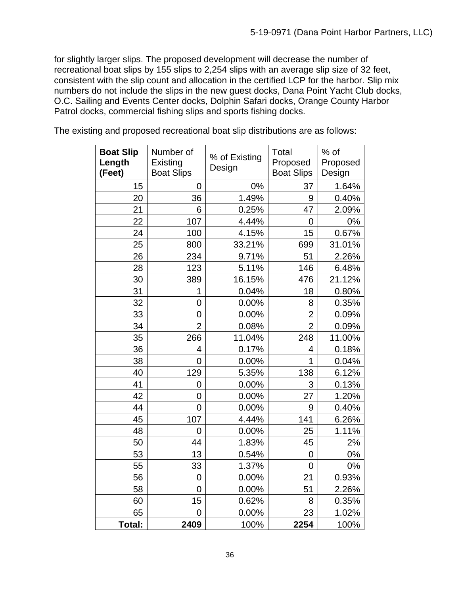for slightly larger slips. The proposed development will decrease the number of recreational boat slips by 155 slips to 2,254 slips with an average slip size of 32 feet, consistent with the slip count and allocation in the certified LCP for the harbor. Slip mix numbers do not include the slips in the new guest docks, Dana Point Yacht Club docks, O.C. Sailing and Events Center docks, Dolphin Safari docks, Orange County Harbor Patrol docks, commercial fishing slips and sports fishing docks.

The existing and proposed recreational boat slip distributions are as follows:

| <b>Boat Slip</b><br>Length<br>(Feet) | Number of<br>Existing<br><b>Boat Slips</b> | % of Existing<br>Design | Total<br>Proposed<br><b>Boat Slips</b> | $%$ of<br>Proposed<br>Design |
|--------------------------------------|--------------------------------------------|-------------------------|----------------------------------------|------------------------------|
| 15                                   | 0                                          | 0%                      | 37                                     | 1.64%                        |
| 20                                   | 36                                         | 1.49%                   | 9                                      | 0.40%                        |
| 21                                   | 6                                          | 0.25%                   | 47                                     | 2.09%                        |
| 22                                   | 107                                        | 4.44%                   | 0                                      | 0%                           |
| 24                                   | 100                                        | 4.15%                   | 15                                     | 0.67%                        |
| 25                                   | 800                                        | 33.21%                  | 699                                    | 31.01%                       |
| 26                                   | 234                                        | 9.71%                   | 51                                     | 2.26%                        |
| 28                                   | 123                                        | 5.11%                   | 146                                    | 6.48%                        |
| 30                                   | 389                                        | 16.15%                  | 476                                    | 21.12%                       |
| 31                                   | 1                                          | 0.04%                   | 18                                     | 0.80%                        |
| 32                                   | $\overline{0}$                             | 0.00%                   | 8                                      | 0.35%                        |
| 33                                   | 0                                          | 0.00%                   | $\overline{2}$                         | 0.09%                        |
| 34                                   | $\overline{2}$                             | 0.08%                   | $\overline{2}$                         | 0.09%                        |
| 35                                   | 266                                        | 11.04%                  | 248                                    | 11.00%                       |
| 36                                   | 4                                          | 0.17%                   | 4                                      | 0.18%                        |
| 38                                   | $\overline{0}$                             | 0.00%                   | $\overline{1}$                         | 0.04%                        |
| 40                                   | 129                                        | 5.35%                   | 138                                    | 6.12%                        |
| 41                                   | $\overline{0}$                             | 0.00%                   | 3                                      | 0.13%                        |
| 42                                   | $\overline{0}$                             | 0.00%                   | 27                                     | 1.20%                        |
| 44                                   | $\overline{0}$                             | 0.00%                   | 9                                      | 0.40%                        |
| 45                                   | 107                                        | 4.44%                   | 141                                    | 6.26%                        |
| 48                                   | $\overline{0}$                             | 0.00%                   | 25                                     | 1.11%                        |
| 50                                   | 44                                         | 1.83%                   | 45                                     | 2%                           |
| 53                                   | 13                                         | 0.54%                   | 0                                      | 0%                           |
| 55                                   | 33                                         | 1.37%                   | $\overline{0}$                         | 0%                           |
| 56                                   | $\overline{0}$                             | 0.00%                   | 21                                     | 0.93%                        |
| 58                                   | $\overline{0}$                             | 0.00%                   | 51                                     | 2.26%                        |
| 60                                   | 15                                         | 0.62%                   | 8                                      | 0.35%                        |
| 65                                   | $\overline{0}$                             | 0.00%                   | 23                                     | 1.02%                        |
| Total:                               | 2409                                       | 100%                    | 2254                                   | 100%                         |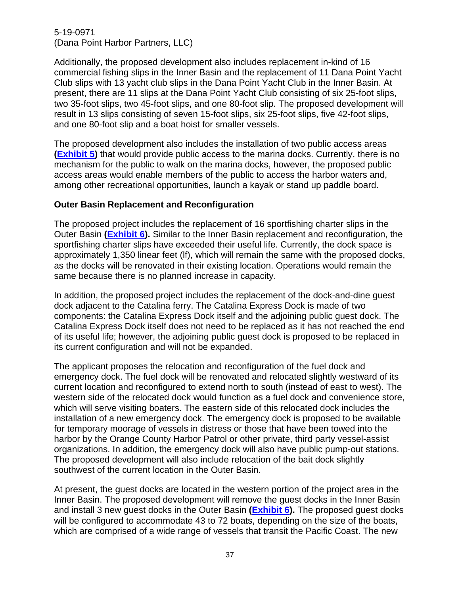Additionally, the proposed development also includes replacement in-kind of 16 commercial fishing slips in the Inner Basin and the replacement of 11 Dana Point Yacht Club slips with 13 yacht club slips in the Dana Point Yacht Club in the Inner Basin. At present, there are 11 slips at the Dana Point Yacht Club consisting of six 25-foot slips, two 35-foot slips, two 45-foot slips, and one 80-foot slip. The proposed development will result in 13 slips consisting of seven 15-foot slips, six 25-foot slips, five 42-foot slips, and one 80-foot slip and a boat hoist for smaller vessels.

The proposed development also includes the installation of two public access areas **[\(Exhibit 5\)](https://documents.coastal.ca.gov/reports/2020/9/W13c/W13c-9-2020-exhibits.pdf)** that would provide public access to the marina docks. Currently, there is no mechanism for the public to walk on the marina docks, however, the proposed public access areas would enable members of the public to access the harbor waters and, among other recreational opportunities, launch a kayak or stand up paddle board.

### **Outer Basin Replacement and Reconfiguration**

The proposed project includes the replacement of 16 sportfishing charter slips in the Outer Basin **[\(Exhibit 6\)](https://documents.coastal.ca.gov/reports/2020/9/W13c/W13c-9-2020-exhibits.pdf).** Similar to the Inner Basin replacement and reconfiguration, the sportfishing charter slips have exceeded their useful life. Currently, the dock space is approximately 1,350 linear feet (lf), which will remain the same with the proposed docks, as the docks will be renovated in their existing location. Operations would remain the same because there is no planned increase in capacity.

In addition, the proposed project includes the replacement of the dock-and-dine guest dock adjacent to the Catalina ferry. The Catalina Express Dock is made of two components: the Catalina Express Dock itself and the adjoining public guest dock. The Catalina Express Dock itself does not need to be replaced as it has not reached the end of its useful life; however, the adjoining public guest dock is proposed to be replaced in its current configuration and will not be expanded.

The applicant proposes the relocation and reconfiguration of the fuel dock and emergency dock. The fuel dock will be renovated and relocated slightly westward of its current location and reconfigured to extend north to south (instead of east to west). The western side of the relocated dock would function as a fuel dock and convenience store, which will serve visiting boaters. The eastern side of this relocated dock includes the installation of a new emergency dock. The emergency dock is proposed to be available for temporary moorage of vessels in distress or those that have been towed into the harbor by the Orange County Harbor Patrol or other private, third party vessel-assist organizations. In addition, the emergency dock will also have public pump-out stations. The proposed development will also include relocation of the bait dock slightly southwest of the current location in the Outer Basin.

At present, the guest docks are located in the western portion of the project area in the Inner Basin. The proposed development will remove the guest docks in the Inner Basin and install 3 new guest docks in the Outer Basin **[\(Exhibit 6\)](https://documents.coastal.ca.gov/reports/2020/9/W13c/W13c-9-2020-exhibits.pdf).** The proposed guest docks will be configured to accommodate 43 to 72 boats, depending on the size of the boats, which are comprised of a wide range of vessels that transit the Pacific Coast. The new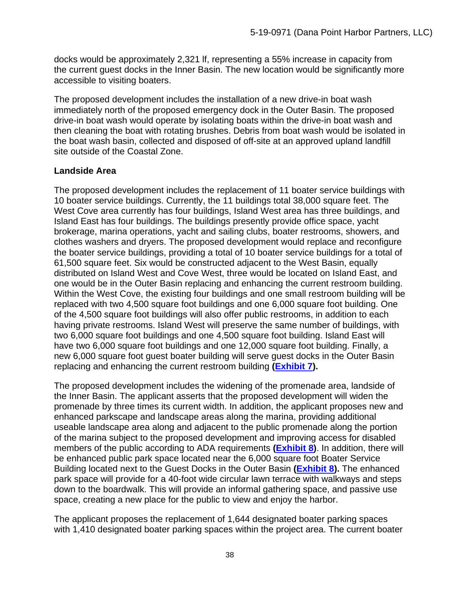docks would be approximately 2,321 lf, representing a 55% increase in capacity from the current guest docks in the Inner Basin. The new location would be significantly more accessible to visiting boaters.

The proposed development includes the installation of a new drive-in boat wash immediately north of the proposed emergency dock in the Outer Basin. The proposed drive-in boat wash would operate by isolating boats within the drive-in boat wash and then cleaning the boat with rotating brushes. Debris from boat wash would be isolated in the boat wash basin, collected and disposed of off-site at an approved upland landfill site outside of the Coastal Zone.

# **Landside Area**

The proposed development includes the replacement of 11 boater service buildings with 10 boater service buildings. Currently, the 11 buildings total 38,000 square feet. The West Cove area currently has four buildings, Island West area has three buildings, and Island East has four buildings. The buildings presently provide office space, yacht brokerage, marina operations, yacht and sailing clubs, boater restrooms, showers, and clothes washers and dryers. The proposed development would replace and reconfigure the boater service buildings, providing a total of 10 boater service buildings for a total of 61,500 square feet. Six would be constructed adjacent to the West Basin, equally distributed on Island West and Cove West, three would be located on Island East, and one would be in the Outer Basin replacing and enhancing the current restroom building. Within the West Cove, the existing four buildings and one small restroom building will be replaced with two 4,500 square foot buildings and one 6,000 square foot building. One of the 4,500 square foot buildings will also offer public restrooms, in addition to each having private restrooms. Island West will preserve the same number of buildings, with two 6,000 square foot buildings and one 4,500 square foot building. Island East will have two 6,000 square foot buildings and one 12,000 square foot building. Finally, a new 6,000 square foot guest boater building will serve guest docks in the Outer Basin replacing and enhancing the current restroom building **[\(Exhibit 7\)](https://documents.coastal.ca.gov/reports/2020/9/W13c/W13c-9-2020-exhibits.pdf).**

The proposed development includes the widening of the promenade area, landside of the Inner Basin. The applicant asserts that the proposed development will widen the promenade by three times its current width. In addition, the applicant proposes new and enhanced parkscape and landscape areas along the marina, providing additional useable landscape area along and adjacent to the public promenade along the portion of the marina subject to the proposed development and improving access for disabled members of the public according to ADA requirements **[\(Exhibit 8\)](https://documents.coastal.ca.gov/reports/2020/9/W13c/W13c-9-2020-exhibits.pdf)**. In addition, there will be enhanced public park space located near the 6,000 square foot Boater Service Building located next to the Guest Docks in the Outer Basin **[\(Exhibit 8\)](https://documents.coastal.ca.gov/reports/2020/9/W13c/W13c-9-2020-exhibits.pdf).** The enhanced park space will provide for a 40-foot wide circular lawn terrace with walkways and steps down to the boardwalk. This will provide an informal gathering space, and passive use space, creating a new place for the public to view and enjoy the harbor.

The applicant proposes the replacement of 1,644 designated boater parking spaces with 1,410 designated boater parking spaces within the project area. The current boater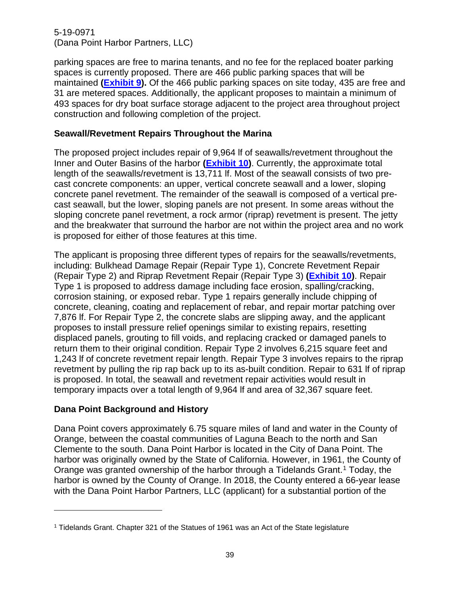parking spaces are free to marina tenants, and no fee for the replaced boater parking spaces is currently proposed. There are 466 public parking spaces that will be maintained **[\(Exhibit 9\)](https://documents.coastal.ca.gov/reports/2020/9/W13c/W13c-9-2020-exhibits.pdf).** Of the 466 public parking spaces on site today, 435 are free and 31 are metered spaces. Additionally, the applicant proposes to maintain a minimum of 493 spaces for dry boat surface storage adjacent to the project area throughout project construction and following completion of the project.

## **Seawall/Revetment Repairs Throughout the Marina**

The proposed project includes repair of 9,964 lf of seawalls/revetment throughout the Inner and Outer Basins of the harbor **[\(Exhibit 10\)](https://documents.coastal.ca.gov/reports/2020/9/W13c/W13c-9-2020-exhibits.pdf)**. Currently, the approximate total length of the seawalls/revetment is 13,711 lf. Most of the seawall consists of two precast concrete components: an upper, vertical concrete seawall and a lower, sloping concrete panel revetment. The remainder of the seawall is composed of a vertical precast seawall, but the lower, sloping panels are not present. In some areas without the sloping concrete panel revetment, a rock armor (riprap) revetment is present. The jetty and the breakwater that surround the harbor are not within the project area and no work is proposed for either of those features at this time.

The applicant is proposing three different types of repairs for the seawalls/revetments, including: Bulkhead Damage Repair (Repair Type 1), Concrete Revetment Repair (Repair Type 2) and Riprap Revetment Repair (Repair Type 3) **[\(Exhibit 10\)](https://documents.coastal.ca.gov/reports/2020/9/W13c/W13c-9-2020-exhibits.pdf)**. Repair Type 1 is proposed to address damage including face erosion, spalling/cracking, corrosion staining, or exposed rebar. Type 1 repairs generally include chipping of concrete, cleaning, coating and replacement of rebar, and repair mortar patching over 7,876 lf. For Repair Type 2, the concrete slabs are slipping away, and the applicant proposes to install pressure relief openings similar to existing repairs, resetting displaced panels, grouting to fill voids, and replacing cracked or damaged panels to return them to their original condition. Repair Type 2 involves 6,215 square feet and 1,243 lf of concrete revetment repair length. Repair Type 3 involves repairs to the riprap revetment by pulling the rip rap back up to its as-built condition. Repair to 631 lf of riprap is proposed. In total, the seawall and revetment repair activities would result in temporary impacts over a total length of 9,964 lf and area of 32,367 square feet.

# **Dana Point Background and History**

Dana Point covers approximately 6.75 square miles of land and water in the County of Orange, between the coastal communities of Laguna Beach to the north and San Clemente to the south. Dana Point Harbor is located in the City of Dana Point. The harbor was originally owned by the State of California. However, in 1961, the County of Orange was granted ownership of the harbor through a Tidelands Grant. [1](#page-38-0) Today, the harbor is owned by the County of Orange. In 2018, the County entered a 66-year lease with the Dana Point Harbor Partners, LLC (applicant) for a substantial portion of the

<span id="page-38-0"></span><sup>1</sup> Tidelands Grant. Chapter 321 of the Statues of 1961 was an Act of the State legislature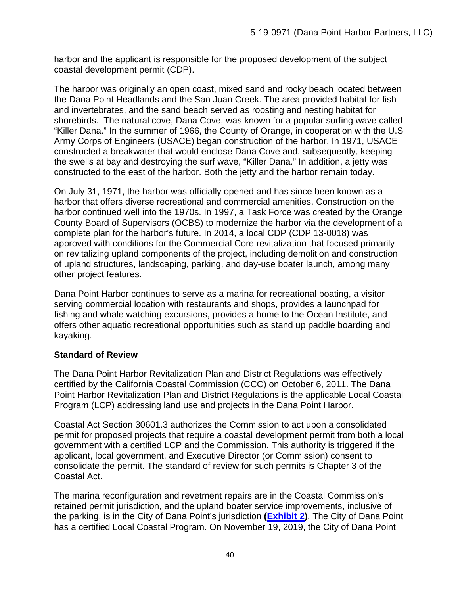harbor and the applicant is responsible for the proposed development of the subject coastal development permit (CDP).

The harbor was originally an open coast, mixed sand and rocky beach located between the Dana Point Headlands and the San Juan Creek. The area provided habitat for fish and invertebrates, and the sand beach served as roosting and nesting habitat for shorebirds. The natural cove, Dana Cove, was known for a popular surfing wave called "Killer Dana." In the summer of 1966, the County of Orange, in cooperation with the U.S Army Corps of Engineers (USACE) began construction of the harbor. In 1971, USACE constructed a breakwater that would enclose Dana Cove and, subsequently, keeping the swells at bay and destroying the surf wave, "Killer Dana." In addition, a jetty was constructed to the east of the harbor. Both the jetty and the harbor remain today.

On July 31, 1971, the harbor was officially opened and has since been known as a harbor that offers diverse recreational and commercial amenities. Construction on the harbor continued well into the 1970s. In 1997, a Task Force was created by the Orange County Board of Supervisors (OCBS) to modernize the harbor via the development of a complete plan for the harbor's future. In 2014, a local CDP (CDP 13-0018) was approved with conditions for the Commercial Core revitalization that focused primarily on revitalizing upland components of the project, including demolition and construction of upland structures, landscaping, parking, and day-use boater launch, among many other project features.

Dana Point Harbor continues to serve as a marina for recreational boating, a visitor serving commercial location with restaurants and shops, provides a launchpad for fishing and whale watching excursions, provides a home to the Ocean Institute, and offers other aquatic recreational opportunities such as stand up paddle boarding and kayaking.

# **Standard of Review**

The Dana Point Harbor Revitalization Plan and District Regulations was effectively certified by the California Coastal Commission (CCC) on October 6, 2011. The Dana Point Harbor Revitalization Plan and District Regulations is the applicable Local Coastal Program (LCP) addressing land use and projects in the Dana Point Harbor.

Coastal Act Section 30601.3 authorizes the Commission to act upon a consolidated permit for proposed projects that require a coastal development permit from both a local government with a certified LCP and the Commission. This authority is triggered if the applicant, local government, and Executive Director (or Commission) consent to consolidate the permit. The standard of review for such permits is Chapter 3 of the Coastal Act.

The marina reconfiguration and revetment repairs are in the Coastal Commission's retained permit jurisdiction, and the upland boater service improvements, inclusive of the parking, is in the City of Dana Point's jurisdiction **[\(Exhibit 2\)](https://documents.coastal.ca.gov/reports/2020/9/W13c/W13c-9-2020-exhibits.pdf)**. The City of Dana Point has a certified Local Coastal Program. On November 19, 2019, the City of Dana Point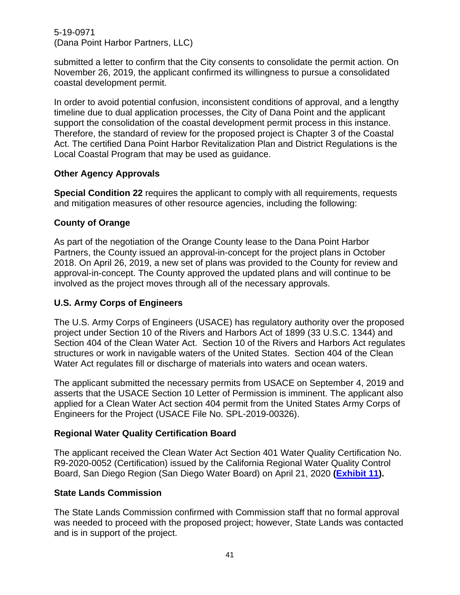submitted a letter to confirm that the City consents to consolidate the permit action. On November 26, 2019, the applicant confirmed its willingness to pursue a consolidated coastal development permit.

In order to avoid potential confusion, inconsistent conditions of approval, and a lengthy timeline due to dual application processes, the City of Dana Point and the applicant support the consolidation of the coastal development permit process in this instance. Therefore, the standard of review for the proposed project is Chapter 3 of the Coastal Act. The certified Dana Point Harbor Revitalization Plan and District Regulations is the Local Coastal Program that may be used as guidance.

### **Other Agency Approvals**

**Special Condition 22** requires the applicant to comply with all requirements, requests and mitigation measures of other resource agencies, including the following:

# **County of Orange**

As part of the negotiation of the Orange County lease to the Dana Point Harbor Partners, the County issued an approval-in-concept for the project plans in October 2018. On April 26, 2019, a new set of plans was provided to the County for review and approval-in-concept. The County approved the updated plans and will continue to be involved as the project moves through all of the necessary approvals.

## **U.S. Army Corps of Engineers**

The U.S. Army Corps of Engineers (USACE) has regulatory authority over the proposed project under Section 10 of the Rivers and Harbors Act of 1899 (33 U.S.C. 1344) and Section 404 of the Clean Water Act. Section 10 of the Rivers and Harbors Act regulates structures or work in navigable waters of the United States. Section 404 of the Clean Water Act regulates fill or discharge of materials into waters and ocean waters.

The applicant submitted the necessary permits from USACE on September 4, 2019 and asserts that the USACE Section 10 Letter of Permission is imminent. The applicant also applied for a Clean Water Act section 404 permit from the United States Army Corps of Engineers for the Project (USACE File No. SPL-2019-00326).

### **Regional Water Quality Certification Board**

The applicant received the Clean Water Act Section 401 Water Quality Certification No. R9-2020-0052 (Certification) issued by the California Regional Water Quality Control Board, San Diego Region (San Diego Water Board) on April 21, 2020 **[\(Exhibit 11\)](https://documents.coastal.ca.gov/reports/2020/9/W13c/W13c-9-2020-exhibits.pdf).**

### **State Lands Commission**

The State Lands Commission confirmed with Commission staff that no formal approval was needed to proceed with the proposed project; however, State Lands was contacted and is in support of the project.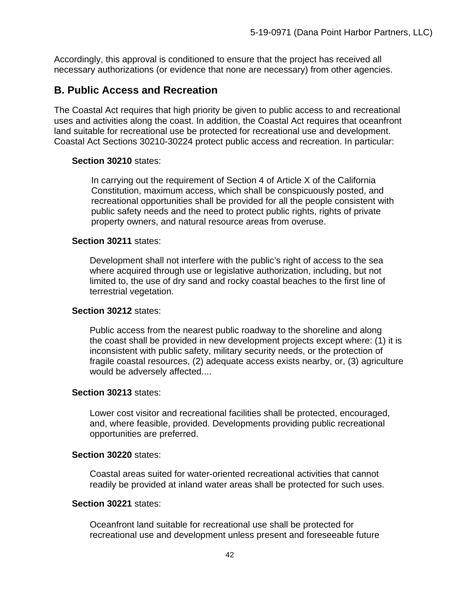Accordingly, this approval is conditioned to ensure that the project has received all necessary authorizations (or evidence that none are necessary) from other agencies.

# **B. Public Access and Recreation**

The Coastal Act requires that high priority be given to public access to and recreational uses and activities along the coast. In addition, the Coastal Act requires that oceanfront land suitable for recreational use be protected for recreational use and development. Coastal Act Sections 30210-30224 protect public access and recreation. In particular:

### **Section 30210** states:

In carrying out the requirement of Section 4 of Article X of the California Constitution, maximum access, which shall be conspicuously posted, and recreational opportunities shall be provided for all the people consistent with public safety needs and the need to protect public rights, rights of private property owners, and natural resource areas from overuse.

### **Section 30211** states:

Development shall not interfere with the public's right of access to the sea where acquired through use or legislative authorization, including, but not limited to, the use of dry sand and rocky coastal beaches to the first line of terrestrial vegetation.

### **Section 30212** states:

Public access from the nearest public roadway to the shoreline and along the coast shall be provided in new development projects except where: (1) it is inconsistent with public safety, military security needs, or the protection of fragile coastal resources, (2) adequate access exists nearby, or, (3) agriculture would be adversely affected....

### **Section 30213** states:

Lower cost visitor and recreational facilities shall be protected, encouraged, and, where feasible, provided. Developments providing public recreational opportunities are preferred.

### **Section 30220** states:

Coastal areas suited for water-oriented recreational activities that cannot readily be provided at inland water areas shall be protected for such uses.

### **Section 30221** states:

Oceanfront land suitable for recreational use shall be protected for recreational use and development unless present and foreseeable future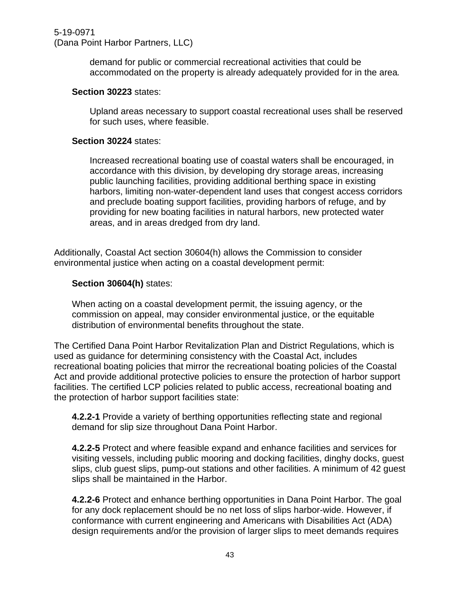demand for public or commercial recreational activities that could be accommodated on the property is already adequately provided for in the area*.* 

#### **Section 30223** states:

Upland areas necessary to support coastal recreational uses shall be reserved for such uses, where feasible.

#### **Section 30224** states:

Increased recreational boating use of coastal waters shall be encouraged, in accordance with this division, by developing dry storage areas, increasing public launching facilities, providing additional berthing space in existing harbors, limiting non-water-dependent land uses that congest access corridors and preclude boating support facilities, providing harbors of refuge, and by providing for new boating facilities in natural harbors, new protected water areas, and in areas dredged from dry land.

Additionally, Coastal Act section 30604(h) allows the Commission to consider environmental justice when acting on a coastal development permit:

#### **Section 30604(h)** states:

When acting on a coastal development permit, the issuing agency, or the commission on appeal, may consider environmental justice, or the equitable distribution of environmental benefits throughout the state.

The Certified Dana Point Harbor Revitalization Plan and District Regulations, which is used as guidance for determining consistency with the Coastal Act, includes recreational boating policies that mirror the recreational boating policies of the Coastal Act and provide additional protective policies to ensure the protection of harbor support facilities. The certified LCP policies related to public access, recreational boating and the protection of harbor support facilities state:

**4.2.2-1** Provide a variety of berthing opportunities reflecting state and regional demand for slip size throughout Dana Point Harbor.

**4.2.2-5** Protect and where feasible expand and enhance facilities and services for visiting vessels, including public mooring and docking facilities, dinghy docks, guest slips, club guest slips, pump-out stations and other facilities. A minimum of 42 guest slips shall be maintained in the Harbor.

**4.2.2-6** Protect and enhance berthing opportunities in Dana Point Harbor. The goal for any dock replacement should be no net loss of slips harbor-wide. However, if conformance with current engineering and Americans with Disabilities Act (ADA) design requirements and/or the provision of larger slips to meet demands requires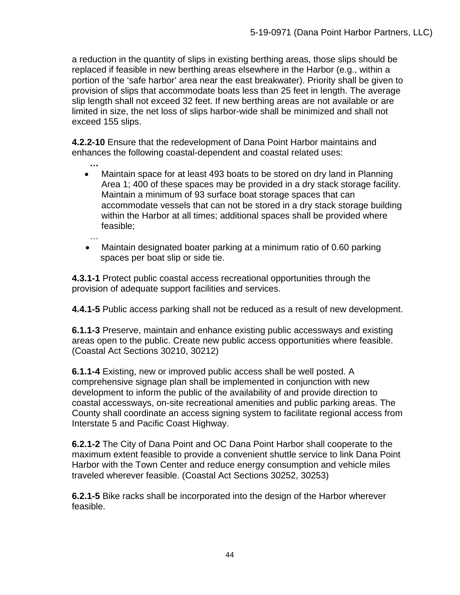a reduction in the quantity of slips in existing berthing areas, those slips should be replaced if feasible in new berthing areas elsewhere in the Harbor (e.g., within a portion of the 'safe harbor' area near the east breakwater). Priority shall be given to provision of slips that accommodate boats less than 25 feet in length. The average slip length shall not exceed 32 feet. If new berthing areas are not available or are limited in size, the net loss of slips harbor-wide shall be minimized and shall not exceed 155 slips.

**4.2.2-10** Ensure that the redevelopment of Dana Point Harbor maintains and enhances the following coastal-dependent and coastal related uses:

- **…** • Maintain space for at least 493 boats to be stored on dry land in Planning Area 1; 400 of these spaces may be provided in a dry stack storage facility. Maintain a minimum of 93 surface boat storage spaces that can accommodate vessels that can not be stored in a dry stack storage building within the Harbor at all times; additional spaces shall be provided where feasible;
- … • Maintain designated boater parking at a minimum ratio of 0.60 parking spaces per boat slip or side tie.

**4.3.1-1** Protect public coastal access recreational opportunities through the provision of adequate support facilities and services.

**4.4.1-5** Public access parking shall not be reduced as a result of new development.

**6.1.1-3** Preserve, maintain and enhance existing public accessways and existing areas open to the public. Create new public access opportunities where feasible. (Coastal Act Sections 30210, 30212)

**6.1.1-4** Existing, new or improved public access shall be well posted. A comprehensive signage plan shall be implemented in conjunction with new development to inform the public of the availability of and provide direction to coastal accessways, on-site recreational amenities and public parking areas. The County shall coordinate an access signing system to facilitate regional access from Interstate 5 and Pacific Coast Highway.

**6.2.1-2** The City of Dana Point and OC Dana Point Harbor shall cooperate to the maximum extent feasible to provide a convenient shuttle service to link Dana Point Harbor with the Town Center and reduce energy consumption and vehicle miles traveled wherever feasible. (Coastal Act Sections 30252, 30253)

**6.2.1-5** Bike racks shall be incorporated into the design of the Harbor wherever feasible.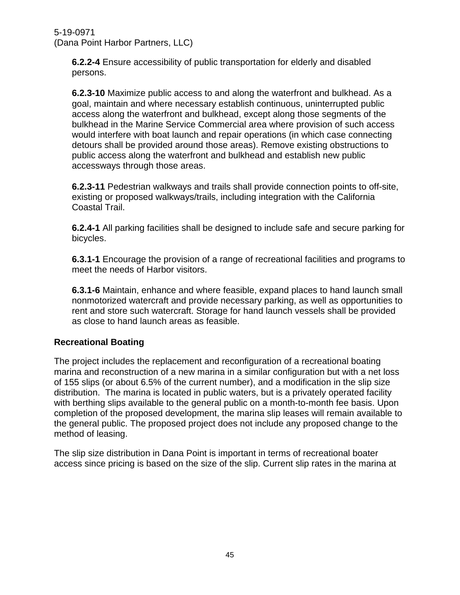**6.2.2-4** Ensure accessibility of public transportation for elderly and disabled persons.

**6.2.3-10** Maximize public access to and along the waterfront and bulkhead. As a goal, maintain and where necessary establish continuous, uninterrupted public access along the waterfront and bulkhead, except along those segments of the bulkhead in the Marine Service Commercial area where provision of such access would interfere with boat launch and repair operations (in which case connecting detours shall be provided around those areas). Remove existing obstructions to public access along the waterfront and bulkhead and establish new public accessways through those areas.

**6.2.3-11** Pedestrian walkways and trails shall provide connection points to off-site, existing or proposed walkways/trails, including integration with the California Coastal Trail.

**6.2.4-1** All parking facilities shall be designed to include safe and secure parking for bicycles.

**6.3.1-1** Encourage the provision of a range of recreational facilities and programs to meet the needs of Harbor visitors.

**6.3.1-6** Maintain, enhance and where feasible, expand places to hand launch small nonmotorized watercraft and provide necessary parking, as well as opportunities to rent and store such watercraft. Storage for hand launch vessels shall be provided as close to hand launch areas as feasible.

# **Recreational Boating**

The project includes the replacement and reconfiguration of a recreational boating marina and reconstruction of a new marina in a similar configuration but with a net loss of 155 slips (or about 6.5% of the current number), and a modification in the slip size distribution. The marina is located in public waters, but is a privately operated facility with berthing slips available to the general public on a month-to-month fee basis. Upon completion of the proposed development, the marina slip leases will remain available to the general public. The proposed project does not include any proposed change to the method of leasing.

The slip size distribution in Dana Point is important in terms of recreational boater access since pricing is based on the size of the slip. Current slip rates in the marina at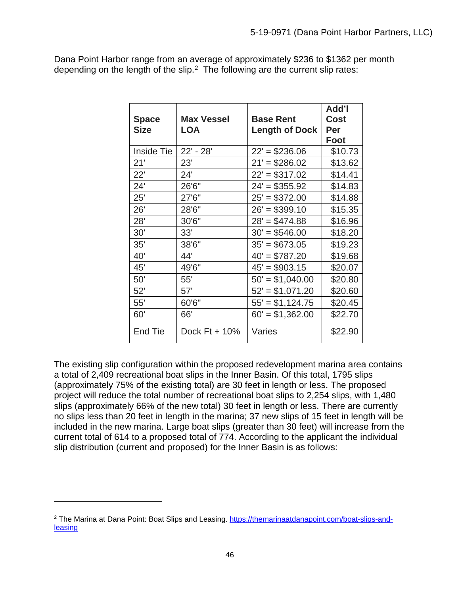Dana Point Harbor range from an average of approximately \$236 to \$1362 per month depending on the length of the slip.<sup>2</sup> The following are the current slip rates:

| <b>Space</b> | <b>Max Vessel</b> | <b>Base Rent</b>      | Add'l<br><b>Cost</b> |
|--------------|-------------------|-----------------------|----------------------|
| <b>Size</b>  | <b>LOA</b>        | <b>Length of Dock</b> | Per                  |
|              |                   |                       | Foot                 |
| Inside Tie   | 22' - 28'         | $22' = $236.06$       | \$10.73              |
| 21'          | 23'               | $21' = $286.02$       | \$13.62              |
| 22'          | 24'               | $22' = $317.02$       | \$14.41              |
| 24'          | 26'6"             | $24' = $355.92$       | \$14.83              |
| 25'          | 27'6"             | $25' = $372.00$       | \$14.88              |
| 26'          | 28'6"             | $26' = $399.10$       | \$15.35              |
| 28'          | 30'6"             | $28' = $474.88$       | \$16.96              |
| 30'          | 33'               | $30' = $546.00$       | \$18.20              |
| 35'          | 38'6"             | $35' = $673.05$       | \$19.23              |
| 40'          | 44'               | $40' = $787.20$       | \$19.68              |
| 45'          | 49'6"             | $45' = $903.15$       | \$20.07              |
| 50'          | 55'               | $50' = $1,040.00$     | \$20.80              |
| 52'          | 57'               | $52' = $1,071.20$     | \$20.60              |
| 55'          | 60'6"             | $55' = $1,124.75$     | \$20.45              |
| 60'          | 66'               | $60' = $1,362.00$     | \$22.70              |
| End Tie      | Dock $Ft + 10\%$  | Varies                | \$22.90              |

The existing slip configuration within the proposed redevelopment marina area contains a total of 2,409 recreational boat slips in the Inner Basin. Of this total, 1795 slips (approximately 75% of the existing total) are 30 feet in length or less. The proposed project will reduce the total number of recreational boat slips to 2,254 slips, with 1,480 slips (approximately 66% of the new total) 30 feet in length or less. There are currently no slips less than 20 feet in length in the marina; 37 new slips of 15 feet in length will be included in the new marina. Large boat slips (greater than 30 feet) will increase from the current total of 614 to a proposed total of 774. According to the applicant the individual slip distribution (current and proposed) for the Inner Basin is as follows:

<span id="page-45-0"></span><sup>2</sup> The Marina at Dana Point: Boat Slips and Leasing. [https://themarinaatdanapoint.com/boat-slips-and](https://themarinaatdanapoint.com/boat-slips-and-leasing)[leasing](https://themarinaatdanapoint.com/boat-slips-and-leasing)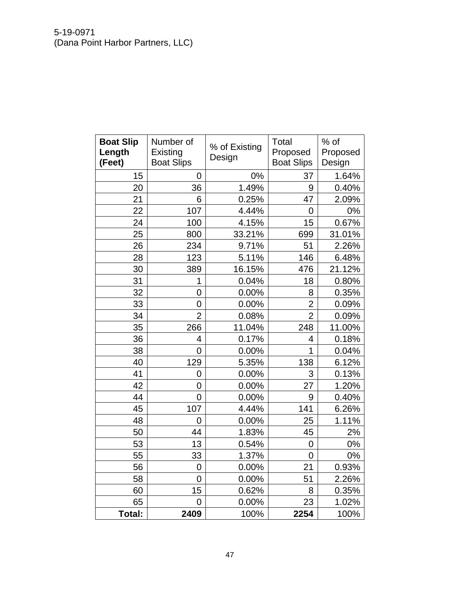| <b>Boat Slip</b><br>Length<br>(Feet) | Number of<br>Existing<br><b>Boat Slips</b> | % of Existing<br>Design | Total<br>Proposed<br><b>Boat Slips</b> | % of<br>Proposed<br>Design |
|--------------------------------------|--------------------------------------------|-------------------------|----------------------------------------|----------------------------|
| 15                                   | 0                                          | 0%                      | 37                                     | 1.64%                      |
| 20                                   | 36                                         | 1.49%                   | 9                                      | 0.40%                      |
| 21                                   | 6                                          | 0.25%                   | 47                                     | 2.09%                      |
| 22                                   | 107                                        | 4.44%                   | 0                                      | $0\%$                      |
| 24                                   | 100                                        | 4.15%                   | 15                                     | 0.67%                      |
| 25                                   | 800                                        | 33.21%                  | 699                                    | 31.01%                     |
| 26                                   | 234                                        | 9.71%                   | 51                                     | 2.26%                      |
| 28                                   | 123                                        | 5.11%                   | 146                                    | 6.48%                      |
| 30                                   | 389                                        | 16.15%                  | 476                                    | 21.12%                     |
| 31                                   | 1                                          | 0.04%                   | 18                                     | 0.80%                      |
| 32                                   | 0                                          | 0.00%                   | 8                                      | 0.35%                      |
| 33                                   | 0                                          | 0.00%                   | $\overline{2}$                         | 0.09%                      |
| 34                                   | $\overline{2}$                             | 0.08%                   | $\overline{2}$                         | 0.09%                      |
| 35                                   | 266                                        | 11.04%                  | 248                                    | 11.00%                     |
| 36                                   | 4                                          | 0.17%                   | 4                                      | 0.18%                      |
| 38                                   | $\overline{0}$                             | 0.00%                   | $\overline{1}$                         | 0.04%                      |
| 40                                   | 129                                        | 5.35%                   | 138                                    | 6.12%                      |
| 41                                   | 0                                          | 0.00%                   | 3                                      | 0.13%                      |
| 42                                   | 0                                          | 0.00%                   | 27                                     | 1.20%                      |
| 44                                   | $\overline{0}$                             | 0.00%                   | 9                                      | 0.40%                      |
| 45                                   | 107                                        | 4.44%                   | 141                                    | 6.26%                      |
| 48                                   | 0                                          | 0.00%                   | 25                                     | 1.11%                      |
| 50                                   | 44                                         | 1.83%                   | 45                                     | 2%                         |
| 53                                   | 13                                         | 0.54%                   | 0                                      | 0%                         |
| 55                                   | 33                                         | 1.37%                   | 0                                      | 0%                         |
| 56                                   | $\overline{0}$                             | 0.00%                   | 21                                     | 0.93%                      |
| 58                                   | $\overline{0}$                             | 0.00%                   | 51                                     | 2.26%                      |
| 60                                   | 15                                         | 0.62%                   | 8                                      | 0.35%                      |
| 65                                   | $\overline{0}$                             | 0.00%                   | 23                                     | 1.02%                      |
| Total:                               | 2409                                       | 100%                    | 2254                                   | 100%                       |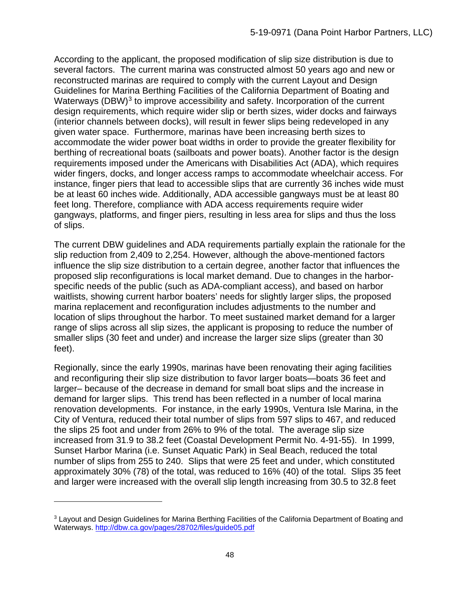According to the applicant, the proposed modification of slip size distribution is due to several factors. The current marina was constructed almost 50 years ago and new or reconstructed marinas are required to comply with the current Layout and Design Guidelines for Marina Berthing Facilities of the California Department of Boating and Waterways (DBW)<sup>[3](#page-47-0)</sup> to improve accessibility and safety. Incorporation of the current design requirements, which require wider slip or berth sizes, wider docks and fairways (interior channels between docks), will result in fewer slips being redeveloped in any given water space. Furthermore, marinas have been increasing berth sizes to accommodate the wider power boat widths in order to provide the greater flexibility for berthing of recreational boats (sailboats and power boats). Another factor is the design requirements imposed under the Americans with Disabilities Act (ADA), which requires wider fingers, docks, and longer access ramps to accommodate wheelchair access. For instance, finger piers that lead to accessible slips that are currently 36 inches wide must be at least 60 inches wide. Additionally, ADA accessible gangways must be at least 80 feet long. Therefore, compliance with ADA access requirements require wider gangways, platforms, and finger piers, resulting in less area for slips and thus the loss of slips.

The current DBW guidelines and ADA requirements partially explain the rationale for the slip reduction from 2,409 to 2,254. However, although the above-mentioned factors influence the slip size distribution to a certain degree, another factor that influences the proposed slip reconfigurations is local market demand. Due to changes in the harborspecific needs of the public (such as ADA-compliant access), and based on harbor waitlists, showing current harbor boaters' needs for slightly larger slips, the proposed marina replacement and reconfiguration includes adjustments to the number and location of slips throughout the harbor. To meet sustained market demand for a larger range of slips across all slip sizes, the applicant is proposing to reduce the number of smaller slips (30 feet and under) and increase the larger size slips (greater than 30 feet).

Regionally, since the early 1990s, marinas have been renovating their aging facilities and reconfiguring their slip size distribution to favor larger boats—boats 36 feet and larger– because of the decrease in demand for small boat slips and the increase in demand for larger slips. This trend has been reflected in a number of local marina renovation developments. For instance, in the early 1990s, Ventura Isle Marina, in the City of Ventura, reduced their total number of slips from 597 slips to 467, and reduced the slips 25 foot and under from 26% to 9% of the total. The average slip size increased from 31.9 to 38.2 feet (Coastal Development Permit No. 4-91-55). In 1999, Sunset Harbor Marina (i.e. Sunset Aquatic Park) in Seal Beach, reduced the total number of slips from 255 to 240. Slips that were 25 feet and under, which constituted approximately 30% (78) of the total, was reduced to 16% (40) of the total. Slips 35 feet and larger were increased with the overall slip length increasing from 30.5 to 32.8 feet

<span id="page-47-0"></span><sup>&</sup>lt;sup>3</sup> Layout and Design Guidelines for Marina Berthing Facilities of the California Department of Boating and Waterways.<http://dbw.ca.gov/pages/28702/files/guide05.pdf>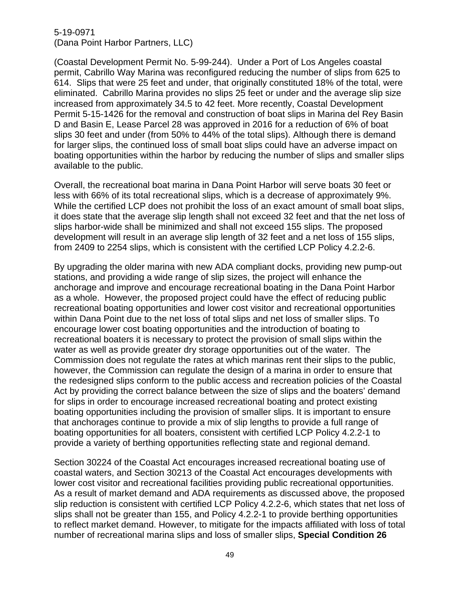(Coastal Development Permit No. 5-99-244). Under a Port of Los Angeles coastal permit, Cabrillo Way Marina was reconfigured reducing the number of slips from 625 to 614. Slips that were 25 feet and under, that originally constituted 18% of the total, were eliminated. Cabrillo Marina provides no slips 25 feet or under and the average slip size increased from approximately 34.5 to 42 feet. More recently, Coastal Development Permit 5-15-1426 for the removal and construction of boat slips in Marina del Rey Basin D and Basin E, Lease Parcel 28 was approved in 2016 for a reduction of 6% of boat slips 30 feet and under (from 50% to 44% of the total slips). Although there is demand for larger slips, the continued loss of small boat slips could have an adverse impact on boating opportunities within the harbor by reducing the number of slips and smaller slips available to the public.

Overall, the recreational boat marina in Dana Point Harbor will serve boats 30 feet or less with 66% of its total recreational slips, which is a decrease of approximately 9%. While the certified LCP does not prohibit the loss of an exact amount of small boat slips, it does state that the average slip length shall not exceed 32 feet and that the net loss of slips harbor-wide shall be minimized and shall not exceed 155 slips. The proposed development will result in an average slip length of 32 feet and a net loss of 155 slips, from 2409 to 2254 slips, which is consistent with the certified LCP Policy 4.2.2-6.

By upgrading the older marina with new ADA compliant docks, providing new pump-out stations, and providing a wide range of slip sizes, the project will enhance the anchorage and improve and encourage recreational boating in the Dana Point Harbor as a whole. However, the proposed project could have the effect of reducing public recreational boating opportunities and lower cost visitor and recreational opportunities within Dana Point due to the net loss of total slips and net loss of smaller slips. To encourage lower cost boating opportunities and the introduction of boating to recreational boaters it is necessary to protect the provision of small slips within the water as well as provide greater dry storage opportunities out of the water. The Commission does not regulate the rates at which marinas rent their slips to the public, however, the Commission can regulate the design of a marina in order to ensure that the redesigned slips conform to the public access and recreation policies of the Coastal Act by providing the correct balance between the size of slips and the boaters' demand for slips in order to encourage increased recreational boating and protect existing boating opportunities including the provision of smaller slips. It is important to ensure that anchorages continue to provide a mix of slip lengths to provide a full range of boating opportunities for all boaters, consistent with certified LCP Policy 4.2.2-1 to provide a variety of berthing opportunities reflecting state and regional demand.

Section 30224 of the Coastal Act encourages increased recreational boating use of coastal waters, and Section 30213 of the Coastal Act encourages developments with lower cost visitor and recreational facilities providing public recreational opportunities. As a result of market demand and ADA requirements as discussed above, the proposed slip reduction is consistent with certified LCP Policy 4.2.2-6, which states that net loss of slips shall not be greater than 155, and Policy 4.2.2-1 to provide berthing opportunities to reflect market demand. However, to mitigate for the impacts affiliated with loss of total number of recreational marina slips and loss of smaller slips, **Special Condition 26**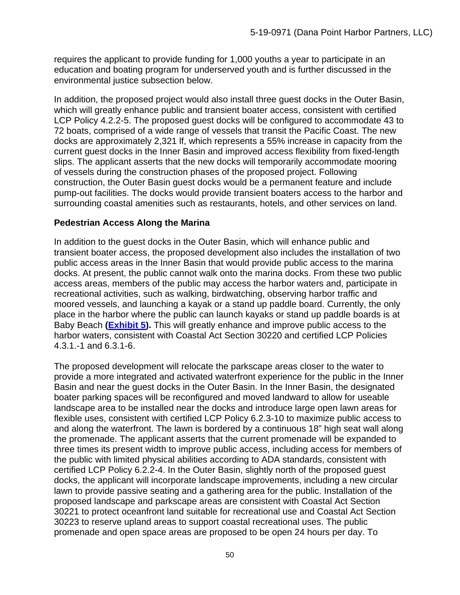requires the applicant to provide funding for 1,000 youths a year to participate in an education and boating program for underserved youth and is further discussed in the environmental justice subsection below.

In addition, the proposed project would also install three guest docks in the Outer Basin, which will greatly enhance public and transient boater access, consistent with certified LCP Policy 4.2.2-5. The proposed guest docks will be configured to accommodate 43 to 72 boats, comprised of a wide range of vessels that transit the Pacific Coast. The new docks are approximately 2,321 lf, which represents a 55% increase in capacity from the current guest docks in the Inner Basin and improved access flexibility from fixed-length slips. The applicant asserts that the new docks will temporarily accommodate mooring of vessels during the construction phases of the proposed project. Following construction, the Outer Basin guest docks would be a permanent feature and include pump-out facilities. The docks would provide transient boaters access to the harbor and surrounding coastal amenities such as restaurants, hotels, and other services on land.

# **Pedestrian Access Along the Marina**

In addition to the guest docks in the Outer Basin, which will enhance public and transient boater access, the proposed development also includes the installation of two public access areas in the Inner Basin that would provide public access to the marina docks. At present, the public cannot walk onto the marina docks. From these two public access areas, members of the public may access the harbor waters and, participate in recreational activities, such as walking, birdwatching, observing harbor traffic and moored vessels, and launching a kayak or a stand up paddle board. Currently, the only place in the harbor where the public can launch kayaks or stand up paddle boards is at Baby Beach **[\(Exhibit 5\)](https://documents.coastal.ca.gov/reports/2020/9/W13c/W13c-9-2020-exhibits.pdf).** This will greatly enhance and improve public access to the harbor waters, consistent with Coastal Act Section 30220 and certified LCP Policies 4.3.1.-1 and 6.3.1-6.

The proposed development will relocate the parkscape areas closer to the water to provide a more integrated and activated waterfront experience for the public in the Inner Basin and near the guest docks in the Outer Basin. In the Inner Basin, the designated boater parking spaces will be reconfigured and moved landward to allow for useable landscape area to be installed near the docks and introduce large open lawn areas for flexible uses, consistent with certified LCP Policy 6.2.3-10 to maximize public access to and along the waterfront. The lawn is bordered by a continuous 18" high seat wall along the promenade. The applicant asserts that the current promenade will be expanded to three times its present width to improve public access, including access for members of the public with limited physical abilities according to ADA standards, consistent with certified LCP Policy 6.2.2-4. In the Outer Basin, slightly north of the proposed guest docks, the applicant will incorporate landscape improvements, including a new circular lawn to provide passive seating and a gathering area for the public. Installation of the proposed landscape and parkscape areas are consistent with Coastal Act Section 30221 to protect oceanfront land suitable for recreational use and Coastal Act Section 30223 to reserve upland areas to support coastal recreational uses. The public promenade and open space areas are proposed to be open 24 hours per day. To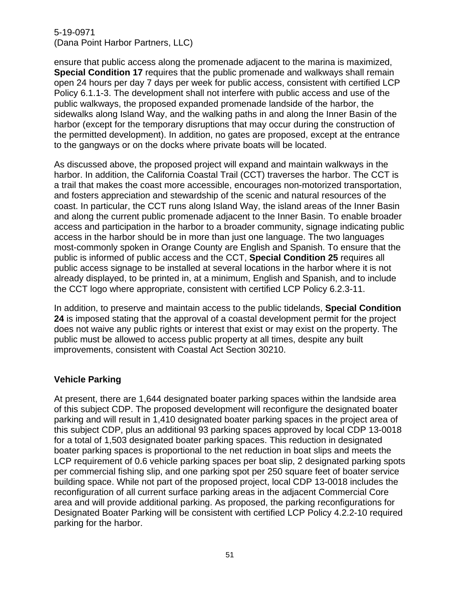ensure that public access along the promenade adjacent to the marina is maximized, **Special Condition 17** requires that the public promenade and walkways shall remain open 24 hours per day 7 days per week for public access, consistent with certified LCP Policy 6.1.1-3. The development shall not interfere with public access and use of the public walkways, the proposed expanded promenade landside of the harbor, the sidewalks along Island Way, and the walking paths in and along the Inner Basin of the harbor (except for the temporary disruptions that may occur during the construction of the permitted development). In addition, no gates are proposed, except at the entrance to the gangways or on the docks where private boats will be located.

As discussed above, the proposed project will expand and maintain walkways in the harbor. In addition, the California Coastal Trail (CCT) traverses the harbor. The CCT is a trail that makes the coast more accessible, encourages non-motorized transportation, and fosters appreciation and stewardship of the scenic and natural resources of the coast. In particular, the CCT runs along Island Way, the island areas of the Inner Basin and along the current public promenade adjacent to the Inner Basin. To enable broader access and participation in the harbor to a broader community, signage indicating public access in the harbor should be in more than just one language. The two languages most-commonly spoken in Orange County are English and Spanish. To ensure that the public is informed of public access and the CCT, **Special Condition 25** requires all public access signage to be installed at several locations in the harbor where it is not already displayed, to be printed in, at a minimum, English and Spanish, and to include the CCT logo where appropriate, consistent with certified LCP Policy 6.2.3-11.

In addition, to preserve and maintain access to the public tidelands, **Special Condition 24** is imposed stating that the approval of a coastal development permit for the project does not waive any public rights or interest that exist or may exist on the property. The public must be allowed to access public property at all times, despite any built improvements, consistent with Coastal Act Section 30210.

### **Vehicle Parking**

At present, there are 1,644 designated boater parking spaces within the landside area of this subject CDP. The proposed development will reconfigure the designated boater parking and will result in 1,410 designated boater parking spaces in the project area of this subject CDP, plus an additional 93 parking spaces approved by local CDP 13-0018 for a total of 1,503 designated boater parking spaces. This reduction in designated boater parking spaces is proportional to the net reduction in boat slips and meets the LCP requirement of 0.6 vehicle parking spaces per boat slip, 2 designated parking spots per commercial fishing slip, and one parking spot per 250 square feet of boater service building space. While not part of the proposed project, local CDP 13-0018 includes the reconfiguration of all current surface parking areas in the adjacent Commercial Core area and will provide additional parking. As proposed, the parking reconfigurations for Designated Boater Parking will be consistent with certified LCP Policy 4.2.2-10 required parking for the harbor.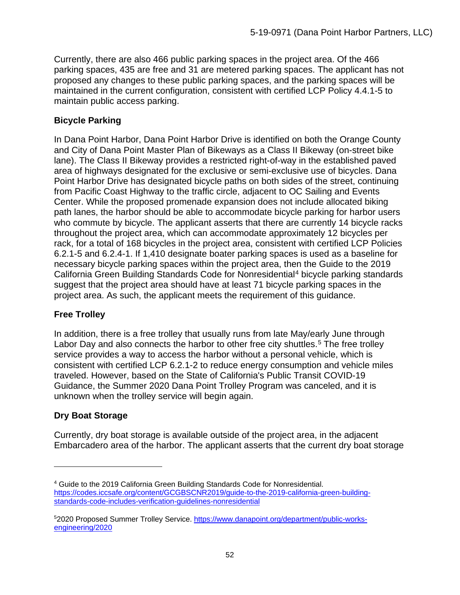Currently, there are also 466 public parking spaces in the project area. Of the 466 parking spaces, 435 are free and 31 are metered parking spaces. The applicant has not proposed any changes to these public parking spaces, and the parking spaces will be maintained in the current configuration, consistent with certified LCP Policy 4.4.1-5 to maintain public access parking.

# **Bicycle Parking**

In Dana Point Harbor, Dana Point Harbor Drive is identified on both the Orange County and City of Dana Point Master Plan of Bikeways as a Class II Bikeway (on-street bike lane). The Class II Bikeway provides a restricted right-of-way in the established paved area of highways designated for the exclusive or semi-exclusive use of bicycles. Dana Point Harbor Drive has designated bicycle paths on both sides of the street, continuing from Pacific Coast Highway to the traffic circle, adjacent to OC Sailing and Events Center. While the proposed promenade expansion does not include allocated biking path lanes, the harbor should be able to accommodate bicycle parking for harbor users who commute by bicycle. The applicant asserts that there are currently 14 bicycle racks throughout the project area, which can accommodate approximately 12 bicycles per rack, for a total of 168 bicycles in the project area, consistent with certified LCP Policies 6.2.1-5 and 6.2.4-1. If 1,410 designate boater parking spaces is used as a baseline for necessary bicycle parking spaces within the project area, then the Guide to the 2019 California Green Building Standards Code for Nonresidential<sup>[4](#page-51-0)</sup> bicycle parking standards suggest that the project area should have at least 71 bicycle parking spaces in the project area. As such, the applicant meets the requirement of this guidance.

# **Free Trolley**

In addition, there is a free trolley that usually runs from late May/early June through Labor Day and also connects the harbor to other free city shuttles.<sup>[5](#page-51-1)</sup> The free trolley service provides a way to access the harbor without a personal vehicle, which is consistent with certified LCP 6.2.1-2 to reduce energy consumption and vehicle miles traveled. However, based on the State of California's Public Transit COVID-19 Guidance, the Summer 2020 Dana Point Trolley Program was canceled, and it is unknown when the trolley service will begin again.

# **Dry Boat Storage**

Currently, dry boat storage is available outside of the project area, in the adjacent Embarcadero area of the harbor. The applicant asserts that the current dry boat storage

<span id="page-51-0"></span><sup>4</sup> Guide to the 2019 California Green Building Standards Code for Nonresidential. [https://codes.iccsafe.org/content/GCGBSCNR2019/guide-to-the-2019-california-green-building](https://codes.iccsafe.org/content/GCGBSCNR2019/guide-to-the-2019-california-green-building-standards-code-includes-verification-guidelines-nonresidential)[standards-code-includes-verification-guidelines-nonresidential](https://codes.iccsafe.org/content/GCGBSCNR2019/guide-to-the-2019-california-green-building-standards-code-includes-verification-guidelines-nonresidential)

<span id="page-51-1"></span><sup>52020</sup> Proposed Summer Trolley Service. [https://www.danapoint.org/department/public-works](https://www.danapoint.org/department/public-works-engineering/2020)[engineering/2020](https://www.danapoint.org/department/public-works-engineering/2020)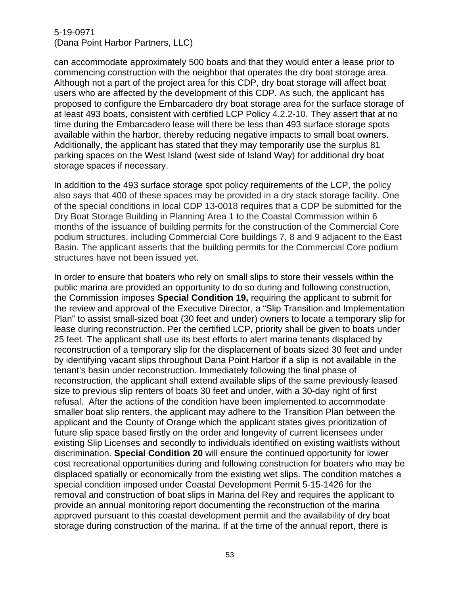can accommodate approximately 500 boats and that they would enter a lease prior to commencing construction with the neighbor that operates the dry boat storage area. Although not a part of the project area for this CDP, dry boat storage will affect boat users who are affected by the development of this CDP. As such, the applicant has proposed to configure the Embarcadero dry boat storage area for the surface storage of at least 493 boats, consistent with certified LCP Policy 4.2.2-10. They assert that at no time during the Embarcadero lease will there be less than 493 surface storage spots available within the harbor, thereby reducing negative impacts to small boat owners. Additionally, the applicant has stated that they may temporarily use the surplus 81 parking spaces on the West Island (west side of Island Way) for additional dry boat storage spaces if necessary.

In addition to the 493 surface storage spot policy requirements of the LCP, the policy also says that 400 of these spaces may be provided in a dry stack storage facility. One of the special conditions in local CDP 13-0018 requires that a CDP be submitted for the Dry Boat Storage Building in Planning Area 1 to the Coastal Commission within 6 months of the issuance of building permits for the construction of the Commercial Core podium structures, including Commercial Core buildings 7, 8 and 9 adjacent to the East Basin. The applicant asserts that the building permits for the Commercial Core podium structures have not been issued yet.

In order to ensure that boaters who rely on small slips to store their vessels within the public marina are provided an opportunity to do so during and following construction, the Commission imposes **Special Condition 19,** requiring the applicant to submit for the review and approval of the Executive Director, a "Slip Transition and Implementation Plan" to assist small-sized boat (30 feet and under) owners to locate a temporary slip for lease during reconstruction. Per the certified LCP, priority shall be given to boats under 25 feet. The applicant shall use its best efforts to alert marina tenants displaced by reconstruction of a temporary slip for the displacement of boats sized 30 feet and under by identifying vacant slips throughout Dana Point Harbor if a slip is not available in the tenant's basin under reconstruction. Immediately following the final phase of reconstruction, the applicant shall extend available slips of the same previously leased size to previous slip renters of boats 30 feet and under, with a 30-day right of first refusal. After the actions of the condition have been implemented to accommodate smaller boat slip renters, the applicant may adhere to the Transition Plan between the applicant and the County of Orange which the applicant states gives prioritization of future slip space based firstly on the order and longevity of current licensees under existing Slip Licenses and secondly to individuals identified on existing waitlists without discrimination. **Special Condition 20** will ensure the continued opportunity for lower cost recreational opportunities during and following construction for boaters who may be displaced spatially or economically from the existing wet slips. The condition matches a special condition imposed under Coastal Development Permit 5-15-1426 for the removal and construction of boat slips in Marina del Rey and requires the applicant to provide an annual monitoring report documenting the reconstruction of the marina approved pursuant to this coastal development permit and the availability of dry boat storage during construction of the marina. If at the time of the annual report, there is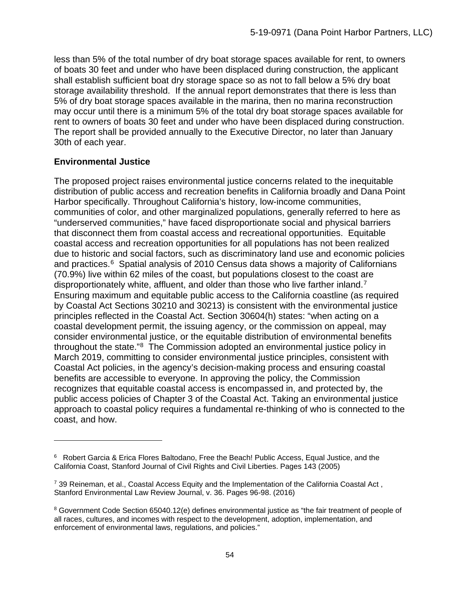less than 5% of the total number of dry boat storage spaces available for rent, to owners of boats 30 feet and under who have been displaced during construction, the applicant shall establish sufficient boat dry storage space so as not to fall below a 5% dry boat storage availability threshold. If the annual report demonstrates that there is less than 5% of dry boat storage spaces available in the marina, then no marina reconstruction may occur until there is a minimum 5% of the total dry boat storage spaces available for rent to owners of boats 30 feet and under who have been displaced during construction. The report shall be provided annually to the Executive Director, no later than January 30th of each year.

# **Environmental Justice**

The proposed project raises environmental justice concerns related to the inequitable distribution of public access and recreation benefits in California broadly and Dana Point Harbor specifically. Throughout California's history, low-income communities, communities of color, and other marginalized populations, generally referred to here as "underserved communities," have faced disproportionate social and physical barriers that disconnect them from coastal access and recreational opportunities. Equitable coastal access and recreation opportunities for all populations has not been realized due to historic and social factors, such as discriminatory land use and economic policies and practices.<sup>6</sup> Spatial analysis of 2010 Census data shows a majority of Californians (70.9%) live within 62 miles of the coast, but populations closest to the coast are disproportionately white, affluent, and older than those who live farther inland.<sup>7</sup> Ensuring maximum and equitable public access to the California coastline (as required by Coastal Act Sections 30210 and 30213) is consistent with the environmental justice principles reflected in the Coastal Act. Section 30604(h) states: "when acting on a coastal development permit, the issuing agency, or the commission on appeal, may consider environmental justice, or the equitable distribution of environmental benefits throughout the state."[8](#page-53-2) The Commission adopted an environmental justice policy in March 2019, committing to consider environmental justice principles, consistent with Coastal Act policies, in the agency's decision-making process and ensuring coastal benefits are accessible to everyone. In approving the policy, the Commission recognizes that equitable coastal access is encompassed in, and protected by, the public access policies of Chapter 3 of the Coastal Act. Taking an environmental justice approach to coastal policy requires a fundamental re-thinking of who is connected to the coast, and how.

<span id="page-53-0"></span><sup>6</sup> Robert Garcia & Erica Flores Baltodano, Free the Beach! Public Access, Equal Justice, and the California Coast, Stanford Journal of Civil Rights and Civil Liberties. Pages 143 (2005)

<span id="page-53-1"></span> $7$  39 Reineman, et al., Coastal Access Equity and the Implementation of the California Coastal Act, Stanford Environmental Law Review Journal, v. 36. Pages 96-98. (2016)

<span id="page-53-2"></span><sup>8</sup> Government Code Section 65040.12(e) defines environmental justice as "the fair treatment of people of all races, cultures, and incomes with respect to the development, adoption, implementation, and enforcement of environmental laws, regulations, and policies."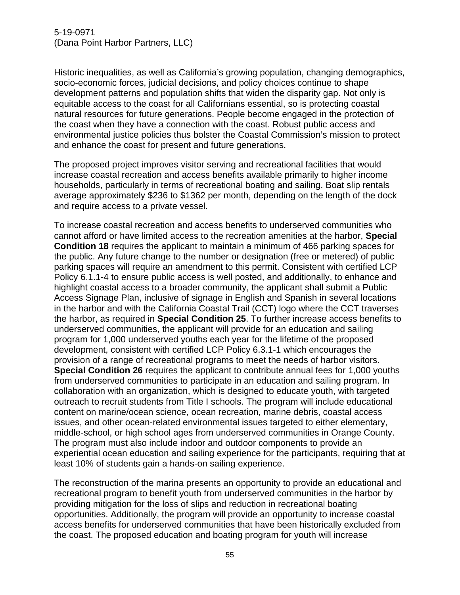Historic inequalities, as well as California's growing population, changing demographics, socio-economic forces, judicial decisions, and policy choices continue to shape development patterns and population shifts that widen the disparity gap. Not only is equitable access to the coast for all Californians essential, so is protecting coastal natural resources for future generations. People become engaged in the protection of the coast when they have a connection with the coast. Robust public access and environmental justice policies thus bolster the Coastal Commission's mission to protect and enhance the coast for present and future generations.

The proposed project improves visitor serving and recreational facilities that would increase coastal recreation and access benefits available primarily to higher income households, particularly in terms of recreational boating and sailing. Boat slip rentals average approximately \$236 to \$1362 per month, depending on the length of the dock and require access to a private vessel.

To increase coastal recreation and access benefits to underserved communities who cannot afford or have limited access to the recreation amenities at the harbor, **Special Condition 18** requires the applicant to maintain a minimum of 466 parking spaces for the public. Any future change to the number or designation (free or metered) of public parking spaces will require an amendment to this permit. Consistent with certified LCP Policy 6.1.1-4 to ensure public access is well posted, and additionally, to enhance and highlight coastal access to a broader community, the applicant shall submit a Public Access Signage Plan, inclusive of signage in English and Spanish in several locations in the harbor and with the California Coastal Trail (CCT) logo where the CCT traverses the harbor, as required in **Special Condition 25**. To further increase access benefits to underserved communities, the applicant will provide for an education and sailing program for 1,000 underserved youths each year for the lifetime of the proposed development, consistent with certified LCP Policy 6.3.1-1 which encourages the provision of a range of recreational programs to meet the needs of harbor visitors. **Special Condition 26** requires the applicant to contribute annual fees for 1,000 youths from underserved communities to participate in an education and sailing program. In collaboration with an organization, which is designed to educate youth, with targeted outreach to recruit students from Title I schools. The program will include educational content on marine/ocean science, ocean recreation, marine debris, coastal access issues, and other ocean-related environmental issues targeted to either elementary, middle-school, or high school ages from underserved communities in Orange County. The program must also include indoor and outdoor components to provide an experiential ocean education and sailing experience for the participants, requiring that at least 10% of students gain a hands-on sailing experience.

The reconstruction of the marina presents an opportunity to provide an educational and recreational program to benefit youth from underserved communities in the harbor by providing mitigation for the loss of slips and reduction in recreational boating opportunities. Additionally, the program will provide an opportunity to increase coastal access benefits for underserved communities that have been historically excluded from the coast. The proposed education and boating program for youth will increase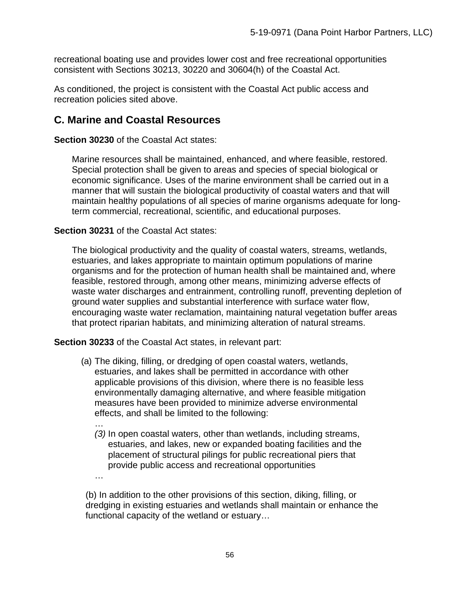recreational boating use and provides lower cost and free recreational opportunities consistent with Sections 30213, 30220 and 30604(h) of the Coastal Act.

As conditioned, the project is consistent with the Coastal Act public access and recreation policies sited above.

# **C. Marine and Coastal Resources**

**Section 30230** of the Coastal Act states:

Marine resources shall be maintained, enhanced, and where feasible, restored. Special protection shall be given to areas and species of special biological or economic significance. Uses of the marine environment shall be carried out in a manner that will sustain the biological productivity of coastal waters and that will maintain healthy populations of all species of marine organisms adequate for longterm commercial, recreational, scientific, and educational purposes.

### **Section 30231** of the Coastal Act states:

…

The biological productivity and the quality of coastal waters, streams, wetlands, estuaries, and lakes appropriate to maintain optimum populations of marine organisms and for the protection of human health shall be maintained and, where feasible, restored through, among other means, minimizing adverse effects of waste water discharges and entrainment, controlling runoff, preventing depletion of ground water supplies and substantial interference with surface water flow, encouraging waste water reclamation, maintaining natural vegetation buffer areas that protect riparian habitats, and minimizing alteration of natural streams.

**Section 30233** of the Coastal Act states, in relevant part:

- (a) The diking, filling, or dredging of open coastal waters, wetlands, estuaries, and lakes shall be permitted in accordance with other applicable provisions of this division, where there is no feasible less environmentally damaging alternative, and where feasible mitigation measures have been provided to minimize adverse environmental effects, and shall be limited to the following:
	- … *(3)* In open coastal waters, other than wetlands, including streams, estuaries, and lakes, new or expanded boating facilities and the placement of structural pilings for public recreational piers that provide public access and recreational opportunities

(b) In addition to the other provisions of this section, diking, filling, or dredging in existing estuaries and wetlands shall maintain or enhance the functional capacity of the wetland or estuary…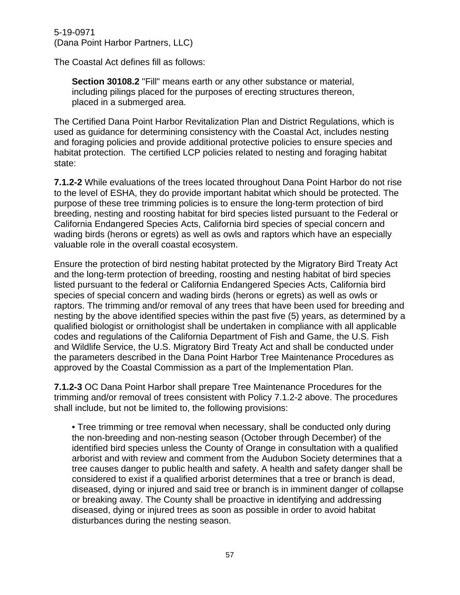The Coastal Act defines fill as follows:

**Section 30108.2** "Fill" means earth or any other substance or material, including pilings placed for the purposes of erecting structures thereon, placed in a submerged area.

The Certified Dana Point Harbor Revitalization Plan and District Regulations, which is used as guidance for determining consistency with the Coastal Act, includes nesting and foraging policies and provide additional protective policies to ensure species and habitat protection. The certified LCP policies related to nesting and foraging habitat state:

**7.1.2-2** While evaluations of the trees located throughout Dana Point Harbor do not rise to the level of ESHA, they do provide important habitat which should be protected. The purpose of these tree trimming policies is to ensure the long-term protection of bird breeding, nesting and roosting habitat for bird species listed pursuant to the Federal or California Endangered Species Acts, California bird species of special concern and wading birds (herons or egrets) as well as owls and raptors which have an especially valuable role in the overall coastal ecosystem.

Ensure the protection of bird nesting habitat protected by the Migratory Bird Treaty Act and the long-term protection of breeding, roosting and nesting habitat of bird species listed pursuant to the federal or California Endangered Species Acts, California bird species of special concern and wading birds (herons or egrets) as well as owls or raptors. The trimming and/or removal of any trees that have been used for breeding and nesting by the above identified species within the past five (5) years, as determined by a qualified biologist or ornithologist shall be undertaken in compliance with all applicable codes and regulations of the California Department of Fish and Game, the U.S. Fish and Wildlife Service, the U.S. Migratory Bird Treaty Act and shall be conducted under the parameters described in the Dana Point Harbor Tree Maintenance Procedures as approved by the Coastal Commission as a part of the Implementation Plan.

**7.1.2-3** OC Dana Point Harbor shall prepare Tree Maintenance Procedures for the trimming and/or removal of trees consistent with Policy 7.1.2-2 above. The procedures shall include, but not be limited to, the following provisions:

• Tree trimming or tree removal when necessary, shall be conducted only during the non-breeding and non-nesting season (October through December) of the identified bird species unless the County of Orange in consultation with a qualified arborist and with review and comment from the Audubon Society determines that a tree causes danger to public health and safety. A health and safety danger shall be considered to exist if a qualified arborist determines that a tree or branch is dead, diseased, dying or injured and said tree or branch is in imminent danger of collapse or breaking away. The County shall be proactive in identifying and addressing diseased, dying or injured trees as soon as possible in order to avoid habitat disturbances during the nesting season.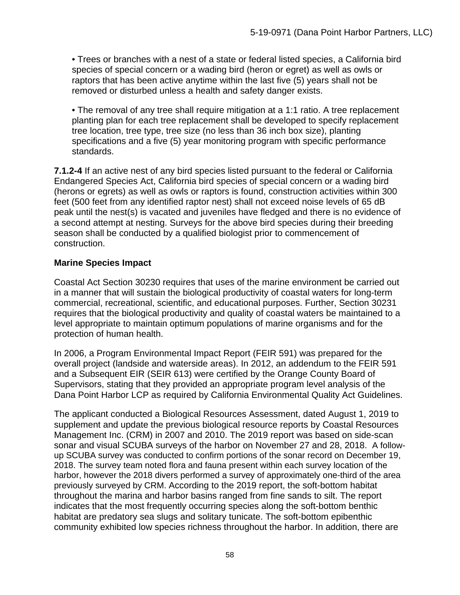• Trees or branches with a nest of a state or federal listed species, a California bird species of special concern or a wading bird (heron or egret) as well as owls or raptors that has been active anytime within the last five (5) years shall not be removed or disturbed unless a health and safety danger exists.

• The removal of any tree shall require mitigation at a 1:1 ratio. A tree replacement planting plan for each tree replacement shall be developed to specify replacement tree location, tree type, tree size (no less than 36 inch box size), planting specifications and a five (5) year monitoring program with specific performance standards.

**7.1.2-4** If an active nest of any bird species listed pursuant to the federal or California Endangered Species Act, California bird species of special concern or a wading bird (herons or egrets) as well as owls or raptors is found, construction activities within 300 feet (500 feet from any identified raptor nest) shall not exceed noise levels of 65 dB peak until the nest(s) is vacated and juveniles have fledged and there is no evidence of a second attempt at nesting. Surveys for the above bird species during their breeding season shall be conducted by a qualified biologist prior to commencement of construction.

# **Marine Species Impact**

Coastal Act Section 30230 requires that uses of the marine environment be carried out in a manner that will sustain the biological productivity of coastal waters for long-term commercial, recreational, scientific, and educational purposes. Further, Section 30231 requires that the biological productivity and quality of coastal waters be maintained to a level appropriate to maintain optimum populations of marine organisms and for the protection of human health.

In 2006, a Program Environmental Impact Report (FEIR 591) was prepared for the overall project (landside and waterside areas). In 2012, an addendum to the FEIR 591 and a Subsequent EIR (SEIR 613) were certified by the Orange County Board of Supervisors, stating that they provided an appropriate program level analysis of the Dana Point Harbor LCP as required by California Environmental Quality Act Guidelines.

The applicant conducted a Biological Resources Assessment, dated August 1, 2019 to supplement and update the previous biological resource reports by Coastal Resources Management Inc. (CRM) in 2007 and 2010. The 2019 report was based on side-scan sonar and visual SCUBA surveys of the harbor on November 27 and 28, 2018. A followup SCUBA survey was conducted to confirm portions of the sonar record on December 19, 2018. The survey team noted flora and fauna present within each survey location of the harbor, however the 2018 divers performed a survey of approximately one-third of the area previously surveyed by CRM. According to the 2019 report, the soft-bottom habitat throughout the marina and harbor basins ranged from fine sands to silt. The report indicates that the most frequently occurring species along the soft-bottom benthic habitat are predatory sea slugs and solitary tunicate. The soft-bottom epibenthic community exhibited low species richness throughout the harbor. In addition, there are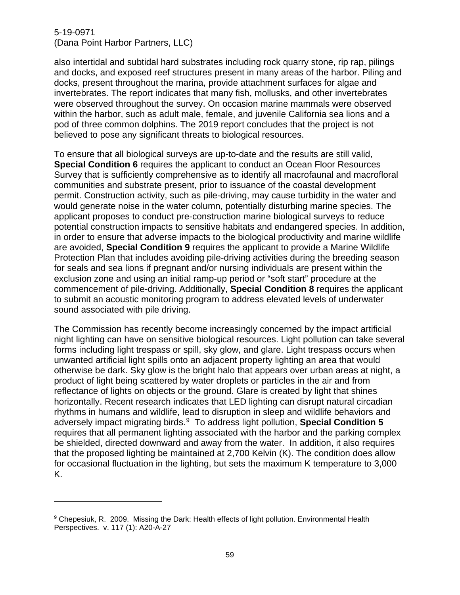also intertidal and subtidal hard substrates including rock quarry stone, rip rap, pilings and docks, and exposed reef structures present in many areas of the harbor. Piling and docks, present throughout the marina, provide attachment surfaces for algae and invertebrates. The report indicates that many fish, mollusks, and other invertebrates were observed throughout the survey. On occasion marine mammals were observed within the harbor, such as adult male, female, and juvenile California sea lions and a pod of three common dolphins. The 2019 report concludes that the project is not believed to pose any significant threats to biological resources.

To ensure that all biological surveys are up-to-date and the results are still valid, **Special Condition 6** requires the applicant to conduct an Ocean Floor Resources Survey that is sufficiently comprehensive as to identify all macrofaunal and macrofloral communities and substrate present, prior to issuance of the coastal development permit. Construction activity, such as pile-driving, may cause turbidity in the water and would generate noise in the water column, potentially disturbing marine species. The applicant proposes to conduct pre-construction marine biological surveys to reduce potential construction impacts to sensitive habitats and endangered species. In addition, in order to ensure that adverse impacts to the biological productivity and marine wildlife are avoided, **Special Condition 9** requires the applicant to provide a Marine Wildlife Protection Plan that includes avoiding pile-driving activities during the breeding season for seals and sea lions if pregnant and/or nursing individuals are present within the exclusion zone and using an initial ramp-up period or "soft start" procedure at the commencement of pile-driving. Additionally, **Special Condition 8** requires the applicant to submit an acoustic monitoring program to address elevated levels of underwater sound associated with pile driving.

The Commission has recently become increasingly concerned by the impact artificial night lighting can have on sensitive biological resources. Light pollution can take several forms including light trespass or spill, sky glow, and glare. Light trespass occurs when unwanted artificial light spills onto an adjacent property lighting an area that would otherwise be dark. Sky glow is the bright halo that appears over urban areas at night, a product of light being scattered by water droplets or particles in the air and from reflectance of lights on objects or the ground. Glare is created by light that shines horizontally. Recent research indicates that LED lighting can disrupt natural circadian rhythms in humans and wildlife, lead to disruption in sleep and wildlife behaviors and adversely impact migrating birds.[9](#page-58-0) To address light pollution, **Special Condition 5** requires that all permanent lighting associated with the harbor and the parking complex be shielded, directed downward and away from the water. In addition, it also requires that the proposed lighting be maintained at 2,700 Kelvin (K). The condition does allow for occasional fluctuation in the lighting, but sets the maximum K temperature to 3,000 K.

<span id="page-58-0"></span><sup>9</sup> Chepesiuk, R. 2009. Missing the Dark: Health effects of light pollution. Environmental Health Perspectives. v. 117 (1): A20-A-27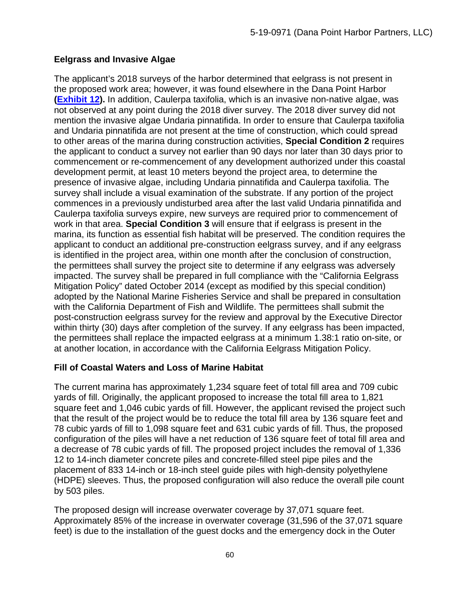# **Eelgrass and Invasive Algae**

The applicant's 2018 surveys of the harbor determined that eelgrass is not present in the proposed work area; however, it was found elsewhere in the Dana Point Harbor **[\(Exhibit 12\)](https://documents.coastal.ca.gov/reports/2020/9/W13c/W13c-9-2020-exhibits.pdf).** In addition, Caulerpa taxifolia, which is an invasive non-native algae, was not observed at any point during the 2018 diver survey. The 2018 diver survey did not mention the invasive algae Undaria pinnatifida. In order to ensure that Caulerpa taxifolia and Undaria pinnatifida are not present at the time of construction, which could spread to other areas of the marina during construction activities, **Special Condition 2** requires the applicant to conduct a survey not earlier than 90 days nor later than 30 days prior to commencement or re-commencement of any development authorized under this coastal development permit, at least 10 meters beyond the project area, to determine the presence of invasive algae, including Undaria pinnatifida and Caulerpa taxifolia. The survey shall include a visual examination of the substrate. If any portion of the project commences in a previously undisturbed area after the last valid Undaria pinnatifida and Caulerpa taxifolia surveys expire, new surveys are required prior to commencement of work in that area. **Special Condition 3** will ensure that if eelgrass is present in the marina, its function as essential fish habitat will be preserved. The condition requires the applicant to conduct an additional pre-construction eelgrass survey, and if any eelgrass is identified in the project area, within one month after the conclusion of construction, the permittees shall survey the project site to determine if any eelgrass was adversely impacted. The survey shall be prepared in full compliance with the "California Eelgrass Mitigation Policy" dated October 2014 (except as modified by this special condition) adopted by the National Marine Fisheries Service and shall be prepared in consultation with the California Department of Fish and Wildlife. The permittees shall submit the post-construction eelgrass survey for the review and approval by the Executive Director within thirty (30) days after completion of the survey. If any eelgrass has been impacted, the permittees shall replace the impacted eelgrass at a minimum 1.38:1 ratio on-site, or at another location, in accordance with the California Eelgrass Mitigation Policy.

# **Fill of Coastal Waters and Loss of Marine Habitat**

The current marina has approximately 1,234 square feet of total fill area and 709 cubic yards of fill. Originally, the applicant proposed to increase the total fill area to 1,821 square feet and 1,046 cubic yards of fill. However, the applicant revised the project such that the result of the project would be to reduce the total fill area by 136 square feet and 78 cubic yards of fill to 1,098 square feet and 631 cubic yards of fill. Thus, the proposed configuration of the piles will have a net reduction of 136 square feet of total fill area and a decrease of 78 cubic yards of fill. The proposed project includes the removal of 1,336 12 to 14-inch diameter concrete piles and concrete-filled steel pipe piles and the placement of 833 14-inch or 18-inch steel guide piles with high-density polyethylene (HDPE) sleeves. Thus, the proposed configuration will also reduce the overall pile count by 503 piles.

The proposed design will increase overwater coverage by 37,071 square feet. Approximately 85% of the increase in overwater coverage (31,596 of the 37,071 square feet) is due to the installation of the guest docks and the emergency dock in the Outer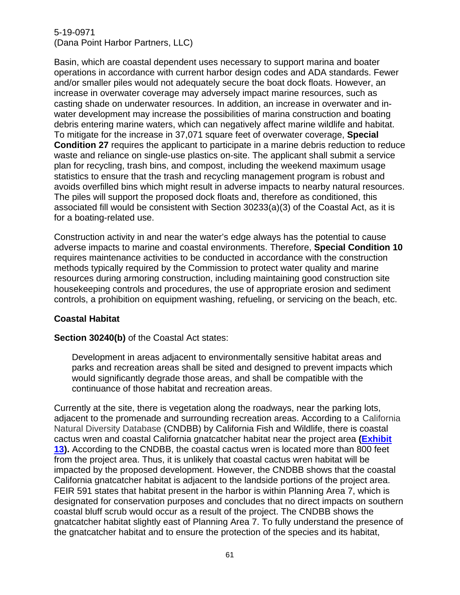Basin, which are coastal dependent uses necessary to support marina and boater operations in accordance with current harbor design codes and ADA standards. Fewer and/or smaller piles would not adequately secure the boat dock floats. However, an increase in overwater coverage may adversely impact marine resources, such as casting shade on underwater resources. In addition, an increase in overwater and inwater development may increase the possibilities of marina construction and boating debris entering marine waters, which can negatively affect marine wildlife and habitat. To mitigate for the increase in 37,071 square feet of overwater coverage, **Special Condition 27** requires the applicant to participate in a marine debris reduction to reduce waste and reliance on single-use plastics on-site. The applicant shall submit a service plan for recycling, trash bins, and compost, including the weekend maximum usage statistics to ensure that the trash and recycling management program is robust and avoids overfilled bins which might result in adverse impacts to nearby natural resources. The piles will support the proposed dock floats and, therefore as conditioned, this associated fill would be consistent with Section 30233(a)(3) of the Coastal Act, as it is for a boating-related use.

Construction activity in and near the water's edge always has the potential to cause adverse impacts to marine and coastal environments. Therefore, **Special Condition 10** requires maintenance activities to be conducted in accordance with the construction methods typically required by the Commission to protect water quality and marine resources during armoring construction, including maintaining good construction site housekeeping controls and procedures, the use of appropriate erosion and sediment controls, a prohibition on equipment washing, refueling, or servicing on the beach, etc.

### **Coastal Habitat**

### **Section 30240(b)** of the Coastal Act states:

Development in areas adjacent to environmentally sensitive habitat areas and parks and recreation areas shall be sited and designed to prevent impacts which would significantly degrade those areas, and shall be compatible with the continuance of those habitat and recreation areas.

Currently at the site, there is vegetation along the roadways, near the parking lots, adjacent to the promenade and surrounding recreation areas. According to a California Natural Diversity Database (CNDBB) by California Fish and Wildlife, there is coastal cactus wren and coastal California gnatcatcher habitat near the project area **[\(Exhibit](https://documents.coastal.ca.gov/reports/2020/9/W13c/W13c-9-2020-exhibits.pdf) [13\)](https://documents.coastal.ca.gov/reports/2020/9/W13c/W13c-9-2020-exhibits.pdf).** According to the CNDBB, the coastal cactus wren is located more than 800 feet from the project area. Thus, it is unlikely that coastal cactus wren habitat will be impacted by the proposed development. However, the CNDBB shows that the coastal California gnatcatcher habitat is adjacent to the landside portions of the project area. FEIR 591 states that habitat present in the harbor is within Planning Area 7, which is designated for conservation purposes and concludes that no direct impacts on southern coastal bluff scrub would occur as a result of the project. The CNDBB shows the gnatcatcher habitat slightly east of Planning Area 7. To fully understand the presence of the gnatcatcher habitat and to ensure the protection of the species and its habitat,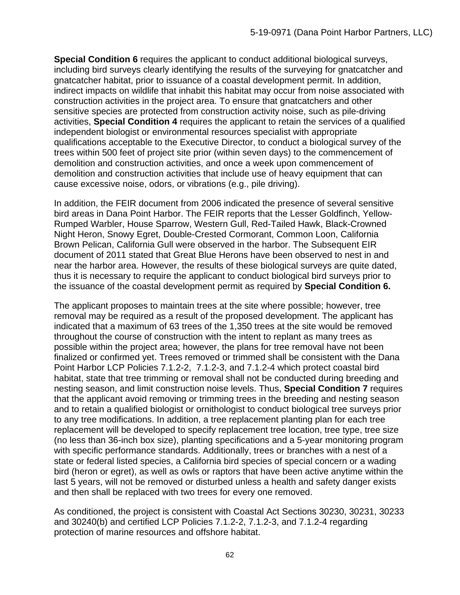**Special Condition 6** requires the applicant to conduct additional biological surveys, including bird surveys clearly identifying the results of the surveying for gnatcatcher and gnatcatcher habitat, prior to issuance of a coastal development permit. In addition, indirect impacts on wildlife that inhabit this habitat may occur from noise associated with construction activities in the project area. To ensure that gnatcatchers and other sensitive species are protected from construction activity noise, such as pile-driving activities, **Special Condition 4** requires the applicant to retain the services of a qualified independent biologist or environmental resources specialist with appropriate qualifications acceptable to the Executive Director, to conduct a biological survey of the trees within 500 feet of project site prior (within seven days) to the commencement of demolition and construction activities, and once a week upon commencement of demolition and construction activities that include use of heavy equipment that can cause excessive noise, odors, or vibrations (e.g., pile driving).

In addition, the FEIR document from 2006 indicated the presence of several sensitive bird areas in Dana Point Harbor. The FEIR reports that the Lesser Goldfinch, Yellow-Rumped Warbler, House Sparrow, Western Gull, Red-Tailed Hawk, Black-Crowned Night Heron, Snowy Egret, Double-Crested Cormorant, Common Loon, California Brown Pelican, California Gull were observed in the harbor. The Subsequent EIR document of 2011 stated that Great Blue Herons have been observed to nest in and near the harbor area. However, the results of these biological surveys are quite dated, thus it is necessary to require the applicant to conduct biological bird surveys prior to the issuance of the coastal development permit as required by **Special Condition 6.**

The applicant proposes to maintain trees at the site where possible; however, tree removal may be required as a result of the proposed development. The applicant has indicated that a maximum of 63 trees of the 1,350 trees at the site would be removed throughout the course of construction with the intent to replant as many trees as possible within the project area; however, the plans for tree removal have not been finalized or confirmed yet. Trees removed or trimmed shall be consistent with the Dana Point Harbor LCP Policies 7.1.2-2, 7.1.2-3, and 7.1.2-4 which protect coastal bird habitat, state that tree trimming or removal shall not be conducted during breeding and nesting season, and limit construction noise levels. Thus, **Special Condition 7** requires that the applicant avoid removing or trimming trees in the breeding and nesting season and to retain a qualified biologist or ornithologist to conduct biological tree surveys prior to any tree modifications. In addition, a tree replacement planting plan for each tree replacement will be developed to specify replacement tree location, tree type, tree size (no less than 36-inch box size), planting specifications and a 5-year monitoring program with specific performance standards. Additionally, trees or branches with a nest of a state or federal listed species, a California bird species of special concern or a wading bird (heron or egret), as well as owls or raptors that have been active anytime within the last 5 years, will not be removed or disturbed unless a health and safety danger exists and then shall be replaced with two trees for every one removed.

As conditioned, the project is consistent with Coastal Act Sections 30230, 30231, 30233 and 30240(b) and certified LCP Policies 7.1.2-2, 7.1.2-3, and 7.1.2-4 regarding protection of marine resources and offshore habitat.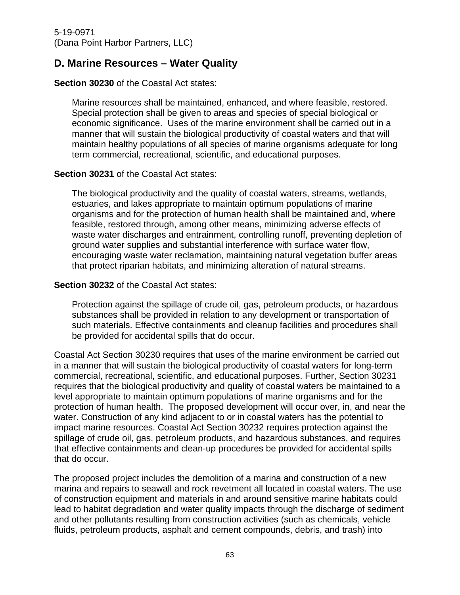# **D. Marine Resources – Water Quality**

### **Section 30230** of the Coastal Act states:

Marine resources shall be maintained, enhanced, and where feasible, restored. Special protection shall be given to areas and species of special biological or economic significance. Uses of the marine environment shall be carried out in a manner that will sustain the biological productivity of coastal waters and that will maintain healthy populations of all species of marine organisms adequate for long term commercial, recreational, scientific, and educational purposes.

### **Section 30231** of the Coastal Act states:

The biological productivity and the quality of coastal waters, streams, wetlands, estuaries, and lakes appropriate to maintain optimum populations of marine organisms and for the protection of human health shall be maintained and, where feasible, restored through, among other means, minimizing adverse effects of waste water discharges and entrainment, controlling runoff, preventing depletion of ground water supplies and substantial interference with surface water flow, encouraging waste water reclamation, maintaining natural vegetation buffer areas that protect riparian habitats, and minimizing alteration of natural streams.

### **Section 30232** of the Coastal Act states:

Protection against the spillage of crude oil, gas, petroleum products, or hazardous substances shall be provided in relation to any development or transportation of such materials. Effective containments and cleanup facilities and procedures shall be provided for accidental spills that do occur.

Coastal Act Section 30230 requires that uses of the marine environment be carried out in a manner that will sustain the biological productivity of coastal waters for long-term commercial, recreational, scientific, and educational purposes. Further, Section 30231 requires that the biological productivity and quality of coastal waters be maintained to a level appropriate to maintain optimum populations of marine organisms and for the protection of human health. The proposed development will occur over, in, and near the water. Construction of any kind adjacent to or in coastal waters has the potential to impact marine resources. Coastal Act Section 30232 requires protection against the spillage of crude oil, gas, petroleum products, and hazardous substances, and requires that effective containments and clean-up procedures be provided for accidental spills that do occur.

The proposed project includes the demolition of a marina and construction of a new marina and repairs to seawall and rock revetment all located in coastal waters. The use of construction equipment and materials in and around sensitive marine habitats could lead to habitat degradation and water quality impacts through the discharge of sediment and other pollutants resulting from construction activities (such as chemicals, vehicle fluids, petroleum products, asphalt and cement compounds, debris, and trash) into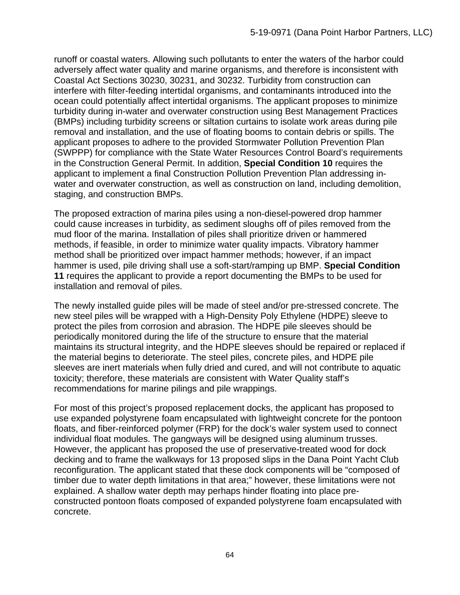runoff or coastal waters. Allowing such pollutants to enter the waters of the harbor could adversely affect water quality and marine organisms, and therefore is inconsistent with Coastal Act Sections 30230, 30231, and 30232. Turbidity from construction can interfere with filter-feeding intertidal organisms, and contaminants introduced into the ocean could potentially affect intertidal organisms. The applicant proposes to minimize turbidity during in-water and overwater construction using Best Management Practices (BMPs) including turbidity screens or siltation curtains to isolate work areas during pile removal and installation, and the use of floating booms to contain debris or spills. The applicant proposes to adhere to the provided Stormwater Pollution Prevention Plan (SWPPP) for compliance with the State Water Resources Control Board's requirements in the Construction General Permit. In addition, **Special Condition 10** requires the applicant to implement a final Construction Pollution Prevention Plan addressing inwater and overwater construction, as well as construction on land, including demolition, staging, and construction BMPs.

The proposed extraction of marina piles using a non-diesel-powered drop hammer could cause increases in turbidity, as sediment sloughs off of piles removed from the mud floor of the marina. Installation of piles shall prioritize driven or hammered methods, if feasible, in order to minimize water quality impacts. Vibratory hammer method shall be prioritized over impact hammer methods; however, if an impact hammer is used, pile driving shall use a soft-start/ramping up BMP. **Special Condition 11** requires the applicant to provide a report documenting the BMPs to be used for installation and removal of piles.

The newly installed guide piles will be made of steel and/or pre-stressed concrete. The new steel piles will be wrapped with a High-Density Poly Ethylene (HDPE) sleeve to protect the piles from corrosion and abrasion. The HDPE pile sleeves should be periodically monitored during the life of the structure to ensure that the material maintains its structural integrity, and the HDPE sleeves should be repaired or replaced if the material begins to deteriorate. The steel piles, concrete piles, and HDPE pile sleeves are inert materials when fully dried and cured, and will not contribute to aquatic toxicity; therefore, these materials are consistent with Water Quality staff's recommendations for marine pilings and pile wrappings.

For most of this project's proposed replacement docks, the applicant has proposed to use expanded polystyrene foam encapsulated with lightweight concrete for the pontoon floats, and fiber-reinforced polymer (FRP) for the dock's waler system used to connect individual float modules. The gangways will be designed using aluminum trusses. However, the applicant has proposed the use of preservative-treated wood for dock decking and to frame the walkways for 13 proposed slips in the Dana Point Yacht Club reconfiguration. The applicant stated that these dock components will be "composed of timber due to water depth limitations in that area;" however, these limitations were not explained. A shallow water depth may perhaps hinder floating into place preconstructed pontoon floats composed of expanded polystyrene foam encapsulated with concrete.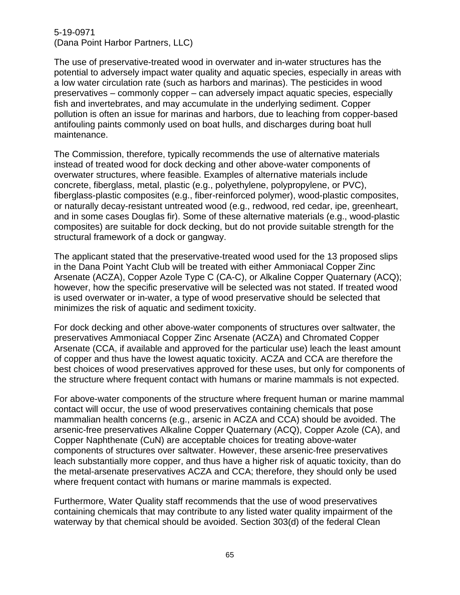The use of preservative-treated wood in overwater and in-water structures has the potential to adversely impact water quality and aquatic species, especially in areas with a low water circulation rate (such as harbors and marinas). The pesticides in wood preservatives – commonly copper – can adversely impact aquatic species, especially fish and invertebrates, and may accumulate in the underlying sediment. Copper pollution is often an issue for marinas and harbors, due to leaching from copper-based antifouling paints commonly used on boat hulls, and discharges during boat hull maintenance.

The Commission, therefore, typically recommends the use of alternative materials instead of treated wood for dock decking and other above-water components of overwater structures, where feasible. Examples of alternative materials include concrete, fiberglass, metal, plastic (e.g., polyethylene, polypropylene, or PVC), fiberglass-plastic composites (e.g., fiber-reinforced polymer), wood-plastic composites, or naturally decay-resistant untreated wood (e.g., redwood, red cedar, ipe, greenheart, and in some cases Douglas fir). Some of these alternative materials (e.g., wood-plastic composites) are suitable for dock decking, but do not provide suitable strength for the structural framework of a dock or gangway.

The applicant stated that the preservative-treated wood used for the 13 proposed slips in the Dana Point Yacht Club will be treated with either Ammoniacal Copper Zinc Arsenate (ACZA), Copper Azole Type C (CA-C), or Alkaline Copper Quaternary (ACQ); however, how the specific preservative will be selected was not stated. If treated wood is used overwater or in-water, a type of wood preservative should be selected that minimizes the risk of aquatic and sediment toxicity.

For dock decking and other above-water components of structures over saltwater, the preservatives Ammoniacal Copper Zinc Arsenate (ACZA) and Chromated Copper Arsenate (CCA, if available and approved for the particular use) leach the least amount of copper and thus have the lowest aquatic toxicity. ACZA and CCA are therefore the best choices of wood preservatives approved for these uses, but only for components of the structure where frequent contact with humans or marine mammals is not expected.

For above-water components of the structure where frequent human or marine mammal contact will occur, the use of wood preservatives containing chemicals that pose mammalian health concerns (e.g., arsenic in ACZA and CCA) should be avoided. The arsenic-free preservatives Alkaline Copper Quaternary (ACQ), Copper Azole (CA), and Copper Naphthenate (CuN) are acceptable choices for treating above-water components of structures over saltwater. However, these arsenic-free preservatives leach substantially more copper, and thus have a higher risk of aquatic toxicity, than do the metal-arsenate preservatives ACZA and CCA; therefore, they should only be used where frequent contact with humans or marine mammals is expected.

Furthermore, Water Quality staff recommends that the use of wood preservatives containing chemicals that may contribute to any listed water quality impairment of the waterway by that chemical should be avoided. Section 303(d) of the federal Clean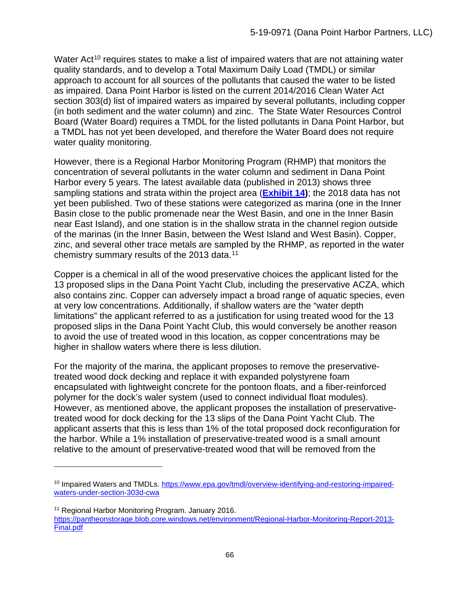Water Act<sup>[10](#page-65-0)</sup> requires states to make a list of impaired waters that are not attaining water quality standards, and to develop a Total Maximum Daily Load (TMDL) or similar approach to account for all sources of the pollutants that caused the water to be listed as impaired. Dana Point Harbor is listed on the current 2014/2016 Clean Water Act section 303(d) list of impaired waters as impaired by several pollutants, including copper (in both sediment and the water column) and zinc. The State Water Resources Control Board (Water Board) requires a TMDL for the listed pollutants in Dana Point Harbor, but a TMDL has not yet been developed, and therefore the Water Board does not require water quality monitoring.

However, there is a Regional Harbor Monitoring Program (RHMP) that monitors the concentration of several pollutants in the water column and sediment in Dana Point Harbor every 5 years. The latest available data (published in 2013) shows three sampling stations and strata within the project area (**[Exhibit 14\)](https://documents.coastal.ca.gov/reports/2020/9/W13c/W13c-9-2020-exhibits.pdf)**; the 2018 data has not yet been published. Two of these stations were categorized as marina (one in the Inner Basin close to the public promenade near the West Basin, and one in the Inner Basin near East Island), and one station is in the shallow strata in the channel region outside of the marinas (in the Inner Basin, between the West Island and West Basin). Copper, zinc, and several other trace metals are sampled by the RHMP, as reported in the water chemistry summary results of the 2013 data.[11](#page-65-1) 

Copper is a chemical in all of the wood preservative choices the applicant listed for the 13 proposed slips in the Dana Point Yacht Club, including the preservative ACZA, which also contains zinc. Copper can adversely impact a broad range of aquatic species, even at very low concentrations. Additionally, if shallow waters are the "water depth limitations" the applicant referred to as a justification for using treated wood for the 13 proposed slips in the Dana Point Yacht Club, this would conversely be another reason to avoid the use of treated wood in this location, as copper concentrations may be higher in shallow waters where there is less dilution.

For the majority of the marina, the applicant proposes to remove the preservativetreated wood dock decking and replace it with expanded polystyrene foam encapsulated with lightweight concrete for the pontoon floats, and a fiber-reinforced polymer for the dock's waler system (used to connect individual float modules). However, as mentioned above, the applicant proposes the installation of preservativetreated wood for dock decking for the 13 slips of the Dana Point Yacht Club. The applicant asserts that this is less than 1% of the total proposed dock reconfiguration for the harbor. While a 1% installation of preservative-treated wood is a small amount relative to the amount of preservative-treated wood that will be removed from the

<span id="page-65-0"></span><sup>&</sup>lt;sup>10</sup> Impaired Waters and TMDLs. [https://www.epa.gov/tmdl/overview-identifying-and-restoring-impaired](https://www.epa.gov/tmdl/overview-identifying-and-restoring-impaired-waters-under-section-303d-cwa)[waters-under-section-303d-cwa](https://www.epa.gov/tmdl/overview-identifying-and-restoring-impaired-waters-under-section-303d-cwa)

<span id="page-65-1"></span><sup>11</sup> Regional Harbor Monitoring Program. January 2016.

[https://pantheonstorage.blob.core.windows.net/environment/Regional-Harbor-Monitoring-Report-2013-](https://pantheonstorage.blob.core.windows.net/environment/Regional-Harbor-Monitoring-Report-2013-Final.pdf) [Final.pdf](https://pantheonstorage.blob.core.windows.net/environment/Regional-Harbor-Monitoring-Report-2013-Final.pdf)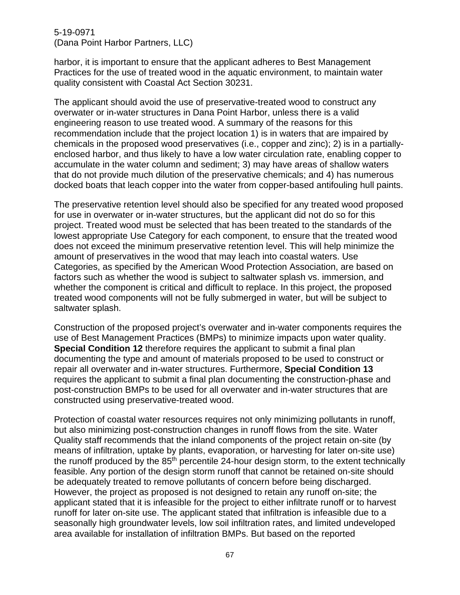harbor, it is important to ensure that the applicant adheres to Best Management Practices for the use of treated wood in the aquatic environment, to maintain water quality consistent with Coastal Act Section 30231.

The applicant should avoid the use of preservative-treated wood to construct any overwater or in-water structures in Dana Point Harbor, unless there is a valid engineering reason to use treated wood. A summary of the reasons for this recommendation include that the project location 1) is in waters that are impaired by chemicals in the proposed wood preservatives (i.e., copper and zinc); 2) is in a partiallyenclosed harbor, and thus likely to have a low water circulation rate, enabling copper to accumulate in the water column and sediment; 3) may have areas of shallow waters that do not provide much dilution of the preservative chemicals; and 4) has numerous docked boats that leach copper into the water from copper-based antifouling hull paints.

The preservative retention level should also be specified for any treated wood proposed for use in overwater or in-water structures, but the applicant did not do so for this project. Treated wood must be selected that has been treated to the standards of the lowest appropriate Use Category for each component, to ensure that the treated wood does not exceed the minimum preservative retention level. This will help minimize the amount of preservatives in the wood that may leach into coastal waters. Use Categories, as specified by the American Wood Protection Association, are based on factors such as whether the wood is subject to saltwater splash vs. immersion, and whether the component is critical and difficult to replace. In this project, the proposed treated wood components will not be fully submerged in water, but will be subject to saltwater splash.

Construction of the proposed project's overwater and in-water components requires the use of Best Management Practices (BMPs) to minimize impacts upon water quality. **Special Condition 12** therefore requires the applicant to submit a final plan documenting the type and amount of materials proposed to be used to construct or repair all overwater and in-water structures. Furthermore, **Special Condition 13** requires the applicant to submit a final plan documenting the construction-phase and post-construction BMPs to be used for all overwater and in-water structures that are constructed using preservative-treated wood.

Protection of coastal water resources requires not only minimizing pollutants in runoff, but also minimizing post-construction changes in runoff flows from the site. Water Quality staff recommends that the inland components of the project retain on-site (by means of infiltration, uptake by plants, evaporation, or harvesting for later on-site use) the runoff produced by the  $85<sup>th</sup>$  percentile 24-hour design storm, to the extent technically feasible. Any portion of the design storm runoff that cannot be retained on-site should be adequately treated to remove pollutants of concern before being discharged. However, the project as proposed is not designed to retain any runoff on-site; the applicant stated that it is infeasible for the project to either infiltrate runoff or to harvest runoff for later on-site use. The applicant stated that infiltration is infeasible due to a seasonally high groundwater levels, low soil infiltration rates, and limited undeveloped area available for installation of infiltration BMPs. But based on the reported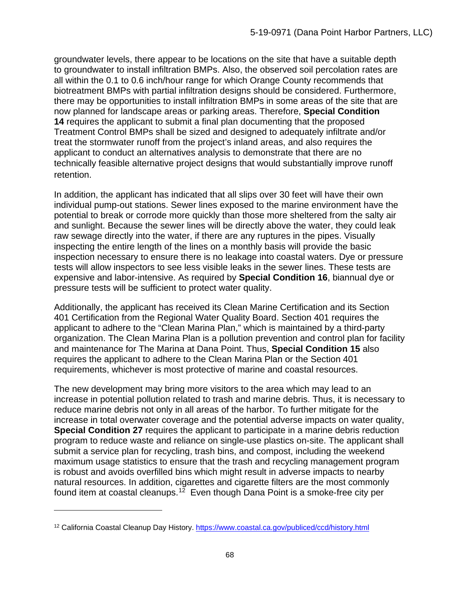groundwater levels, there appear to be locations on the site that have a suitable depth to groundwater to install infiltration BMPs. Also, the observed soil percolation rates are all within the 0.1 to 0.6 inch/hour range for which Orange County recommends that biotreatment BMPs with partial infiltration designs should be considered. Furthermore, there may be opportunities to install infiltration BMPs in some areas of the site that are now planned for landscape areas or parking areas. Therefore, **Special Condition 14** requires the applicant to submit a final plan documenting that the proposed Treatment Control BMPs shall be sized and designed to adequately infiltrate and/or treat the stormwater runoff from the project's inland areas, and also requires the applicant to conduct an alternatives analysis to demonstrate that there are no technically feasible alternative project designs that would substantially improve runoff retention.

In addition, the applicant has indicated that all slips over 30 feet will have their own individual pump-out stations. Sewer lines exposed to the marine environment have the potential to break or corrode more quickly than those more sheltered from the salty air and sunlight. Because the sewer lines will be directly above the water, they could leak raw sewage directly into the water, if there are any ruptures in the pipes. Visually inspecting the entire length of the lines on a monthly basis will provide the basic inspection necessary to ensure there is no leakage into coastal waters. Dye or pressure tests will allow inspectors to see less visible leaks in the sewer lines. These tests are expensive and labor-intensive. As required by **Special Condition 16**, biannual dye or pressure tests will be sufficient to protect water quality.

Additionally, the applicant has received its Clean Marine Certification and its Section 401 Certification from the Regional Water Quality Board. Section 401 requires the applicant to adhere to the "Clean Marina Plan," which is maintained by a third-party organization. The Clean Marina Plan is a pollution prevention and control plan for facility and maintenance for The Marina at Dana Point. Thus, **Special Condition 15** also requires the applicant to adhere to the Clean Marina Plan or the Section 401 requirements, whichever is most protective of marine and coastal resources.

The new development may bring more visitors to the area which may lead to an increase in potential pollution related to trash and marine debris. Thus, it is necessary to reduce marine debris not only in all areas of the harbor. To further mitigate for the increase in total overwater coverage and the potential adverse impacts on water quality, **Special Condition 27** requires the applicant to participate in a marine debris reduction program to reduce waste and reliance on single-use plastics on-site. The applicant shall submit a service plan for recycling, trash bins, and compost, including the weekend maximum usage statistics to ensure that the trash and recycling management program is robust and avoids overfilled bins which might result in adverse impacts to nearby natural resources. In addition, cigarettes and cigarette filters are the most commonly found item at coastal cleanups.<sup>12</sup> Even though Dana Point is a smoke-free city per

<span id="page-67-0"></span><sup>12</sup> California Coastal Cleanup Day History.<https://www.coastal.ca.gov/publiced/ccd/history.html>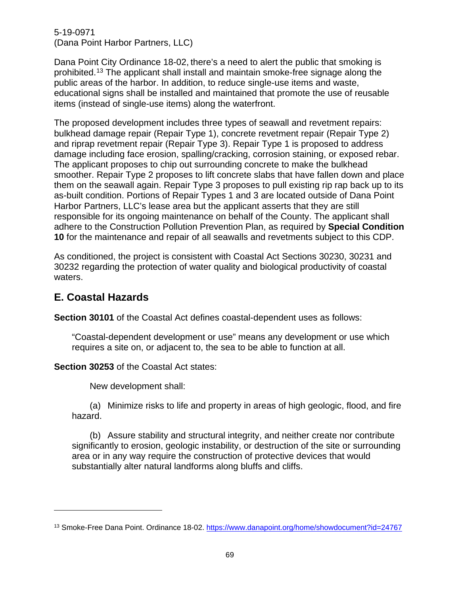Dana Point City Ordinance 18-02, there's a need to alert the public that smoking is prohibited.[13](#page-68-0) The applicant shall install and maintain smoke-free signage along the public areas of the harbor. In addition, to reduce single-use items and waste, educational signs shall be installed and maintained that promote the use of reusable items (instead of single-use items) along the waterfront.

The proposed development includes three types of seawall and revetment repairs: bulkhead damage repair (Repair Type 1), concrete revetment repair (Repair Type 2) and riprap revetment repair (Repair Type 3). Repair Type 1 is proposed to address damage including face erosion, spalling/cracking, corrosion staining, or exposed rebar. The applicant proposes to chip out surrounding concrete to make the bulkhead smoother. Repair Type 2 proposes to lift concrete slabs that have fallen down and place them on the seawall again. Repair Type 3 proposes to pull existing rip rap back up to its as-built condition. Portions of Repair Types 1 and 3 are located outside of Dana Point Harbor Partners, LLC's lease area but the applicant asserts that they are still responsible for its ongoing maintenance on behalf of the County. The applicant shall adhere to the Construction Pollution Prevention Plan, as required by **Special Condition 10** for the maintenance and repair of all seawalls and revetments subject to this CDP.

As conditioned, the project is consistent with Coastal Act Sections 30230, 30231 and 30232 regarding the protection of water quality and biological productivity of coastal waters.

# **E. Coastal Hazards**

**Section 30101** of the Coastal Act defines coastal-dependent uses as follows:

"Coastal-dependent development or use" means any development or use which requires a site on, or adjacent to, the sea to be able to function at all.

### **Section 30253** of the Coastal Act states:

New development shall:

(a) Minimize risks to life and property in areas of high geologic, flood, and fire hazard.

(b) Assure stability and structural integrity, and neither create nor contribute significantly to erosion, geologic instability, or destruction of the site or surrounding area or in any way require the construction of protective devices that would substantially alter natural landforms along bluffs and cliffs.

<span id="page-68-0"></span><sup>&</sup>lt;sup>13</sup> Smoke-Free Dana Point. Ordinance 18-02. https://www.danapoint.org/home/showdocument?id=24767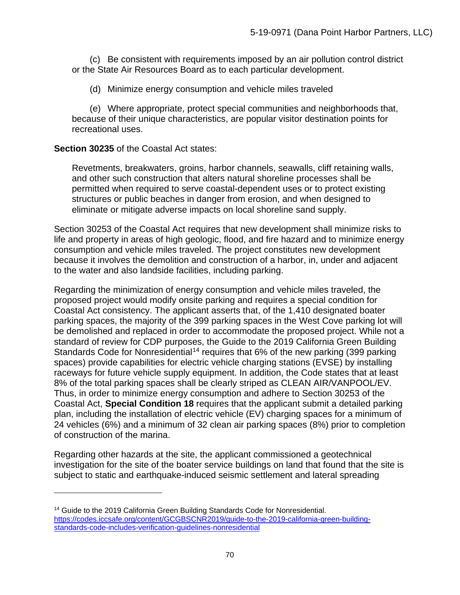(c) Be consistent with requirements imposed by an air pollution control district or the State Air Resources Board as to each particular development.

(d) Minimize energy consumption and vehicle miles traveled

(e) Where appropriate, protect special communities and neighborhoods that, because of their unique characteristics, are popular visitor destination points for recreational uses.

### **Section 30235** of the Coastal Act states:

Revetments, breakwaters, groins, harbor channels, seawalls, cliff retaining walls, and other such construction that alters natural shoreline processes shall be permitted when required to serve coastal-dependent uses or to protect existing structures or public beaches in danger from erosion, and when designed to eliminate or mitigate adverse impacts on local shoreline sand supply.

Section 30253 of the Coastal Act requires that new development shall minimize risks to life and property in areas of high geologic, flood, and fire hazard and to minimize energy consumption and vehicle miles traveled. The project constitutes new development because it involves the demolition and construction of a harbor, in, under and adjacent to the water and also landside facilities, including parking.

Regarding the minimization of energy consumption and vehicle miles traveled, the proposed project would modify onsite parking and requires a special condition for Coastal Act consistency. The applicant asserts that, of the 1,410 designated boater parking spaces, the majority of the 399 parking spaces in the West Cove parking lot will be demolished and replaced in order to accommodate the proposed project. While not a standard of review for CDP purposes, the Guide to the 2019 California Green Building Standards Code for Nonresidential<sup>[14](#page-69-0)</sup> requires that 6% of the new parking (399 parking spaces) provide capabilities for electric vehicle charging stations (EVSE) by installing raceways for future vehicle supply equipment. In addition, the Code states that at least 8% of the total parking spaces shall be clearly striped as CLEAN AIR/VANPOOL/EV. Thus, in order to minimize energy consumption and adhere to Section 30253 of the Coastal Act, **Special Condition 18** requires that the applicant submit a detailed parking plan, including the installation of electric vehicle (EV) charging spaces for a minimum of 24 vehicles (6%) and a minimum of 32 clean air parking spaces (8%) prior to completion of construction of the marina.

Regarding other hazards at the site, the applicant commissioned a geotechnical investigation for the site of the boater service buildings on land that found that the site is subject to static and earthquake-induced seismic settlement and lateral spreading

<span id="page-69-0"></span><sup>&</sup>lt;sup>14</sup> Guide to the 2019 California Green Building Standards Code for Nonresidential. [https://codes.iccsafe.org/content/GCGBSCNR2019/guide-to-the-2019-california-green-building](https://codes.iccsafe.org/content/GCGBSCNR2019/guide-to-the-2019-california-green-building-standards-code-includes-verification-guidelines-nonresidential)[standards-code-includes-verification-guidelines-nonresidential](https://codes.iccsafe.org/content/GCGBSCNR2019/guide-to-the-2019-california-green-building-standards-code-includes-verification-guidelines-nonresidential)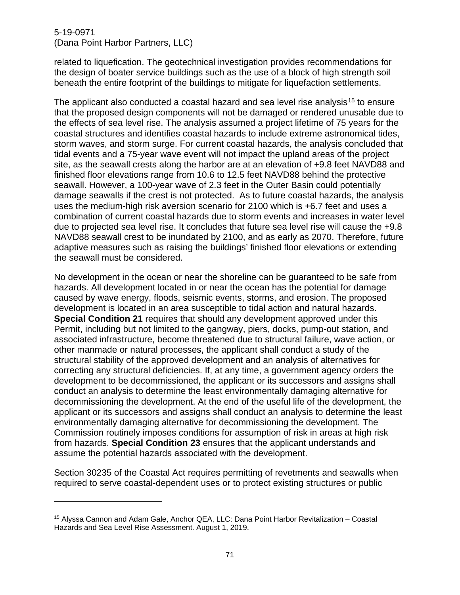related to liquefication. The geotechnical investigation provides recommendations for the design of boater service buildings such as the use of a block of high strength soil beneath the entire footprint of the buildings to mitigate for liquefaction settlements.

The applicant also conducted a coastal hazard and sea level rise analysis<sup>[15](#page-70-0)</sup> to ensure that the proposed design components will not be damaged or rendered unusable due to the effects of sea level rise. The analysis assumed a project lifetime of 75 years for the coastal structures and identifies coastal hazards to include extreme astronomical tides, storm waves, and storm surge. For current coastal hazards, the analysis concluded that tidal events and a 75-year wave event will not impact the upland areas of the project site, as the seawall crests along the harbor are at an elevation of +9.8 feet NAVD88 and finished floor elevations range from 10.6 to 12.5 feet NAVD88 behind the protective seawall. However, a 100-year wave of 2.3 feet in the Outer Basin could potentially damage seawalls if the crest is not protected. As to future coastal hazards, the analysis uses the medium-high risk aversion scenario for 2100 which is +6.7 feet and uses a combination of current coastal hazards due to storm events and increases in water level due to projected sea level rise. It concludes that future sea level rise will cause the +9.8 NAVD88 seawall crest to be inundated by 2100, and as early as 2070. Therefore, future adaptive measures such as raising the buildings' finished floor elevations or extending the seawall must be considered.

No development in the ocean or near the shoreline can be guaranteed to be safe from hazards. All development located in or near the ocean has the potential for damage caused by wave energy, floods, seismic events, storms, and erosion. The proposed development is located in an area susceptible to tidal action and natural hazards. **Special Condition 21** requires that should any development approved under this Permit, including but not limited to the gangway, piers, docks, pump-out station, and associated infrastructure, become threatened due to structural failure, wave action, or other manmade or natural processes, the applicant shall conduct a study of the structural stability of the approved development and an analysis of alternatives for correcting any structural deficiencies. If, at any time, a government agency orders the development to be decommissioned, the applicant or its successors and assigns shall conduct an analysis to determine the least environmentally damaging alternative for decommissioning the development. At the end of the useful life of the development, the applicant or its successors and assigns shall conduct an analysis to determine the least environmentally damaging alternative for decommissioning the development. The Commission routinely imposes conditions for assumption of risk in areas at high risk from hazards. **Special Condition 23** ensures that the applicant understands and assume the potential hazards associated with the development.

Section 30235 of the Coastal Act requires permitting of revetments and seawalls when required to serve coastal-dependent uses or to protect existing structures or public

<span id="page-70-0"></span><sup>15</sup> Alyssa Cannon and Adam Gale, Anchor QEA, LLC: Dana Point Harbor Revitalization – Coastal Hazards and Sea Level Rise Assessment. August 1, 2019.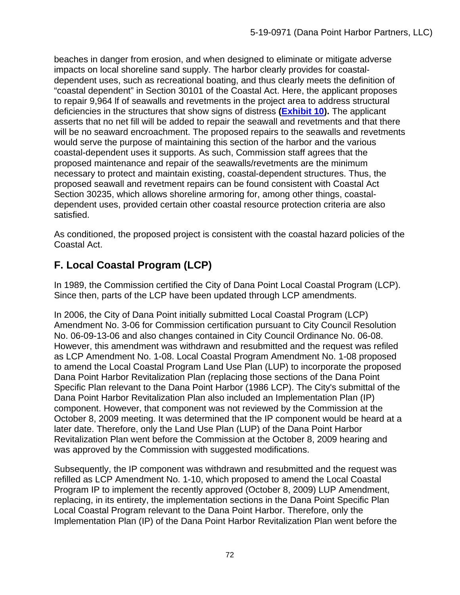beaches in danger from erosion, and when designed to eliminate or mitigate adverse impacts on local shoreline sand supply. The harbor clearly provides for coastaldependent uses, such as recreational boating, and thus clearly meets the definition of "coastal dependent" in Section 30101 of the Coastal Act. Here, the applicant proposes to repair 9,964 lf of seawalls and revetments in the project area to address structural deficiencies in the structures that show signs of distress **[\(Exhibit 10\)](https://documents.coastal.ca.gov/reports/2020/9/W13c/W13c-9-2020-exhibits.pdf).** The applicant asserts that no net fill will be added to repair the seawall and revetments and that there will be no seaward encroachment. The proposed repairs to the seawalls and revetments would serve the purpose of maintaining this section of the harbor and the various coastal-dependent uses it supports. As such, Commission staff agrees that the proposed maintenance and repair of the seawalls/revetments are the minimum necessary to protect and maintain existing, coastal-dependent structures. Thus, the proposed seawall and revetment repairs can be found consistent with Coastal Act Section 30235, which allows shoreline armoring for, among other things, coastaldependent uses, provided certain other coastal resource protection criteria are also satisfied.

As conditioned, the proposed project is consistent with the coastal hazard policies of the Coastal Act.

# **F. Local Coastal Program (LCP)**

In 1989, the Commission certified the City of Dana Point Local Coastal Program (LCP). Since then, parts of the LCP have been updated through LCP amendments.

In 2006, the City of Dana Point initially submitted Local Coastal Program (LCP) Amendment No. 3-06 for Commission certification pursuant to City Council Resolution No. 06-09-13-06 and also changes contained in City Council Ordinance No. 06-08. However, this amendment was withdrawn and resubmitted and the request was refiled as LCP Amendment No. 1-08. Local Coastal Program Amendment No. 1-08 proposed to amend the Local Coastal Program Land Use Plan (LUP) to incorporate the proposed Dana Point Harbor Revitalization Plan (replacing those sections of the Dana Point Specific Plan relevant to the Dana Point Harbor (1986 LCP). The City's submittal of the Dana Point Harbor Revitalization Plan also included an Implementation Plan (IP) component. However, that component was not reviewed by the Commission at the October 8, 2009 meeting. It was determined that the IP component would be heard at a later date. Therefore, only the Land Use Plan (LUP) of the Dana Point Harbor Revitalization Plan went before the Commission at the October 8, 2009 hearing and was approved by the Commission with suggested modifications.

Subsequently, the IP component was withdrawn and resubmitted and the request was refilled as LCP Amendment No. 1-10, which proposed to amend the Local Coastal Program IP to implement the recently approved (October 8, 2009) LUP Amendment, replacing, in its entirety, the implementation sections in the Dana Point Specific Plan Local Coastal Program relevant to the Dana Point Harbor. Therefore, only the Implementation Plan (IP) of the Dana Point Harbor Revitalization Plan went before the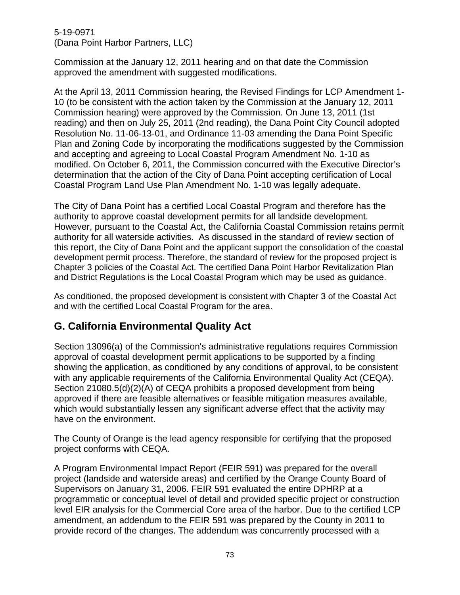## 5-19-0971 (Dana Point Harbor Partners, LLC)

Commission at the January 12, 2011 hearing and on that date the Commission approved the amendment with suggested modifications.

At the April 13, 2011 Commission hearing, the Revised Findings for LCP Amendment 1- 10 (to be consistent with the action taken by the Commission at the January 12, 2011 Commission hearing) were approved by the Commission. On June 13, 2011 (1st reading) and then on July 25, 2011 (2nd reading), the Dana Point City Council adopted Resolution No. 11-06-13-01, and Ordinance 11-03 amending the Dana Point Specific Plan and Zoning Code by incorporating the modifications suggested by the Commission and accepting and agreeing to Local Coastal Program Amendment No. 1-10 as modified. On October 6, 2011, the Commission concurred with the Executive Director's determination that the action of the City of Dana Point accepting certification of Local Coastal Program Land Use Plan Amendment No. 1-10 was legally adequate.

The City of Dana Point has a certified Local Coastal Program and therefore has the authority to approve coastal development permits for all landside development. However, pursuant to the Coastal Act, the California Coastal Commission retains permit authority for all waterside activities. As discussed in the standard of review section of this report, the City of Dana Point and the applicant support the consolidation of the coastal development permit process. Therefore, the standard of review for the proposed project is Chapter 3 policies of the Coastal Act. The certified Dana Point Harbor Revitalization Plan and District Regulations is the Local Coastal Program which may be used as guidance.

As conditioned, the proposed development is consistent with Chapter 3 of the Coastal Act and with the certified Local Coastal Program for the area.

## **G. California Environmental Quality Act**

Section 13096(a) of the Commission's administrative regulations requires Commission approval of coastal development permit applications to be supported by a finding showing the application, as conditioned by any conditions of approval, to be consistent with any applicable requirements of the California Environmental Quality Act (CEQA). Section 21080.5(d)(2)(A) of CEQA prohibits a proposed development from being approved if there are feasible alternatives or feasible mitigation measures available, which would substantially lessen any significant adverse effect that the activity may have on the environment.

The County of Orange is the lead agency responsible for certifying that the proposed project conforms with CEQA.

A Program Environmental Impact Report (FEIR 591) was prepared for the overall project (landside and waterside areas) and certified by the Orange County Board of Supervisors on January 31, 2006. FEIR 591 evaluated the entire DPHRP at a programmatic or conceptual level of detail and provided specific project or construction level EIR analysis for the Commercial Core area of the harbor. Due to the certified LCP amendment, an addendum to the FEIR 591 was prepared by the County in 2011 to provide record of the changes. The addendum was concurrently processed with a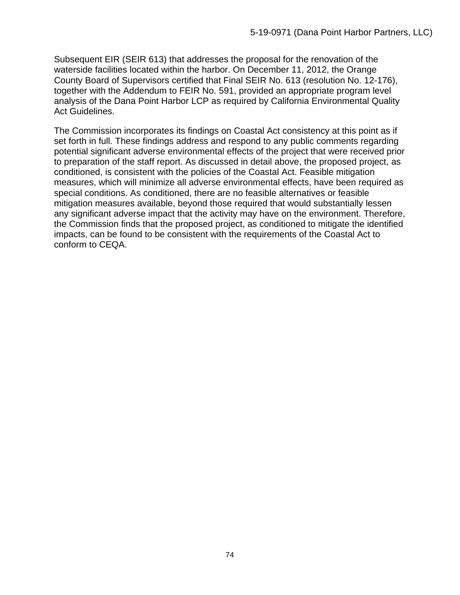Subsequent EIR (SEIR 613) that addresses the proposal for the renovation of the waterside facilities located within the harbor. On December 11, 2012, the Orange County Board of Supervisors certified that Final SEIR No. 613 (resolution No. 12-176), together with the Addendum to FEIR No. 591, provided an appropriate program level analysis of the Dana Point Harbor LCP as required by California Environmental Quality Act Guidelines.

The Commission incorporates its findings on Coastal Act consistency at this point as if set forth in full. These findings address and respond to any public comments regarding potential significant adverse environmental effects of the project that were received prior to preparation of the staff report. As discussed in detail above, the proposed project, as conditioned, is consistent with the policies of the Coastal Act. Feasible mitigation measures, which will minimize all adverse environmental effects, have been required as special conditions. As conditioned, there are no feasible alternatives or feasible mitigation measures available, beyond those required that would substantially lessen any significant adverse impact that the activity may have on the environment. Therefore, the Commission finds that the proposed project, as conditioned to mitigate the identified impacts, can be found to be consistent with the requirements of the Coastal Act to conform to CEQA.